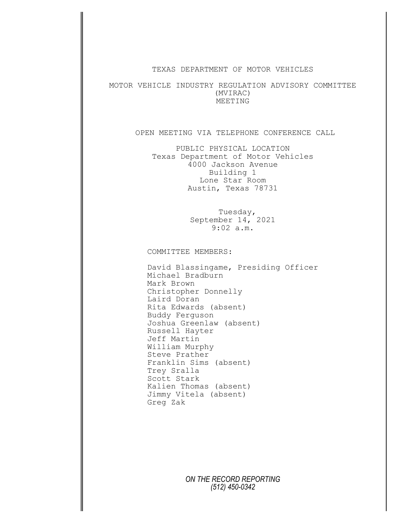## TEXAS DEPARTMENT OF MOTOR VEHICLES

MOTOR VEHICLE INDUSTRY REGULATION ADVISORY COMMITTEE (MVIRAC) MEETING

## OPEN MEETING VIA TELEPHONE CONFERENCE CALL

PUBLIC PHYSICAL LOCATION Texas Department of Motor Vehicles 4000 Jackson Avenue Building 1 Lone Star Room Austin, Texas 78731

> Tuesday, September 14, 2021 9:02 a.m.

COMMITTEE MEMBERS:

David Blassingame, Presiding Officer Michael Bradburn Mark Brown Christopher Donnelly Laird Doran Rita Edwards (absent) Buddy Ferguson Joshua Greenlaw (absent) Russell Hayter Jeff Martin William Murphy Steve Prather Franklin Sims (absent) Trey Sralla Scott Stark Kalien Thomas (absent) Jimmy Vitela (absent) Greg Zak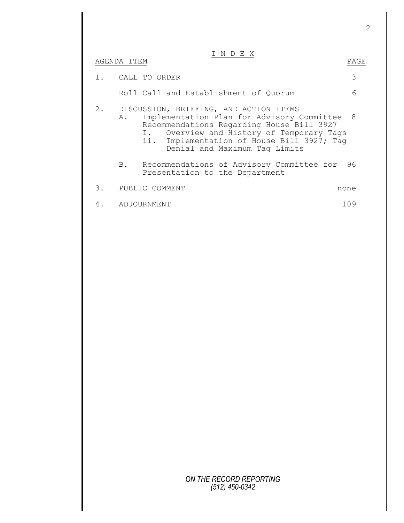## I N D E X

|       | AGENDA ITEM |                                                                                                                                                                                                                                                                  | PAGE |
|-------|-------------|------------------------------------------------------------------------------------------------------------------------------------------------------------------------------------------------------------------------------------------------------------------|------|
| $1$ . |             | CALL TO ORDER                                                                                                                                                                                                                                                    | 3    |
|       |             | Roll Call and Establishment of Quorum                                                                                                                                                                                                                            | 6    |
| 2.    | Α.          | DISCUSSION, BRIEFING, AND ACTION ITEMS<br>Implementation Plan for Advisory Committee<br>Recommendations Regarding House Bill 3927<br>I. Overview and History of Temporary Tags<br>Implementation of House Bill 3927; Tag<br>ii.<br>Denial and Maximum Tag Limits | - 8  |
|       | B.          | Recommendations of Advisory Committee for<br>Presentation to the Department                                                                                                                                                                                      | 96   |
| 3.    |             | PUBLIC COMMENT                                                                                                                                                                                                                                                   | none |
| 4.    |             | ADJOURNMENT                                                                                                                                                                                                                                                      | 109  |
|       |             |                                                                                                                                                                                                                                                                  |      |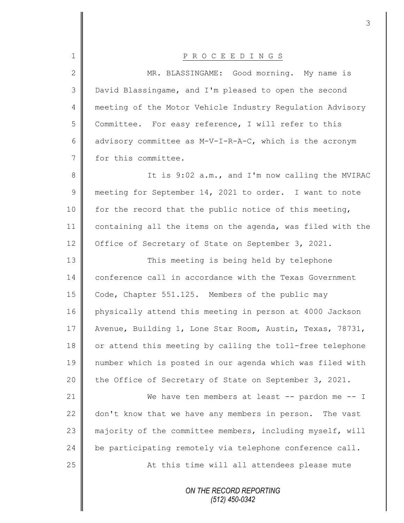| $\mathbf 1$     | PROCEEDINGS                                                |
|-----------------|------------------------------------------------------------|
| $\mathbf{2}$    | MR. BLASSINGAME: Good morning. My name is                  |
| 3               | David Blassingame, and I'm pleased to open the second      |
| 4               | meeting of the Motor Vehicle Industry Requlation Advisory  |
| 5               | Committee. For easy reference, I will refer to this        |
| 6               | advisory committee as M-V-I-R-A-C, which is the acronym    |
| $7\phantom{.0}$ | for this committee.                                        |
| $8\,$           | It is 9:02 a.m., and I'm now calling the MVIRAC            |
| $\mathsf 9$     | meeting for September 14, 2021 to order. I want to note    |
| 10              | for the record that the public notice of this meeting,     |
| 11              | containing all the items on the agenda, was filed with the |
| 12              | Office of Secretary of State on September 3, 2021.         |
| 13              | This meeting is being held by telephone                    |
| 14              | conference call in accordance with the Texas Government    |
| 15              | Code, Chapter 551.125. Members of the public may           |
| 16              | physically attend this meeting in person at 4000 Jackson   |
| 17              | Avenue, Building 1, Lone Star Room, Austin, Texas, 78731,  |
| 18              | or attend this meeting by calling the toll-free telephone  |
| 19              | number which is posted in our agenda which was filed with  |
| 20              | the Office of Secretary of State on September 3, 2021.     |
| 21              | We have ten members at least -- pardon me -- I             |
| 22              | don't know that we have any members in person. The vast    |
| 23              | majority of the committee members, including myself, will  |
| 24              | be participating remotely via telephone conference call.   |
| 25              | At this time will all attendees please mute                |
|                 | ON THE RECORD REPORTING<br>$(512)$ 450-0342                |

 $\mathsf{I}$ 

∥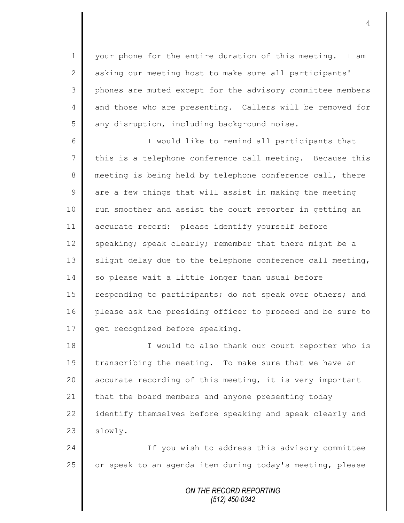1 | your phone for the entire duration of this meeting. I am 2 asking our meeting host to make sure all participants' 3 || phones are muted except for the advisory committee members 4 and those who are presenting. Callers will be removed for 5 any disruption, including background noise.

6 || I would like to remind all participants that  $7 \parallel$  this is a telephone conference call meeting. Because this 8 meeting is being held by telephone conference call, there  $9 \parallel$  are a few things that will assist in making the meeting 10 || run smoother and assist the court reporter in getting an 11 accurate record: please identify yourself before 12 speaking; speak clearly; remember that there might be a 13  $\parallel$  slight delay due to the telephone conference call meeting, 14 so please wait a little longer than usual before 15 | responding to participants; do not speak over others; and 16 please ask the presiding officer to proceed and be sure to 17 | get recognized before speaking.

18 || I would to also thank our court reporter who is 19 transcribing the meeting. To make sure that we have an 20 || accurate recording of this meeting, it is very important 21 that the board members and anyone presenting today 22  $\parallel$  identify themselves before speaking and speak clearly and  $23$  slowly.

24 | Tf you wish to address this advisory committee 25 | or speak to an agenda item during today's meeting, please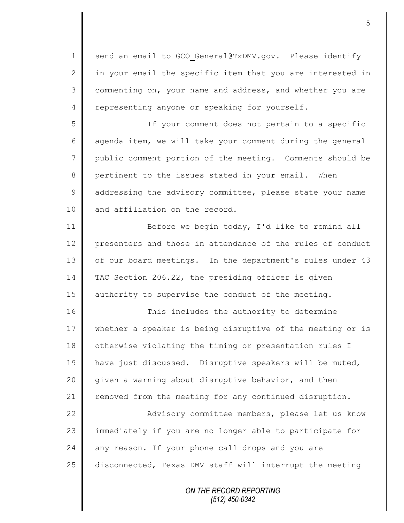1 send an email to GCO General@TxDMV.gov. Please identify  $2 \parallel$  in your email the specific item that you are interested in 3 commenting on, your name and address, and whether you are 4 representing anyone or speaking for yourself. 5 If your comment does not pertain to a specific 6 agenda item, we will take your comment during the general 7 public comment portion of the meeting. Comments should be 8 pertinent to the issues stated in your email. When 9 dddressing the advisory committee, please state your name 10 || and affiliation on the record. 11 | Before we begin today, I'd like to remind all 12 | presenters and those in attendance of the rules of conduct 13 | of our board meetings. In the department's rules under 43 14 TAC Section 206.22, the presiding officer is given 15 authority to supervise the conduct of the meeting. 16 This includes the authority to determine 17 whether a speaker is being disruptive of the meeting or is 18 otherwise violating the timing or presentation rules I 19 | have just discussed. Disruptive speakers will be muted, 20 | given a warning about disruptive behavior, and then 21 Temoved from the meeting for any continued disruption. 22 | Advisory committee members, please let us know 23 || immediately if you are no longer able to participate for  $24$  any reason. If your phone call drops and you are 25 disconnected, Texas DMV staff will interrupt the meeting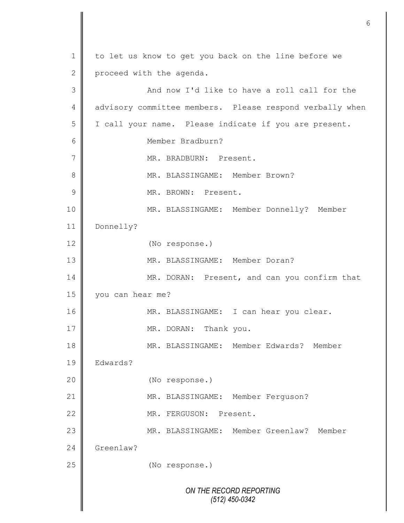*ON THE RECORD REPORTING (512) 450-0342* 1 to let us know to get you back on the line before we 2 proceed with the agenda. 3 And now I'd like to have a roll call for the 4 advisory committee members. Please respond verbally when 5 | I call your name. Please indicate if you are present. 6 Member Bradburn? 7 MR. BRADBURN: Present. 8  $\parallel$  MR. BLASSINGAME: Member Brown? 9 || MR. BROWN: Present. 10 MR. BLASSINGAME: Member Donnelly? Member 11 Donnelly? 12 (No response.) 13 MR. BLASSINGAME: Member Doran? 14 MR. DORAN: Present, and can you confirm that 15 you can hear me? 16 MR. BLASSINGAME: I can hear you clear. 17 MR. DORAN: Thank you. 18 MR. BLASSINGAME: Member Edwards? Member 19 Edwards? 20 (No response.) 21 | MR. BLASSINGAME: Member Ferguson? 22 MR. FERGUSON: Present. 23 MR. BLASSINGAME: Member Greenlaw? Member 24 Greenlaw? 25 **(No response.)**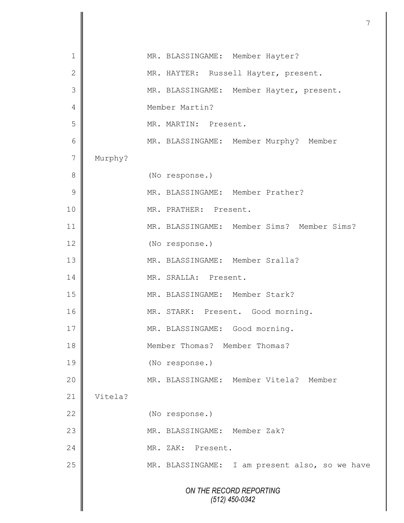|                 |         | 7                                              |
|-----------------|---------|------------------------------------------------|
|                 |         |                                                |
| 1               |         | MR. BLASSINGAME: Member Hayter?                |
| $\mathbf{2}$    |         | MR. HAYTER: Russell Hayter, present.           |
| 3               |         | MR. BLASSINGAME: Member Hayter, present.       |
| 4               |         | Member Martin?                                 |
| 5               |         | MR. MARTIN: Present.                           |
| $6\phantom{1}6$ |         | MR. BLASSINGAME: Member Murphy? Member         |
| $\overline{7}$  | Murphy? |                                                |
| 8               |         | (No response.)                                 |
| $\mathcal{G}$   |         | MR. BLASSINGAME: Member Prather?               |
| 10              |         | MR. PRATHER: Present.                          |
| 11              |         | MR. BLASSINGAME: Member Sims? Member Sims?     |
| 12              |         | (No response.)                                 |
| 13              |         | MR. BLASSINGAME: Member Sralla?                |
| 14              |         | MR. SRALLA: Present.                           |
| 15              |         | MR. BLASSINGAME: Member Stark?                 |
| 16              |         | MR. STARK: Present. Good morning.              |
| 17              |         | MR. BLASSINGAME: Good morning.                 |
| 18              |         | Member Thomas? Member Thomas?                  |
| 19              |         | (No response.)                                 |
| 20              |         | MR. BLASSINGAME: Member Vitela? Member         |
| 21              | Vitela? |                                                |
| 22              |         | (No response.)                                 |
| 23              |         | MR. BLASSINGAME: Member Zak?                   |
| 24              |         | MR. ZAK: Present.                              |
| 25              |         | MR. BLASSINGAME: I am present also, so we have |
|                 |         | ON THE RECORD REPORTING                        |
|                 |         | $(512)$ 450-0342                               |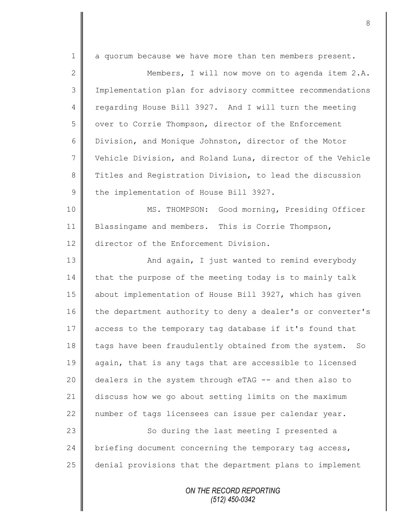| $\mathbf 1$    | a quorum because we have more than ten members present.     |
|----------------|-------------------------------------------------------------|
| $\mathbf{2}$   | Members, I will now move on to agenda item 2.A.             |
| 3              | Implementation plan for advisory committee recommendations  |
| $\overline{4}$ | regarding House Bill 3927. And I will turn the meeting      |
| 5              | over to Corrie Thompson, director of the Enforcement        |
| 6              | Division, and Monique Johnston, director of the Motor       |
| $\overline{7}$ | Vehicle Division, and Roland Luna, director of the Vehicle  |
| 8              | Titles and Registration Division, to lead the discussion    |
| $\mathcal{G}$  | the implementation of House Bill 3927.                      |
| 10             | MS. THOMPSON: Good morning, Presiding Officer               |
| 11             | Blassingame and members. This is Corrie Thompson,           |
| 12             | director of the Enforcement Division.                       |
| 13             | And again, I just wanted to remind everybody                |
| 14             | that the purpose of the meeting today is to mainly talk     |
| 15             | about implementation of House Bill 3927, which has given    |
| 16             | the department authority to deny a dealer's or converter's  |
| 17             | access to the temporary tag database if it's found that     |
| 18             | tags have been fraudulently obtained from the system.<br>So |
| 19             | again, that is any tags that are accessible to licensed     |
| 20             | dealers in the system through eTAG -- and then also to      |
| 21             | discuss how we go about setting limits on the maximum       |
| 22             | number of tags licensees can issue per calendar year.       |
| 23             | So during the last meeting I presented a                    |
| 24             | briefing document concerning the temporary tag access,      |
| 25             | denial provisions that the department plans to implement    |
|                |                                                             |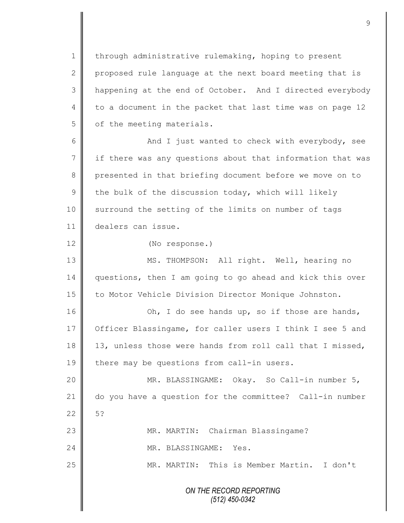1 | through administrative rulemaking, hoping to present 2 proposed rule language at the next board meeting that is 3 | happening at the end of October. And I directed everybody 4 | to a document in the packet that last time was on page 12  $5 \parallel$  of the meeting materials.

6 || And I just wanted to check with everybody, see  $7 \parallel$  if there was any questions about that information that was 8 presented in that briefing document before we move on to 9 the bulk of the discussion today, which will likely 10 | surround the setting of the limits on number of tags 11 dealers can issue.

12 (No response.)

13 | MS. THOMPSON: All right. Well, hearing no 14 questions, then I am going to go ahead and kick this over 15 | to Motor Vehicle Division Director Monique Johnston.

16 | Ch, I do see hands up, so if those are hands, 17 | Officer Blassingame, for caller users I think I see 5 and 18 13, unless those were hands from roll call that I missed,  $19$  there may be questions from call-in users.

20 MR. BLASSINGAME: Okay. So Call-in number 5, 21 do you have a question for the committee? Call-in number  $22 \parallel 5?$ 23 | MR. MARTIN: Chairman Blassingame? 24 MR. BLASSINGAME: Yes.

25 MR. MARTIN: This is Member Martin. I don't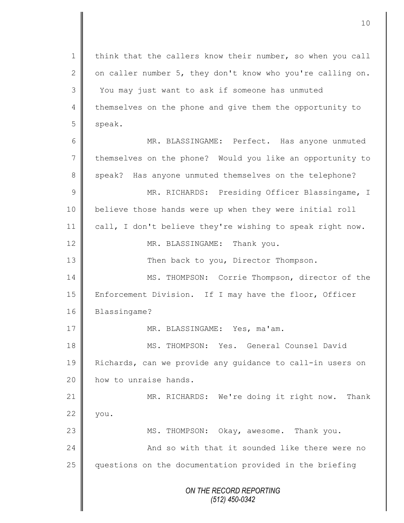*ON THE RECORD REPORTING (512) 450-0342* 1 | think that the callers know their number, so when you call 2  $\parallel$  on caller number 5, they don't know who you're calling on. 3 You may just want to ask if someone has unmuted 4 themselves on the phone and give them the opportunity to 5 speak. 6 MR. BLASSINGAME: Perfect. Has anyone unmuted 7 themselves on the phone? Would you like an opportunity to 8 speak? Has anyone unmuted themselves on the telephone? 9 || MR. RICHARDS: Presiding Officer Blassingame, I 10 believe those hands were up when they were initial roll 11 call, I don't believe they're wishing to speak right now. 12 MR. BLASSINGAME: Thank you. 13 Then back to you, Director Thompson. 14 | MS. THOMPSON: Corrie Thompson, director of the 15 | Enforcement Division. If I may have the floor, Officer 16 Blassingame? 17 || MR. BLASSINGAME: Yes, ma'am. 18 MS. THOMPSON: Yes. General Counsel David 19 Richards, can we provide any guidance to call-in users on 20 **how** to unraise hands. 21 | MR. RICHARDS: We're doing it right now. Thank  $22 \parallel$  you. 23 || MS. THOMPSON: Okay, awesome. Thank you. 24 | Chang and so with that it sounded like there were no 25 questions on the documentation provided in the briefing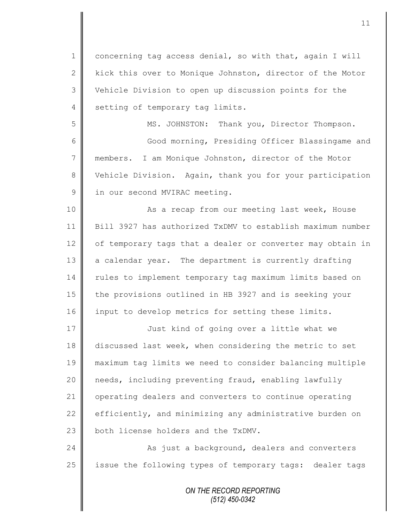1 concerning tag access denial, so with that, again I will 2  $\parallel$  kick this over to Monique Johnston, director of the Motor 3 Vehicle Division to open up discussion points for the 4 setting of temporary tag limits.

5 MS. JOHNSTON: Thank you, Director Thompson. 6 Good morning, Presiding Officer Blassingame and 7 members. I am Monique Johnston, director of the Motor 8 Vehicle Division. Again, thank you for your participation 9 in our second MVIRAC meeting.

10 || As a recap from our meeting last week, House 11 Bill 3927 has authorized TxDMV to establish maximum number 12 of temporary tags that a dealer or converter may obtain in 13 a calendar year. The department is currently drafting 14 | rules to implement temporary tag maximum limits based on 15 the provisions outlined in HB 3927 and is seeking your 16 input to develop metrics for setting these limits.

17 | Just kind of going over a little what we discussed last week, when considering the metric to set maximum tag limits we need to consider balancing multiple 20 | needs, including preventing fraud, enabling lawfully operating dealers and converters to continue operating  $\parallel$  efficiently, and minimizing any administrative burden on  $\parallel$  both license holders and the TxDMV.

24 **As just a background, dealers and converters** 25 | issue the following types of temporary tags: dealer tags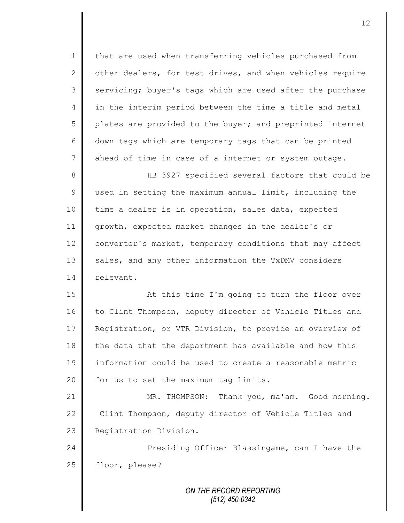1 that are used when transferring vehicles purchased from 2 other dealers, for test drives, and when vehicles require 3 servicing; buyer's tags which are used after the purchase 4 || in the interim period between the time a title and metal 5 plates are provided to the buyer; and preprinted internet 6 down tags which are temporary tags that can be printed 7 ahead of time in case of a internet or system outage. 8 HB 3927 specified several factors that could be 9 used in setting the maximum annual limit, including the 10 time a dealer is in operation, sales data, expected 11 growth, expected market changes in the dealer's or 12 converter's market, temporary conditions that may affect

13 sales, and any other information the TxDMV considers 14 | relevant.

15 || At this time I'm going to turn the floor over 16 to Clint Thompson, deputy director of Vehicle Titles and 17 | Registration, or VTR Division, to provide an overview of  $18$  the data that the department has available and how this 19 information could be used to create a reasonable metric  $20$  | for us to set the maximum tag limits.

21 | MR. THOMPSON: Thank you, ma'am. Good morning. 22 Clint Thompson, deputy director of Vehicle Titles and 23 **Registration Division.** 

24 **Presiding Officer Blassingame, can I have the** 25 | floor, please?

> *ON THE RECORD REPORTING (512) 450-0342*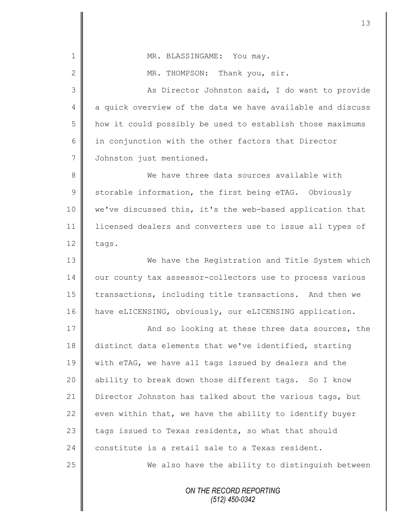| $\mathbf 1$    | MR. BLASSINGAME: You may.                                  |
|----------------|------------------------------------------------------------|
| $\mathbf{2}$   | MR. THOMPSON: Thank you, sir.                              |
| 3              | As Director Johnston said, I do want to provide            |
| $\overline{4}$ | a quick overview of the data we have available and discuss |
| 5              | how it could possibly be used to establish those maximums  |
| $6\,$          | in conjunction with the other factors that Director        |
| $7\phantom{.}$ | Johnston just mentioned.                                   |
| $\,8\,$        | We have three data sources available with                  |
| $\mathsf 9$    | storable information, the first being eTAG. Obviously      |
| 10             | we've discussed this, it's the web-based application that  |
| 11             | licensed dealers and converters use to issue all types of  |
| 12             | tags.                                                      |
| 13             | We have the Registration and Title System which            |
| 14             | our county tax assessor-collectors use to process various  |
| 15             | transactions, including title transactions. And then we    |
| 16             | have eLICENSING, obviously, our eLICENSING application.    |
| 17             | And so looking at these three data sources, the            |
| 18             | distinct data elements that we've identified, starting     |
| 19             | with eTAG, we have all tags issued by dealers and the      |
| 20             | ability to break down those different tags. So I know      |
| 21             | Director Johnston has talked about the various tags, but   |
| 22             | even within that, we have the ability to identify buyer    |
| 23             | tags issued to Texas residents, so what that should        |
| 24             | constitute is a retail sale to a Texas resident.           |
| 25             | We also have the ability to distinguish between            |
|                | ON THE RECORD REPORTING<br>$(512)$ 450-0342                |
|                |                                                            |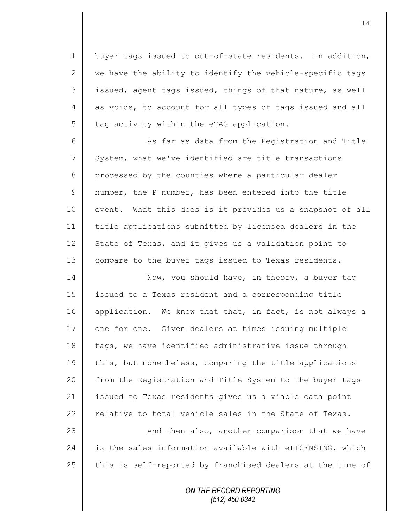1 | buyer tags issued to out-of-state residents. In addition, 2  $\parallel$  we have the ability to identify the vehicle-specific tags  $3 \parallel$  issued, agent tags issued, things of that nature, as well 4 as voids, to account for all types of tags issued and all  $5$  tag activity within the eTAG application.

6 || As far as data from the Registration and Title 7 System, what we've identified are title transactions 8 processed by the counties where a particular dealer 9  $\parallel$  number, the P number, has been entered into the title 10 event. What this does is it provides us a snapshot of all 11 title applications submitted by licensed dealers in the 12 State of Texas, and it gives us a validation point to 13 | compare to the buyer tags issued to Texas residents.

14 Now, you should have, in theory, a buyer tag 15 issued to a Texas resident and a corresponding title 16 application. We know that that, in fact, is not always a 17 | one for one. Given dealers at times issuing multiple 18 tags, we have identified administrative issue through 19 this, but nonetheless, comparing the title applications 20 | from the Registration and Title System to the buyer tags 21 issued to Texas residents gives us a viable data point 22 relative to total vehicle sales in the State of Texas.

23 | And then also, another comparison that we have  $24$  is the sales information available with eLICENSING, which 25  $\parallel$  this is self-reported by franchised dealers at the time of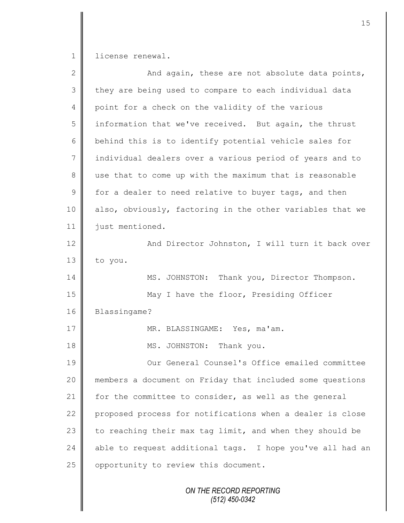1 license renewal.

| $\mathbf{2}$   | And again, these are not absolute data points,            |
|----------------|-----------------------------------------------------------|
| 3              | they are being used to compare to each individual data    |
| 4              | point for a check on the validity of the various          |
| 5              | information that we've received. But again, the thrust    |
| 6              | behind this is to identify potential vehicle sales for    |
| $\overline{7}$ | individual dealers over a various period of years and to  |
| 8              | use that to come up with the maximum that is reasonable   |
| $\mathcal{G}$  | for a dealer to need relative to buyer tags, and then     |
| 10             | also, obviously, factoring in the other variables that we |
| 11             | just mentioned.                                           |
| 12             | And Director Johnston, I will turn it back over           |
| 13             | to you.                                                   |
| 14             | MS. JOHNSTON: Thank you, Director Thompson.               |
| 15             | May I have the floor, Presiding Officer                   |
| 16             | Blassingame?                                              |
| 17             | MR. BLASSINGAME: Yes, ma'am.                              |
| 18             | MS. JOHNSTON:<br>Thank you.                               |
| 19             | Our General Counsel's Office emailed committee            |
| 20             | members a document on Friday that included some questions |
| 21             | for the committee to consider, as well as the general     |
| 22             | proposed process for notifications when a dealer is close |
| 23             | to reaching their max tag limit, and when they should be  |
| 24             | able to request additional tags. I hope you've all had an |
| 25             | opportunity to review this document.                      |
|                | ON THE RECORD REPORTING<br>(512) 450-0342                 |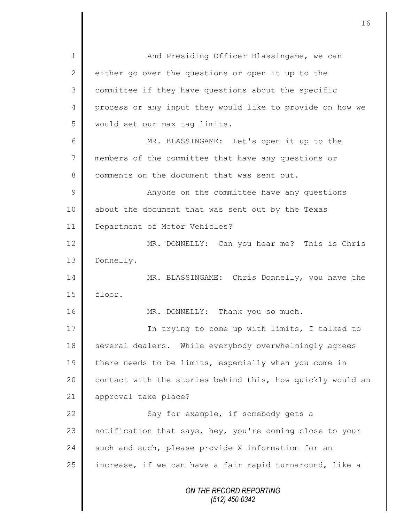*ON THE RECORD REPORTING (512) 450-0342* 1 And Presiding Officer Blassingame, we can 2 either go over the questions or open it up to the 3 committee if they have questions about the specific 4 process or any input they would like to provide on how we 5 | would set our max tag limits. 6 MR. BLASSINGAME: Let's open it up to the 7 members of the committee that have any questions or 8 comments on the document that was sent out. 9 || Anyone on the committee have any questions 10 || about the document that was sent out by the Texas 11 | Department of Motor Vehicles? 12 MR. DONNELLY: Can you hear me? This is Chris 13 Donnelly. 14 MR. BLASSINGAME: Chris Donnelly, you have the 15 floor. 16 | MR. DONNELLY: Thank you so much. 17 || **In trying to come up with limits, I talked to** 18 several dealers. While everybody overwhelmingly agrees 19 there needs to be limits, especially when you come in 20  $\parallel$  contact with the stories behind this, how quickly would an 21 approval take place? 22 | Say for example, if somebody gets a 23 | notification that says, hey, you're coming close to your 24 such and such, please provide X information for an 25 | increase, if we can have a fair rapid turnaround, like a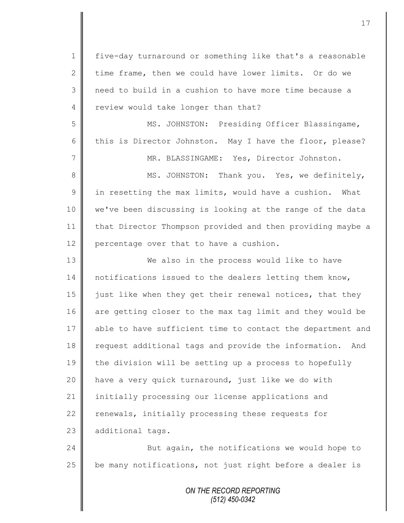*ON THE RECORD REPORTING* 1 five-day turnaround or something like that's a reasonable 2 time frame, then we could have lower limits. Or do we 3 || need to build in a cushion to have more time because a 4 review would take longer than that? 5 MS. JOHNSTON: Presiding Officer Blassingame, 6 this is Director Johnston. May I have the floor, please? 7 MR. BLASSINGAME: Yes, Director Johnston. 8 || MS. JOHNSTON: Thank you. Yes, we definitely,  $9 \parallel$  in resetting the max limits, would have a cushion. What 10 we've been discussing is looking at the range of the data 11 | that Director Thompson provided and then providing maybe a 12 percentage over that to have a cushion. 13 We also in the process would like to have 14 notifications issued to the dealers letting them know, 15  $\parallel$  just like when they get their renewal notices, that they 16 are getting closer to the max tag limit and they would be 17 able to have sufficient time to contact the department and 18 **request additional tags and provide the information.** And 19 the division will be setting up a process to hopefully 20 || have a very quick turnaround, just like we do with 21 | initially processing our license applications and 22  $\parallel$  renewals, initially processing these requests for 23 additional tags. 24  $\parallel$  But again, the notifications we would hope to  $25$  | be many notifications, not just right before a dealer is

*(512) 450-0342*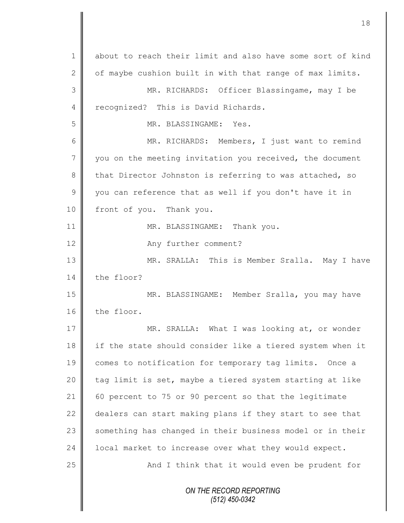*ON THE RECORD REPORTING (512) 450-0342* 1 about to reach their limit and also have some sort of kind 2  $\parallel$  of maybe cushion built in with that range of max limits. 3 || MR. RICHARDS: Officer Blassingame, may I be 4 recognized? This is David Richards. 5 MR. BLASSINGAME: Yes. 6 MR. RICHARDS: Members, I just want to remind 7 vou on the meeting invitation you received, the document 8 that Director Johnston is referring to was attached, so  $9 \parallel$  you can reference that as well if you don't have it in 10 front of you. Thank you. 11 || MR. BLASSINGAME: Thank you. 12 **Any further comment?** 13 || MR. SRALLA: This is Member Sralla. May I have 14 the floor? 15 MR. BLASSINGAME: Member Sralla, you may have 16 the floor. 17 || MR. SRALLA: What I was looking at, or wonder 18 if the state should consider like a tiered system when it 19 comes to notification for temporary tag limits. Once a 20  $\parallel$  tag limit is set, maybe a tiered system starting at like 21 60 percent to 75 or 90 percent so that the legitimate 22  $\parallel$  dealers can start making plans if they start to see that 23 something has changed in their business model or in their 24 | local market to increase over what they would expect. 25 || And I think that it would even be prudent for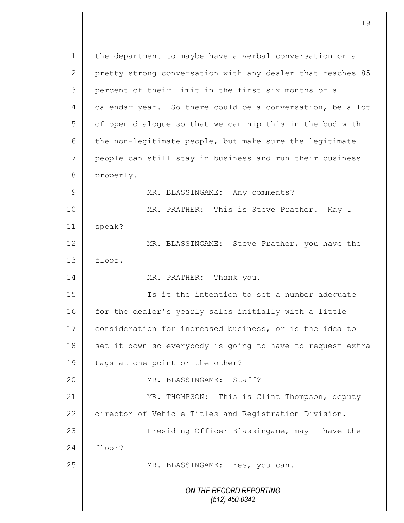*ON THE RECORD REPORTING (512) 450-0342* 1 | the department to maybe have a verbal conversation or a 2 pretty strong conversation with any dealer that reaches 85 3 percent of their limit in the first six months of a 4 calendar year. So there could be a conversation, be a lot 5 | of open dialogue so that we can nip this in the bud with 6 the non-legitimate people, but make sure the legitimate 7 people can still stay in business and run their business 8 properly. 9 MR. BLASSINGAME: Any comments? 10 MR. PRATHER: This is Steve Prather. May I 11 | speak? 12 MR. BLASSINGAME: Steve Prather, you have the 13 floor. 14 MR. PRATHER: Thank you. 15 || Is it the intention to set a number adequate 16 for the dealer's yearly sales initially with a little 17 consideration for increased business, or is the idea to 18 set it down so everybody is going to have to request extra 19 tags at one point or the other? 20 NR. BLASSINGAME: Staff? 21 | MR. THOMPSON: This is Clint Thompson, deputy 22 director of Vehicle Titles and Registration Division. 23 || Presiding Officer Blassingame, may I have the  $24$  floor? 25 | MR. BLASSINGAME: Yes, you can.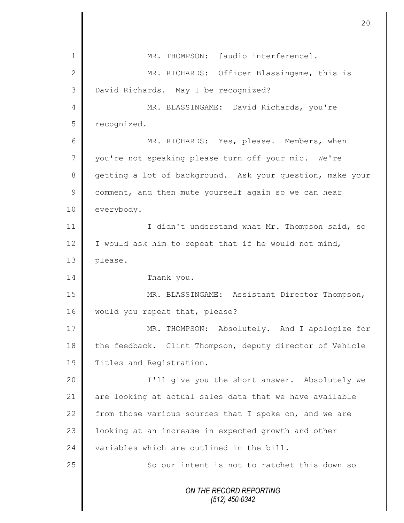*ON THE RECORD REPORTING (512) 450-0342* 1 MR. THOMPSON: [audio interference]. 2 || MR. RICHARDS: Officer Blassingame, this is 3 David Richards. May I be recognized? 4 MR. BLASSINGAME: David Richards, you're 5 recognized. 6 MR. RICHARDS: Yes, please. Members, when 7 you're not speaking please turn off your mic. We're 8 getting a lot of background. Ask your question, make your 9 comment, and then mute yourself again so we can hear 10 everybody. 11 | I didn't understand what Mr. Thompson said, so 12  $\parallel$  I would ask him to repeat that if he would not mind, 13 | please. 14 Thank you. 15 | MR. BLASSINGAME: Assistant Director Thompson, 16 | would you repeat that, please? 17 | MR. THOMPSON: Absolutely. And I apologize for 18 the feedback. Clint Thompson, deputy director of Vehicle 19 | Titles and Registration. 20 | T'll give you the short answer. Absolutely we 21 are looking at actual sales data that we have available 22 from those various sources that I spoke on, and we are 23 | looking at an increase in expected growth and other 24  $\parallel$  variables which are outlined in the bill. 25 So our intent is not to ratchet this down so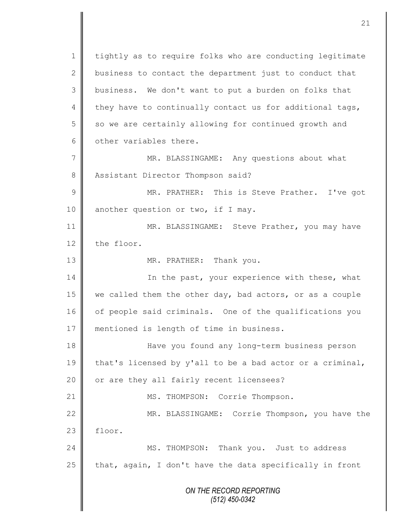*ON THE RECORD REPORTING (512) 450-0342* 1 | tightly as to require folks who are conducting legitimate 2 business to contact the department just to conduct that  $3 \parallel$  business. We don't want to put a burden on folks that 4 they have to continually contact us for additional tags, 5 | so we are certainly allowing for continued growth and 6  $\parallel$  other variables there. 7 MR. BLASSINGAME: Any questions about what 8 Assistant Director Thompson said? 9 || MR. PRATHER: This is Steve Prather. I've got 10 another question or two, if I may. 11 | MR. BLASSINGAME: Steve Prather, you may have 12 the floor. 13 || MR. PRATHER: Thank you. 14 | In the past, your experience with these, what 15 we called them the other day, bad actors, or as a couple 16 of people said criminals. One of the qualifications you 17 mentioned is length of time in business. 18 Have you found any long-term business person 19 that's licensed by y'all to be a bad actor or a criminal, 20 | or are they all fairly recent licensees? 21 || MS. THOMPSON: Corrie Thompson. 22 MR. BLASSINGAME: Corrie Thompson, you have the  $23$   $\parallel$  floor. 24 MS. THOMPSON: Thank you. Just to address  $25$  | that, again, I don't have the data specifically in front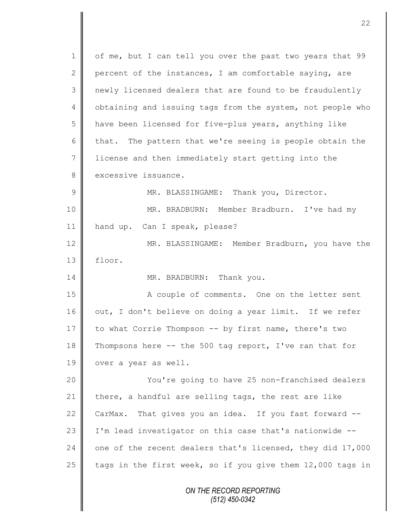*ON THE RECORD REPORTING (512) 450-0342* 1 | of me, but I can tell you over the past two years that 99 2 percent of the instances, I am comfortable saying, are 3 || newly licensed dealers that are found to be fraudulently 4 | obtaining and issuing tags from the system, not people who 5 have been licensed for five-plus years, anything like 6 that. The pattern that we're seeing is people obtain the 7 | license and then immediately start getting into the 8 excessive issuance. 9 || MR. BLASSINGAME: Thank you, Director. 10 MR. BRADBURN: Member Bradburn. I've had my 11 hand up. Can I speak, please? 12 MR. BLASSINGAME: Member Bradburn, you have the 13 floor. 14 MR. BRADBURN: Thank you. 15 || A couple of comments. One on the letter sent  $16$  out, I don't believe on doing a year limit. If we refer 17 to what Corrie Thompson -- by first name, there's two 18 Thompsons here  $-$ - the 500 tag report, I've ran that for 19 | over a year as well. 20 You're going to have 25 non-franchised dealers 21 there, a handful are selling tags, the rest are like 22 CarMax. That gives you an idea. If you fast forward --23 | I'm lead investigator on this case that's nationwide --24  $\parallel$  one of the recent dealers that's licensed, they did 17,000 25  $\parallel$  tags in the first week, so if you give them 12,000 tags in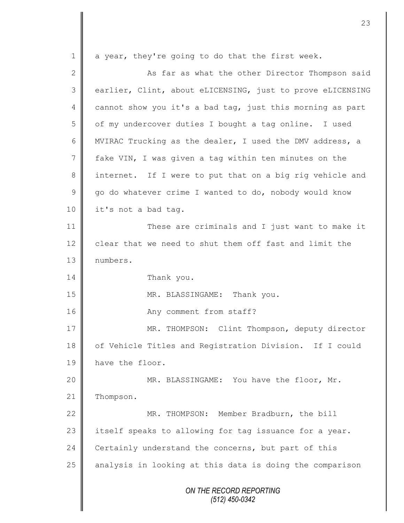*ON THE RECORD REPORTING (512) 450-0342* 1 a year, they're going to do that the first week. 2 || As far as what the other Director Thompson said 3 earlier, Clint, about eLICENSING, just to prove eLICENSING 4 cannot show you it's a bad tag, just this morning as part 5 | of my undercover duties I bought a tag online. I used 6 | MVIRAC Trucking as the dealer, I used the DMV address, a 7 fake VIN, I was given a tag within ten minutes on the 8 || internet. If I were to put that on a big rig vehicle and  $9 \parallel$  go do whatever crime I wanted to do, nobody would know 10 | it's not a bad tag. 11 These are criminals and I just want to make it 12 clear that we need to shut them off fast and limit the 13 | numbers. 14 Thank you. 15 || MR. BLASSINGAME: Thank you. 16 || Any comment from staff? 17 | MR. THOMPSON: Clint Thompson, deputy director 18 | of Vehicle Titles and Registration Division. If I could 19 have the floor. 20 || MR. BLASSINGAME: You have the floor, Mr. 21 | Thompson. 22 MR. THOMPSON: Member Bradburn, the bill 23 itself speaks to allowing for tag issuance for a year. 24 Certainly understand the concerns, but part of this  $25$  analysis in looking at this data is doing the comparison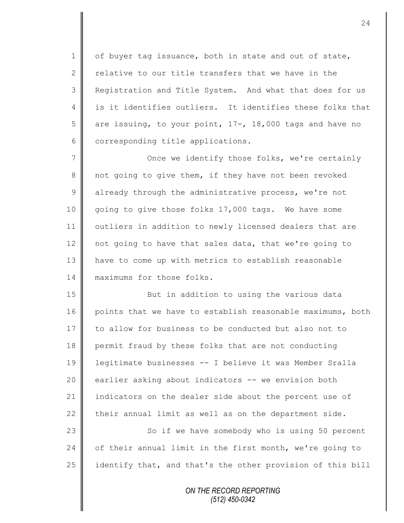1 | of buyer tag issuance, both in state and out of state, 2 relative to our title transfers that we have in the 3 | Registration and Title System. And what that does for us 4 || is it identifies outliers. It identifies these folks that 5 are issuing, to your point,  $17 -$ ,  $18,000$  tags and have no 6 corresponding title applications.

7 || Once we identify those folks, we're certainly 8 not going to give them, if they have not been revoked  $9 \parallel$  already through the administrative process, we're not 10 going to give those folks 17,000 tags. We have some 11 | outliers in addition to newly licensed dealers that are 12 not going to have that sales data, that we're going to 13 have to come up with metrics to establish reasonable 14 maximums for those folks.

15 || But in addition to using the various data 16 points that we have to establish reasonable maximums, both 17 to allow for business to be conducted but also not to 18 permit fraud by these folks that are not conducting 19 legitimate businesses -- I believe it was Member Sralla 20 earlier asking about indicators -- we envision both 21 indicators on the dealer side about the percent use of 22 their annual limit as well as on the department side.

23 || So if we have somebody who is using 50 percent 24  $\parallel$  of their annual limit in the first month, we're going to 25 identify that, and that's the other provision of this bill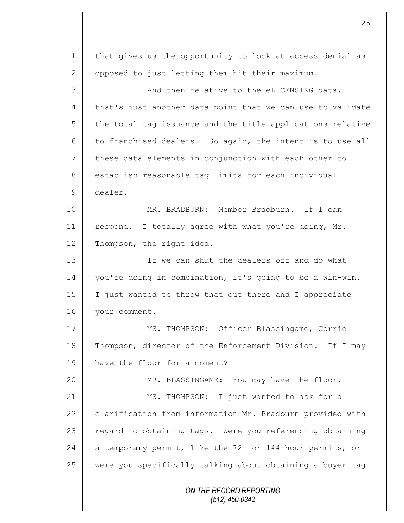*ON THE RECORD REPORTING (512) 450-0342* 1 | that gives us the opportunity to look at access denial as 2 | opposed to just letting them hit their maximum. 3 And then relative to the eLICENSING data, 4 that's just another data point that we can use to validate  $5 \parallel$  the total tag issuance and the title applications relative 6 to franchised dealers. So again, the intent is to use all 7 these data elements in conjunction with each other to 8 stablish reasonable tag limits for each individual 9 dealer. 10 MR. BRADBURN: Member Bradburn. If I can 11 | respond. I totally agree with what you're doing, Mr. 12 Thompson, the right idea. 13 || The can shut the dealers off and do what 14 you're doing in combination, it's going to be a win-win. 15 I just wanted to throw that out there and I appreciate 16 | your comment. 17 || MS. THOMPSON: Officer Blassingame, Corrie 18 Thompson, director of the Enforcement Division. If I may 19 have the floor for a moment? 20 || MR. BLASSINGAME: You may have the floor. 21 | MS. THOMPSON: I just wanted to ask for a 22 clarification from information Mr. Bradburn provided with  $23$  regard to obtaining tags. Were you referencing obtaining 24  $\parallel$  a temporary permit, like the 72- or 144-hour permits, or 25 were you specifically talking about obtaining a buyer tag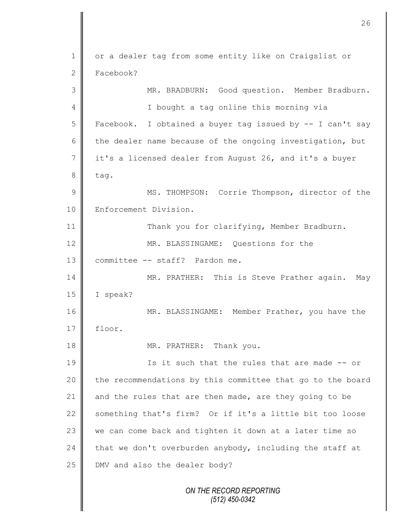*ON THE RECORD REPORTING (512) 450-0342* 1 | or a dealer tag from some entity like on Craigslist or 2 Facebook? 3 MR. BRADBURN: Good question. Member Bradburn. 4 I bought a tag online this morning via  $5 \parallel$  Facebook. I obtained a buyer tag issued by  $-$  I can't say 6 the dealer name because of the ongoing investigation, but 7 it's a licensed dealer from August 26, and it's a buyer  $8$  tag. 9 || MS. THOMPSON: Corrie Thompson, director of the 10 | Enforcement Division. 11 | Thank you for clarifying, Member Bradburn. 12 **MR. BLASSINGAME:** Ouestions for the 13 | committee -- staff? Pardon me. 14 | MR. PRATHER: This is Steve Prather again. May 15 I speak? 16 MR. BLASSINGAME: Member Prather, you have the  $17$  | floor. 18 **||** MR. PRATHER: Thank you. 19 **I** Is it such that the rules that are made -- or 20 the recommendations by this committee that go to the board 21  $\parallel$  and the rules that are then made, are they going to be 22 something that's firm? Or if it's a little bit too loose 23 we can come back and tighten it down at a later time so 24  $\parallel$  that we don't overburden anybody, including the staff at 25 **DMV** and also the dealer body?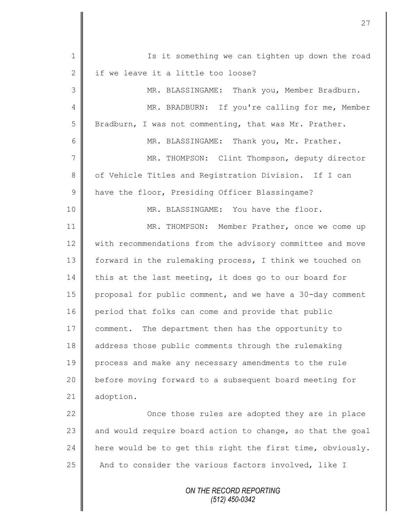| $\mathbf 1$   | Is it something we can tighten up down the road            |
|---------------|------------------------------------------------------------|
| $\mathbf{2}$  | if we leave it a little too loose?                         |
| 3             | MR. BLASSINGAME: Thank you, Member Bradburn.               |
| 4             | MR. BRADBURN: If you're calling for me, Member             |
| 5             | Bradburn, I was not commenting, that was Mr. Prather.      |
| 6             | MR. BLASSINGAME: Thank you, Mr. Prather.                   |
| 7             | MR. THOMPSON: Clint Thompson, deputy director              |
| $8\,$         | of Vehicle Titles and Registration Division. If I can      |
| $\mathcal{G}$ | have the floor, Presiding Officer Blassingame?             |
| 10            | MR. BLASSINGAME: You have the floor.                       |
| 11            | MR. THOMPSON: Member Prather, once we come up              |
| 12            | with recommendations from the advisory committee and move  |
| 13            | forward in the rulemaking process, I think we touched on   |
| 14            | this at the last meeting, it does go to our board for      |
| 15            | proposal for public comment, and we have a 30-day comment  |
| 16            | period that folks can come and provide that public         |
| 17            | comment. The department then has the opportunity to        |
| 18            | address those public comments through the rulemaking       |
| 19            | process and make any necessary amendments to the rule      |
| 20            | before moving forward to a subsequent board meeting for    |
| 21            | adoption.                                                  |
| 22            | Once those rules are adopted they are in place             |
| 23            | and would require board action to change, so that the goal |
| 24            | here would be to get this right the first time, obviously. |
| 25            | And to consider the various factors involved, like I       |
|               | ON THE RECORD REPORTING<br>(512) 450-0342                  |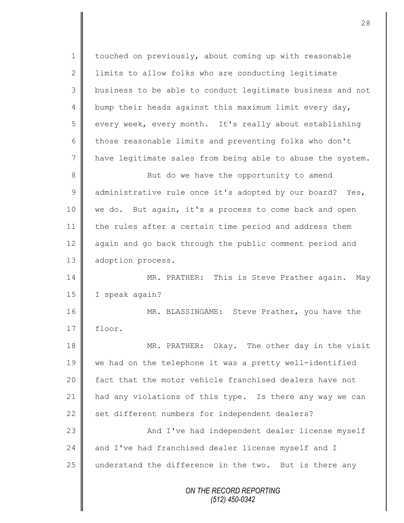*ON THE RECORD REPORTING (512) 450-0342* 1 | touched on previously, about coming up with reasonable 2 lack limits to allow folks who are conducting legitimate 3 business to be able to conduct legitimate business and not 4 bump their heads against this maximum limit every day, 5 every week, every month. It's really about establishing 6 those reasonable limits and preventing folks who don't 7 have legitimate sales from being able to abuse the system. 8 But do we have the opportunity to amend 9  $\parallel$  administrative rule once it's adopted by our board? Yes, 10 | we do. But again, it's a process to come back and open 11 the rules after a certain time period and address them 12 again and go back through the public comment period and 13 adoption process. 14 MR. PRATHER: This is Steve Prather again. May 15 | I speak again? 16 MR. BLASSINGAME: Steve Prather, you have the  $17 \parallel$  floor. 18 MR. PRATHER: Okay. The other day in the visit 19 we had on the telephone it was a pretty well-identified 20 **f** fact that the motor vehicle franchised dealers have not 21 | had any violations of this type. Is there any way we can 22  $\parallel$  set different numbers for independent dealers? 23 | And I've had independent dealer license myself 24 and I've had franchised dealer license myself and I 25 understand the difference in the two. But is there any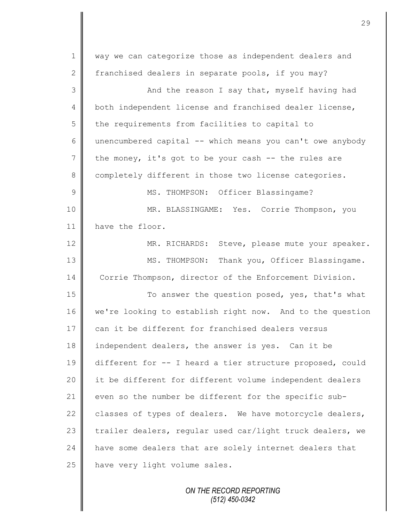| $\mathbf 1$     | way we can categorize those as independent dealers and    |
|-----------------|-----------------------------------------------------------|
| $\mathbf{2}$    | franchised dealers in separate pools, if you may?         |
| 3               | And the reason I say that, myself having had              |
| $\overline{4}$  | both independent license and franchised dealer license,   |
| 5               | the requirements from facilities to capital to            |
| 6               | unencumbered capital -- which means you can't owe anybody |
| $7\phantom{.0}$ | the money, it's got to be your cash -- the rules are      |
| 8               | completely different in those two license categories.     |
| 9               | MS. THOMPSON: Officer Blassingame?                        |
| 10              | MR. BLASSINGAME: Yes. Corrie Thompson, you                |
| 11              | have the floor.                                           |
| 12              | MR. RICHARDS: Steve, please mute your speaker.            |
| 13              | MS. THOMPSON: Thank you, Officer Blassingame.             |
| 14              | Corrie Thompson, director of the Enforcement Division.    |
| 15              | To answer the question posed, yes, that's what            |
| 16              | we're looking to establish right now. And to the question |
| 17              | can it be different for franchised dealers versus         |
| 18              | independent dealers, the answer is yes. Can it be         |
| 19              | different for -- I heard a tier structure proposed, could |
| 20              | it be different for different volume independent dealers  |
| 21              | even so the number be different for the specific sub-     |
| 22              | classes of types of dealers. We have motorcycle dealers,  |
| 23              | trailer dealers, regular used car/light truck dealers, we |
| 24              | have some dealers that are solely internet dealers that   |
| 25              | have very light volume sales.                             |
|                 |                                                           |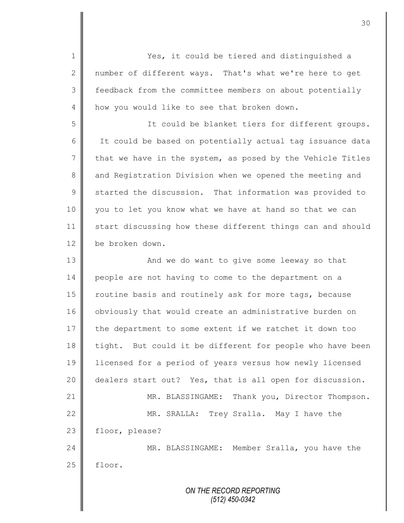*ON THE RECORD REPORTING (512) 450-0342* 1 Yes, it could be tiered and distinguished a 2 mumber of different ways. That's what we're here to get 3 | feedback from the committee members on about potentially 4 how you would like to see that broken down. 5 || The could be blanket tiers for different groups. 6 | It could be based on potentially actual tag issuance data  $7 \parallel$  that we have in the system, as posed by the Vehicle Titles 8 and Registration Division when we opened the meeting and  $9 \parallel$  started the discussion. That information was provided to 10 you to let you know what we have at hand so that we can 11 start discussing how these different things can and should 12 be broken down. 13 || And we do want to give some leeway so that 14 people are not having to come to the department on a 15 | routine basis and routinely ask for more tags, because 16 | obviously that would create an administrative burden on 17 the department to some extent if we ratchet it down too 18 tight. But could it be different for people who have been 19 | licensed for a period of years versus how newly licensed 20 dealers start out? Yes, that is all open for discussion. 21 | MR. BLASSINGAME: Thank you, Director Thompson. 22 MR. SRALLA: Trey Sralla. May I have the 23 floor, please? 24 MR. BLASSINGAME: Member Sralla, you have the  $25$  | floor.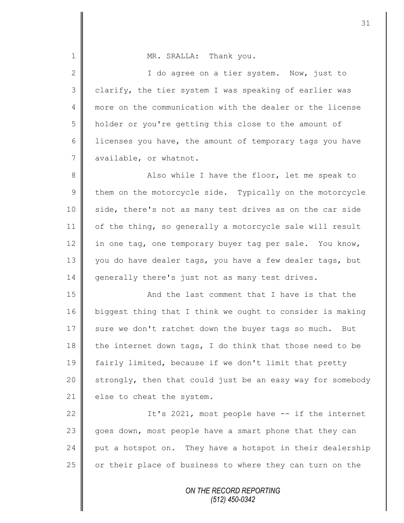1 MR. SRALLA: Thank you. 2 || I do agree on a tier system. Now, just to  $3 \parallel$  clarify, the tier system I was speaking of earlier was 4 more on the communication with the dealer or the license 5 holder or you're getting this close to the amount of 6 licenses you have, the amount of temporary tags you have 7 available, or whatnot. 8 || Also while I have the floor, let me speak to  $9 \parallel$  them on the motorcycle side. Typically on the motorcycle 10 | side, there's not as many test drives as on the car side 11 | of the thing, so generally a motorcycle sale will result 12 in one tag, one temporary buyer tag per sale. You know, 13 you do have dealer tags, you have a few dealer tags, but 14 generally there's just not as many test drives. 15 || And the last comment that I have is that the 16 biggest thing that I think we ought to consider is making 17 sure we don't ratchet down the buyer tags so much. But 18 the internet down tags, I do think that those need to be 19 | fairly limited, because if we don't limit that pretty  $20$  strongly, then that could just be an easy way for somebody 21  $\parallel$  else to cheat the system. 22  $\parallel$  1t's 2021, most people have  $-$  if the internet 23 goes down, most people have a smart phone that they can  $24$  | put a hotspot on. They have a hotspot in their dealership 25 | or their place of business to where they can turn on the

> *ON THE RECORD REPORTING (512) 450-0342*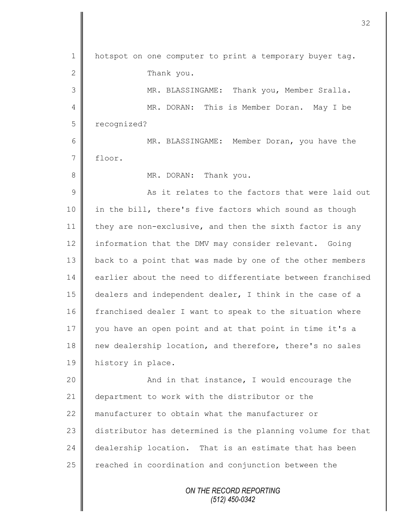| $\mathbf 1$ | hotspot on one computer to print a temporary buyer tag.    |
|-------------|------------------------------------------------------------|
| 2           | Thank you.                                                 |
| 3           | MR. BLASSINGAME: Thank you, Member Sralla.                 |
| 4           | MR. DORAN: This is Member Doran. May I be                  |
| 5           | recognized?                                                |
| 6           | MR. BLASSINGAME: Member Doran, you have the                |
| 7           | floor.                                                     |
| $\,8\,$     | MR. DORAN: Thank you.                                      |
| 9           | As it relates to the factors that were laid out            |
| 10          | in the bill, there's five factors which sound as though    |
| 11          | they are non-exclusive, and then the sixth factor is any   |
| 12          | information that the DMV may consider relevant. Going      |
| 13          | back to a point that was made by one of the other members  |
| 14          | earlier about the need to differentiate between franchised |
| 15          | dealers and independent dealer, I think in the case of a   |
| 16          | franchised dealer I want to speak to the situation where   |
| 17          | you have an open point and at that point in time it's a    |
| 18          | new dealership location, and therefore, there's no sales   |
| 19          | history in place.                                          |
| 20          | And in that instance, I would encourage the                |
| 21          | department to work with the distributor or the             |
| 22          | manufacturer to obtain what the manufacturer or            |
| 23          | distributor has determined is the planning volume for that |
| 24          | dealership location. That is an estimate that has been     |
| 25          | reached in coordination and conjunction between the        |
|             |                                                            |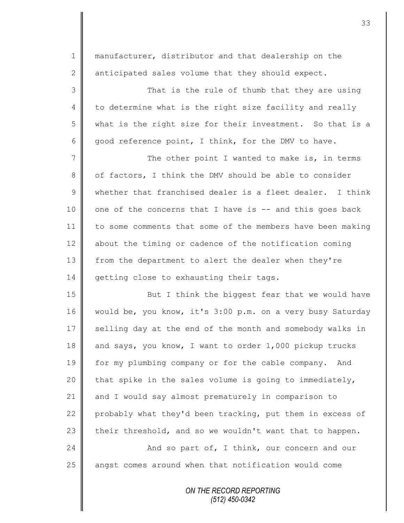| $\mathbf 1$     | manufacturer, distributor and that dealership on the       |
|-----------------|------------------------------------------------------------|
| 2               | anticipated sales volume that they should expect.          |
| 3               | That is the rule of thumb that they are using              |
| $\overline{4}$  | to determine what is the right size facility and really    |
| 5               | what is the right size for their investment. So that is a  |
| 6               | good reference point, I think, for the DMV to have.        |
| $7\phantom{.0}$ | The other point I wanted to make is, in terms              |
| 8               | of factors, I think the DMV should be able to consider     |
| $\mathcal{G}$   | whether that franchised dealer is a fleet dealer. I think  |
| 10              | one of the concerns that I have is -- and this goes back   |
| 11              | to some comments that some of the members have been making |
| 12              | about the timing or cadence of the notification coming     |
| 13              | from the department to alert the dealer when they're       |
| 14              | getting close to exhausting their tags.                    |
| 15              | But I think the biggest fear that we would have            |
| 16              | would be, you know, it's 3:00 p.m. on a very busy Saturday |
| 17              | selling day at the end of the month and somebody walks in  |
| 18              | and says, you know, I want to order 1,000 pickup trucks    |
| 19              | for my plumbing company or for the cable company.<br>And   |
| 20              | that spike in the sales volume is going to immediately,    |
| 21              | and I would say almost prematurely in comparison to        |
| 22              | probably what they'd been tracking, put them in excess of  |
| 23              | their threshold, and so we wouldn't want that to happen.   |
| 24              | And so part of, I think, our concern and our               |
| 25              | angst comes around when that notification would come       |

*ON THE RECORD REPORTING (512) 450-0342*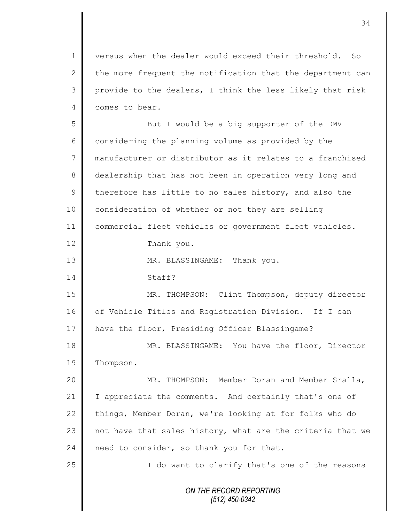1 | versus when the dealer would exceed their threshold. So 2 the more frequent the notification that the department can 3 provide to the dealers, I think the less likely that risk 4 comes to bear.

5 || But I would be a big supporter of the DMV  $6 \parallel$  considering the planning volume as provided by the 7 manufacturer or distributor as it relates to a franchised 8 dealership that has not been in operation very long and 9 therefore has little to no sales history, and also the 10 consideration of whether or not they are selling 11 commercial fleet vehicles or government fleet vehicles. 12 Thank you. 13 || MR. BLASSINGAME: Thank you. 14 Staff? 15 MR. THOMPSON: Clint Thompson, deputy director 16 of Vehicle Titles and Registration Division. If I can 17 | have the floor, Presiding Officer Blassingame? 18 MR. BLASSINGAME: You have the floor, Director 19 | Thompson. 20 MR. THOMPSON: Member Doran and Member Sralla,

21 | I appreciate the comments. And certainly that's one of 22 things, Member Doran, we're looking at for folks who do 23  $\parallel$  not have that sales history, what are the criteria that we 24 need to consider, so thank you for that.

25 || I do want to clarify that's one of the reasons

*ON THE RECORD REPORTING (512) 450-0342*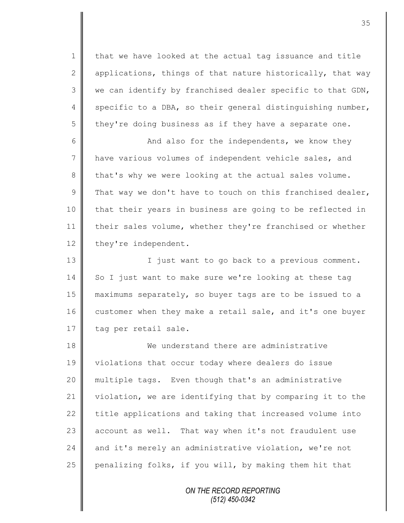1 | that we have looked at the actual tag issuance and title 2 applications, things of that nature historically, that way  $3 \parallel$  we can identify by franchised dealer specific to that GDN, 4 specific to a DBA, so their general distinguishing number, 5 they're doing business as if they have a separate one.

6 And also for the independents, we know they 7 || have various volumes of independent vehicle sales, and 8 that's why we were looking at the actual sales volume. 9 That way we don't have to touch on this franchised dealer, 10 || that their years in business are going to be reflected in 11 their sales volume, whether they're franchised or whether 12 they're independent.

13 || I just want to go back to a previous comment. 14 So I just want to make sure we're looking at these tag 15 maximums separately, so buyer tags are to be issued to a 16 customer when they make a retail sale, and it's one buyer 17 | tag per retail sale.

18 **We understand there are administrative** 19 | violations that occur today where dealers do issue 20 multiple tags. Even though that's an administrative 21 violation, we are identifying that by comparing it to the  $22$  title applications and taking that increased volume into 23 account as well. That way when it's not fraudulent use 24  $\parallel$  and it's merely an administrative violation, we're not 25 penalizing folks, if you will, by making them hit that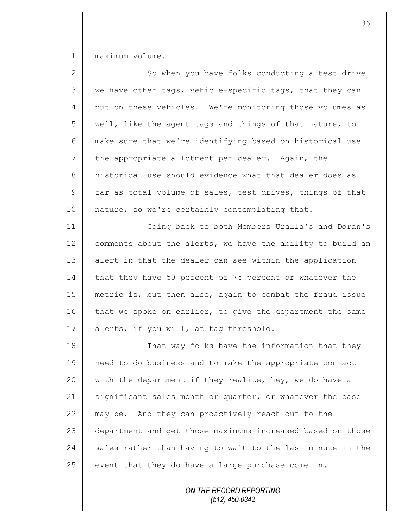1 maximum volume.

| $\mathbf{2}$   | So when you have folks conducting a test drive             |
|----------------|------------------------------------------------------------|
| 3              | we have other tags, vehicle-specific tags, that they can   |
| 4              | put on these vehicles. We're monitoring those volumes as   |
| 5              | well, like the agent tags and things of that nature, to    |
| 6              | make sure that we're identifying based on historical use   |
| $7\phantom{.}$ | the appropriate allotment per dealer. Again, the           |
| 8              | historical use should evidence what that dealer does as    |
| $\mathcal{G}$  | far as total volume of sales, test drives, things of that  |
| 10             | nature, so we're certainly contemplating that.             |
| 11             | Going back to both Members Uralla's and Doran's            |
| 12             | comments about the alerts, we have the ability to build an |
| 13             | alert in that the dealer can see within the application    |
| 14             | that they have 50 percent or 75 percent or whatever the    |
| 15             | metric is, but then also, again to combat the fraud issue  |
| 16             | that we spoke on earlier, to give the department the same  |
| 17             | alerts, if you will, at tag threshold.                     |
| 18             | That way folks have the information that they              |
| 19             | need to do business and to make the appropriate contact    |
| 20             | with the department if they realize, hey, we do have a     |
| 21             | significant sales month or quarter, or whatever the case   |
| 22             | may be. And they can proactively reach out to the          |
| 23             | department and get those maximums increased based on those |
| 24             | sales rather than having to wait to the last minute in the |
| 25             | event that they do have a large purchase come in.          |
|                |                                                            |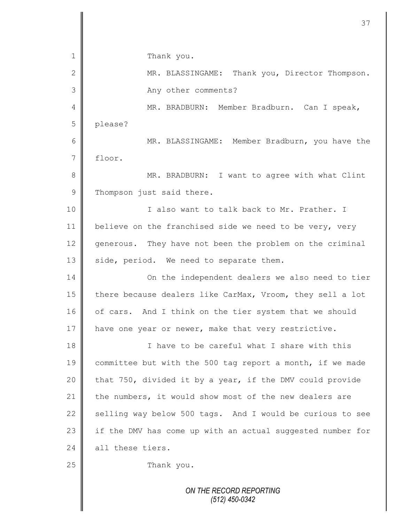|              | 37                                                         |
|--------------|------------------------------------------------------------|
|              |                                                            |
| 1            | Thank you.                                                 |
| $\mathbf{2}$ | MR. BLASSINGAME: Thank you, Director Thompson.             |
| 3            | Any other comments?                                        |
| 4            | MR. BRADBURN: Member Bradburn. Can I speak,                |
| 5            | please?                                                    |
| 6            | MR. BLASSINGAME: Member Bradburn, you have the             |
| 7            | floor.                                                     |
| 8            | MR. BRADBURN: I want to agree with what Clint              |
| $\mathsf 9$  | Thompson just said there.                                  |
| 10           | I also want to talk back to Mr. Prather. I                 |
| 11           | believe on the franchised side we need to be very, very    |
| 12           | generous. They have not been the problem on the criminal   |
| 13           | side, period. We need to separate them.                    |
| 14           | On the independent dealers we also need to tier            |
| 15           | there because dealers like CarMax, Vroom, they sell a lot  |
| 16           | of cars. And I think on the tier system that we should     |
| 17           | have one year or newer, make that very restrictive.        |
| 18           | I have to be careful what I share with this                |
| 19           | committee but with the 500 tag report a month, if we made  |
| 20           | that 750, divided it by a year, if the DMV could provide   |
| 21           | the numbers, it would show most of the new dealers are     |
| 22           | selling way below 500 tags. And I would be curious to see  |
| 23           | if the DMV has come up with an actual suggested number for |
| 24           | all these tiers.                                           |
| 25           | Thank you.                                                 |
|              | ON THE RECORD REPORTING<br>$(512)$ 450-0342                |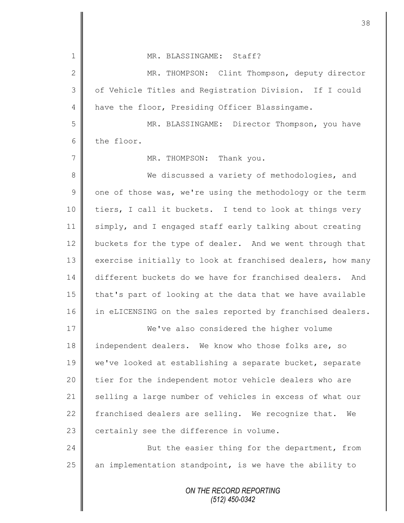| $\mathbf 1$    | MR. BLASSINGAME: Staff?                                    |
|----------------|------------------------------------------------------------|
| $\mathbf{2}$   | MR. THOMPSON: Clint Thompson, deputy director              |
| 3              | of Vehicle Titles and Registration Division. If I could    |
| $\overline{4}$ | have the floor, Presiding Officer Blassingame.             |
| 5              | MR. BLASSINGAME: Director Thompson, you have               |
| 6              | the floor.                                                 |
| 7              | MR. THOMPSON: Thank you.                                   |
| 8              | We discussed a variety of methodologies, and               |
| $\overline{9}$ | one of those was, we're using the methodology or the term  |
| 10             | tiers, I call it buckets. I tend to look at things very    |
| 11             | simply, and I engaged staff early talking about creating   |
| 12             | buckets for the type of dealer. And we went through that   |
| 13             | exercise initially to look at franchised dealers, how many |
| 14             | different buckets do we have for franchised dealers. And   |
| 15             | that's part of looking at the data that we have available  |
| 16             | in eLICENSING on the sales reported by franchised dealers. |
| 17             | We've also considered the higher volume                    |
| 18             | independent dealers. We know who those folks are, so       |
| 19             | we've looked at establishing a separate bucket, separate   |
| 20             | tier for the independent motor vehicle dealers who are     |
| 21             | selling a large number of vehicles in excess of what our   |
| 22             | franchised dealers are selling. We recognize that.<br>We   |
| 23             | certainly see the difference in volume.                    |
| 24             | But the easier thing for the department, from              |
| 25             | an implementation standpoint, is we have the ability to    |
|                | ON THE RECORD REPORTING<br>$(512)$ 450-0342                |

 $\mathbf l$ II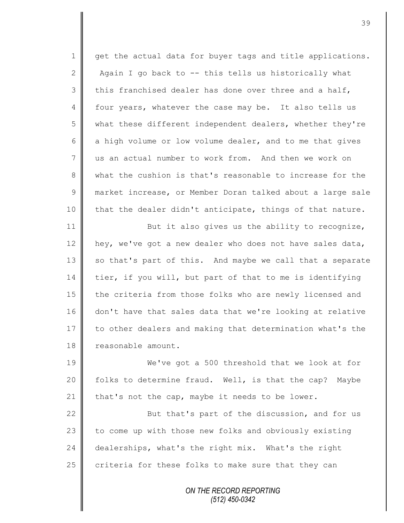1 get the actual data for buyer tags and title applications. 2  $\parallel$  Again I go back to -- this tells us historically what 3 this franchised dealer has done over three and a half, 4 four years, whatever the case may be. It also tells us 5 what these different independent dealers, whether they're  $6 \parallel$  a high volume or low volume dealer, and to me that gives 7 us an actual number to work from. And then we work on 8 what the cushion is that's reasonable to increase for the 9 market increase, or Member Doran talked about a large sale 10 that the dealer didn't anticipate, things of that nature. 11 But it also gives us the ability to recognize, 12 hey, we've got a new dealer who does not have sales data, 13 so that's part of this. And maybe we call that a separate 14 tier, if you will, but part of that to me is identifying

15 | the criteria from those folks who are newly licensed and 16 don't have that sales data that we're looking at relative 17 to other dealers and making that determination what's the 18 **c**reasonable amount.

19 We've got a 500 threshold that we look at for 20  $\parallel$  folks to determine fraud. Well, is that the cap? Maybe 21 | that's not the cap, maybe it needs to be lower.

22 || But that's part of the discussion, and for us 23 to come up with those new folks and obviously existing 24 dealerships, what's the right mix. What's the right 25 criteria for these folks to make sure that they can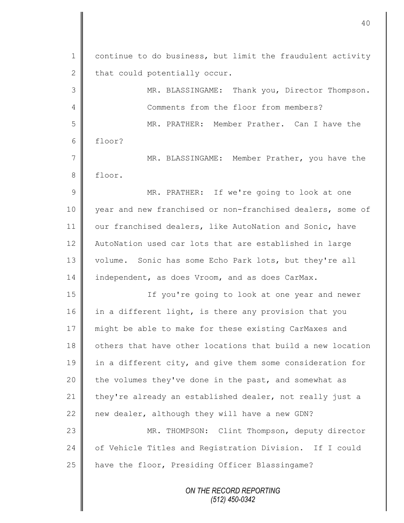| $\mathbf 1$   | continue to do business, but limit the fraudulent activity |
|---------------|------------------------------------------------------------|
| $\mathbf{2}$  | that could potentially occur.                              |
| 3             | MR. BLASSINGAME: Thank you, Director Thompson.             |
| 4             | Comments from the floor from members?                      |
| 5             | MR. PRATHER: Member Prather. Can I have the                |
| 6             | floor?                                                     |
| 7             | MR. BLASSINGAME: Member Prather, you have the              |
| 8             | floor.                                                     |
| $\mathcal{G}$ | MR. PRATHER: If we're going to look at one                 |
| 10            | year and new franchised or non-franchised dealers, some of |
| 11            | our franchised dealers, like AutoNation and Sonic, have    |
| 12            | AutoNation used car lots that are established in large     |
| 13            | volume. Sonic has some Echo Park lots, but they're all     |
| 14            | independent, as does Vroom, and as does CarMax.            |
| 15            | If you're going to look at one year and newer              |
| 16            | in a different light, is there any provision that you      |
| 17            | might be able to make for these existing CarMaxes and      |
| 18            | others that have other locations that build a new location |
| 19            | in a different city, and give them some consideration for  |
| 20            | the volumes they've done in the past, and somewhat as      |
| 21            | they're already an established dealer, not really just a   |
| 22            | new dealer, although they will have a new GDN?             |
| 23            | MR. THOMPSON: Clint Thompson, deputy director              |
| 24            | of Vehicle Titles and Registration Division. If I could    |
| 25            | have the floor, Presiding Officer Blassingame?             |
|               | ON THE RECORD REPORTING                                    |
|               |                                                            |

*(512) 450-0342*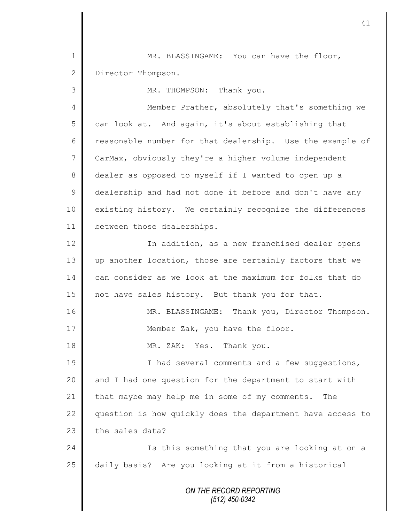1 MR. BLASSINGAME: You can have the floor, 2 Director Thompson.

3 MR. THOMPSON: Thank you.

4 Member Prather, absolutely that's something we 5 can look at. And again, it's about establishing that 6 Teasonable number for that dealership. Use the example of 7 CarMax, obviously they're a higher volume independent 8 dealer as opposed to myself if I wanted to open up a 9 dealership and had not done it before and don't have any 10 existing history. We certainly recognize the differences 11 | between those dealerships.

12 | In addition, as a new franchised dealer opens 13 up another location, those are certainly factors that we 14 can consider as we look at the maximum for folks that do 15 | not have sales history. But thank you for that.

16 | MR. BLASSINGAME: Thank you, Director Thompson. 17 | Member Zak, you have the floor.

18 || MR. ZAK: Yes. Thank you.

19 || I had several comments and a few suggestions, 20  $\parallel$  and I had one question for the department to start with 21 that maybe may help me in some of my comments. The 22 question is how quickly does the department have access to  $23$  the sales data?

24 Is this something that you are looking at on a 25 daily basis? Are you looking at it from a historical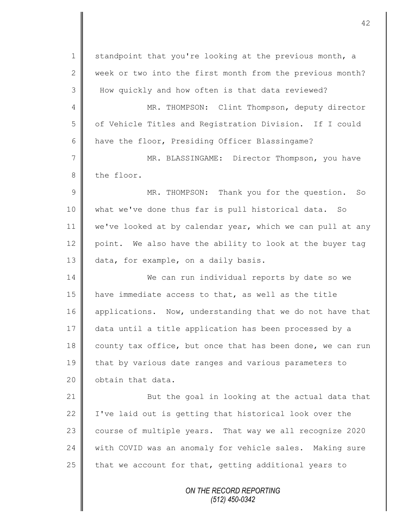*ON THE RECORD REPORTING* 1 standpoint that you're looking at the previous month, a  $2 \parallel$  week or two into the first month from the previous month? 3 H How quickly and how often is that data reviewed? 4 || MR. THOMPSON: Clint Thompson, deputy director 5 | of Vehicle Titles and Registration Division. If I could 6  $\parallel$  have the floor, Presiding Officer Blassingame? 7 || MR. BLASSINGAME: Director Thompson, you have 8 the floor. 9 || MR. THOMPSON: Thank you for the question. So 10 what we've done thus far is pull historical data. So 11 | we've looked at by calendar year, which we can pull at any 12 point. We also have the ability to look at the buyer tag 13 data, for example, on a daily basis. 14 We can run individual reports by date so we 15 have immediate access to that, as well as the title 16 applications. Now, understanding that we do not have that 17 data until a title application has been processed by a 18 county tax office, but once that has been done, we can run 19 that by various date ranges and various parameters to 20  $\parallel$  obtain that data. 21 **But the goal in looking at the actual data that** 22  $\parallel$  I've laid out is getting that historical look over the 23 course of multiple years. That way we all recognize 2020 24 with COVID was an anomaly for vehicle sales. Making sure 25  $\parallel$  that we account for that, getting additional years to

*(512) 450-0342*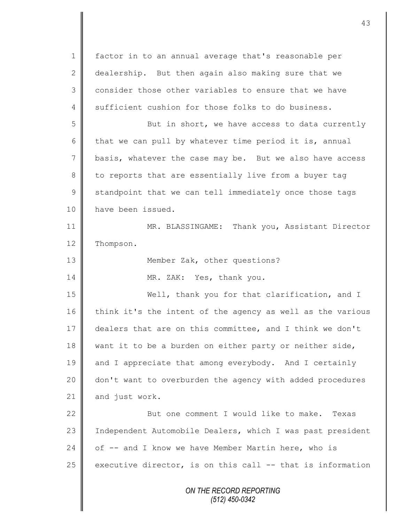*ON THE RECORD REPORTING (512) 450-0342* 1 | factor in to an annual average that's reasonable per 2 dealership. But then again also making sure that we 3 consider those other variables to ensure that we have 4 sufficient cushion for those folks to do business. 5 But in short, we have access to data currently 6 that we can pull by whatever time period it is, annual 7 basis, whatever the case may be. But we also have access 8 to reports that are essentially live from a buyer tag  $9 \parallel$  standpoint that we can tell immediately once those tags 10 | have been issued. 11 MR. BLASSINGAME: Thank you, Assistant Director 12 | Thompson. 13 **||** Member Zak, other questions? 14 MR. ZAK: Yes, thank you. 15 Well, thank you for that clarification, and I 16 think it's the intent of the agency as well as the various 17 dealers that are on this committee, and I think we don't 18 want it to be a burden on either party or neither side, 19 and I appreciate that among everybody. And I certainly 20 | don't want to overburden the agency with added procedures 21 and just work. 22 But one comment I would like to make. Texas 23 | Independent Automobile Dealers, which I was past president 24  $\parallel$  of -- and I know we have Member Martin here, who is 25 executive director, is on this call  $-$  that is information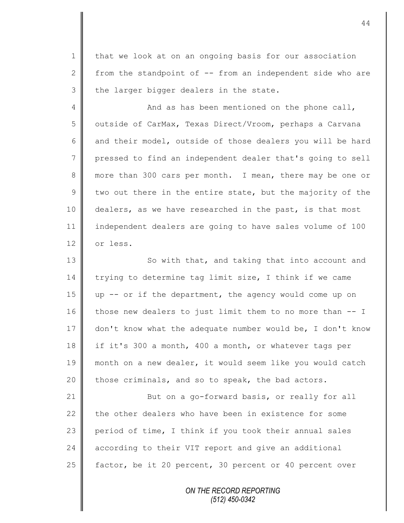1 | that we look at on an ongoing basis for our association 2 from the standpoint of  $-$  from an independent side who are  $3$  the larger bigger dealers in the state.

4 || And as has been mentioned on the phone call, 5 | outside of CarMax, Texas Direct/Vroom, perhaps a Carvana 6 and their model, outside of those dealers you will be hard 7 pressed to find an independent dealer that's going to sell 8 more than 300 cars per month. I mean, there may be one or  $9 \parallel$  two out there in the entire state, but the majority of the 10 dealers, as we have researched in the past, is that most 11 independent dealers are going to have sales volume of 100 12 or less.

13 || So with that, and taking that into account and 14 trying to determine tag limit size, I think if we came 15 up -- or if the department, the agency would come up on 16 those new dealers to just limit them to no more than -- I 17 don't know what the adequate number would be, I don't know 18 if it's 300 a month, 400 a month, or whatever tags per 19 month on a new dealer, it would seem like you would catch  $20$  | those criminals, and so to speak, the bad actors.

21 | But on a go-forward basis, or really for all 22  $\parallel$  the other dealers who have been in existence for some 23 period of time, I think if you took their annual sales 24 according to their VIT report and give an additional 25 **f** factor, be it 20 percent, 30 percent or 40 percent over

> *ON THE RECORD REPORTING (512) 450-0342*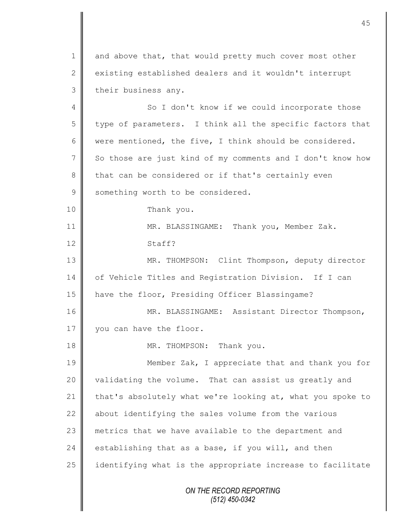*ON THE RECORD REPORTING (512) 450-0342* 1 and above that, that would pretty much cover most other 2 existing established dealers and it wouldn't interrupt 3 their business any. 4 So I don't know if we could incorporate those  $5$  | type of parameters. I think all the specific factors that 6 were mentioned, the five, I think should be considered. 7 So those are just kind of my comments and I don't know how 8 that can be considered or if that's certainly even 9 something worth to be considered. 10 Thank you. 11 | MR. BLASSINGAME: Thank you, Member Zak. 12 Staff? 13 | MR. THOMPSON: Clint Thompson, deputy director 14 of Vehicle Titles and Registration Division. If I can 15 have the floor, Presiding Officer Blassingame? 16 MR. BLASSINGAME: Assistant Director Thompson, 17 vou can have the floor. 18 || MR. THOMPSON: Thank you. 19 **Member Zak, I appreciate that and thank you for** 20 validating the volume. That can assist us greatly and 21 that's absolutely what we're looking at, what you spoke to 22 about identifying the sales volume from the various 23 metrics that we have available to the department and 24 establishing that as a base, if you will, and then  $25$  identifying what is the appropriate increase to facilitate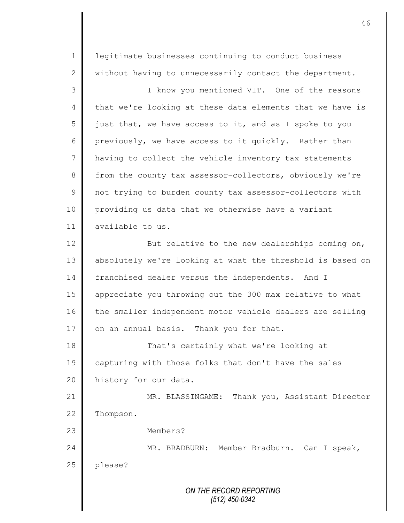*ON THE RECORD REPORTING (512) 450-0342* 1 || legitimate businesses continuing to conduct business 2 without having to unnecessarily contact the department. 3 || I know you mentioned VIT. One of the reasons 4 that we're looking at these data elements that we have is  $5 \parallel$  just that, we have access to it, and as I spoke to you 6 previously, we have access to it quickly. Rather than 7 | having to collect the vehicle inventory tax statements 8 from the county tax assessor-collectors, obviously we're 9 | not trying to burden county tax assessor-collectors with 10 providing us data that we otherwise have a variant 11 available to us. 12 **But relative to the new dealerships coming on,** 13 absolutely we're looking at what the threshold is based on 14 franchised dealer versus the independents. And I 15 | appreciate you throwing out the 300 max relative to what 16 the smaller independent motor vehicle dealers are selling 17 on an annual basis. Thank you for that. 18 That's certainly what we're looking at 19 capturing with those folks that don't have the sales 20 history for our data. 21 MR. BLASSINGAME: Thank you, Assistant Director 22 Thompson. 23 Members? 24 MR. BRADBURN: Member Bradburn. Can I speak, 25 | please?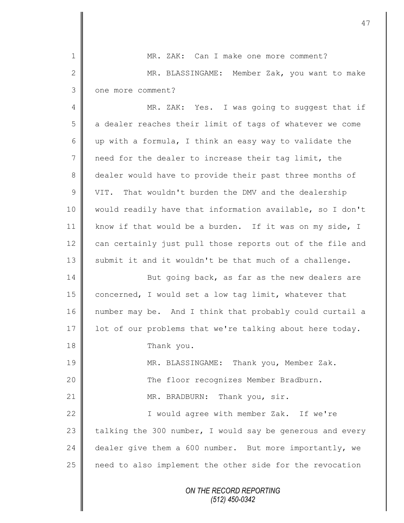*ON THE RECORD REPORTING* 1 MR. ZAK: Can I make one more comment? 2 MR. BLASSINGAME: Member Zak, you want to make 3 | one more comment? 4 || MR. ZAK: Yes. I was going to suggest that if 5 a dealer reaches their limit of tags of whatever we come 6 up with a formula, I think an easy way to validate the 7 need for the dealer to increase their tag limit, the 8 dealer would have to provide their past three months of 9 VIT. That wouldn't burden the DMV and the dealership 10 would readily have that information available, so I don't 11 | know if that would be a burden. If it was on my side, I 12 can certainly just pull those reports out of the file and 13 submit it and it wouldn't be that much of a challenge. 14 But going back, as far as the new dealers are 15 concerned, I would set a low tag limit, whatever that 16 number may be. And I think that probably could curtail a 17 | lot of our problems that we're talking about here today. 18 Thank you. 19 MR. BLASSINGAME: Thank you, Member Zak. 20 The floor recognizes Member Bradburn. 21 || MR. BRADBURN: Thank you, sir. 22 | Twould agree with member Zak. If we're 23 talking the 300 number, I would say be generous and every 24 dealer give them a 600 number. But more importantly, we 25 | need to also implement the other side for the revocation

47

*(512) 450-0342*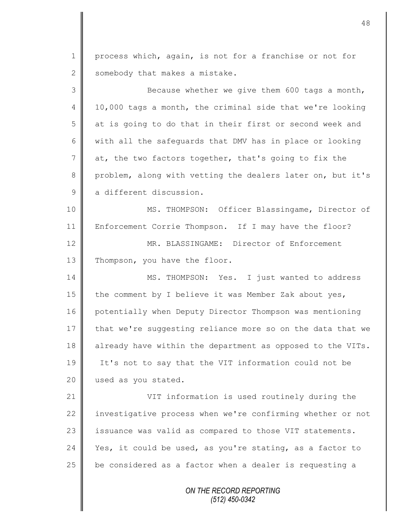1 process which, again, is not for a franchise or not for 2 somebody that makes a mistake. 3 Because whether we give them 600 tags a month,  $4 \parallel 10,000$  tags a month, the criminal side that we're looking 5 at is going to do that in their first or second week and

6 with all the safeguards that DMV has in place or looking 7 at, the two factors together, that's going to fix the 8 problem, along with vetting the dealers later on, but it's 9 a different discussion.

10 MS. THOMPSON: Officer Blassingame, Director of 11 Enforcement Corrie Thompson. If I may have the floor? 12 MR. BLASSINGAME: Director of Enforcement 13 Thompson, you have the floor.

14 MS. THOMPSON: Yes. I just wanted to address 15  $\parallel$  the comment by I believe it was Member Zak about yes, 16 | potentially when Deputy Director Thompson was mentioning 17 that we're suggesting reliance more so on the data that we 18 already have within the department as opposed to the VITs. 19 It's not to say that the VIT information could not be 20 used as you stated.

21 VIT information is used routinely during the 22 investigative process when we're confirming whether or not 23 | issuance was valid as compared to those VIT statements. 24 Yes, it could be used, as you're stating, as a factor to  $25$  be considered as a factor when a dealer is requesting a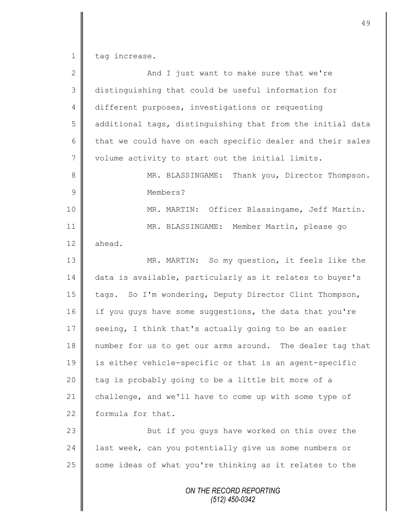1 tag increase.

Ш II

| $\overline{2}$ | And I just want to make sure that we're                    |
|----------------|------------------------------------------------------------|
| 3              | distinguishing that could be useful information for        |
| 4              | different purposes, investigations or requesting           |
| 5              | additional tags, distinguishing that from the initial data |
| 6              | that we could have on each specific dealer and their sales |
| 7              | volume activity to start out the initial limits.           |
| 8              | MR. BLASSINGAME: Thank you, Director Thompson.             |
| 9              | Members?                                                   |
| 10             | MR. MARTIN: Officer Blassingame, Jeff Martin.              |
| 11             | MR. BLASSINGAME: Member Martin, please go                  |
| 12             | ahead.                                                     |
| 13             | MR. MARTIN: So my question, it feels like the              |
| 14             | data is available, particularly as it relates to buyer's   |
| 15             | tags. So I'm wondering, Deputy Director Clint Thompson,    |
| 16             | if you guys have some suggestions, the data that you're    |
| 17             | seeing, I think that's actually going to be an easier      |
| 18             | number for us to get our arms around. The dealer tag that  |
| 19             | is either vehicle-specific or that is an agent-specific    |
| 20             | tag is probably going to be a little bit more of a         |
| 21             | challenge, and we'll have to come up with some type of     |
| 22             | formula for that.                                          |
| 23             | But if you guys have worked on this over the               |
| 24             | last week, can you potentially give us some numbers or     |
| 25             | some ideas of what you're thinking as it relates to the    |
|                | ON THE RECORD REPORTING                                    |

*(512) 450-0342*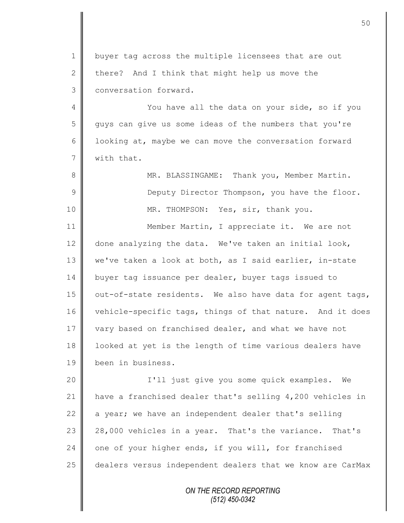1 | buyer tag across the multiple licensees that are out 2 there? And I think that might help us move the 3 | conversation forward.

4 || You have all the data on your side, so if you 5 || guys can give us some ideas of the numbers that you're 6 | looking at, maybe we can move the conversation forward 7 with that.

8 || MR. BLASSINGAME: Thank you, Member Martin. 9 || Deputy Director Thompson, you have the floor. 10 || MR. THOMPSON: Yes, sir, thank you.

11 | Member Martin, I appreciate it. We are not 12  $\parallel$  done analyzing the data. We've taken an initial look, 13 | we've taken a look at both, as I said earlier, in-state 14 buyer tag issuance per dealer, buyer tags issued to 15  $\parallel$  out-of-state residents. We also have data for agent tags, 16 vehicle-specific tags, things of that nature. And it does 17 vary based on franchised dealer, and what we have not 18 | looked at yet is the length of time various dealers have 19 been in business.

 I'll just give you some quick examples. We have a franchised dealer that's selling 4,200 vehicles in  $\parallel$  a year; we have an independent dealer that's selling 23 | 28,000 vehicles in a year. That's the variance. That's  $\parallel$  one of your higher ends, if you will, for franchised 25 dealers versus independent dealers that we know are CarMax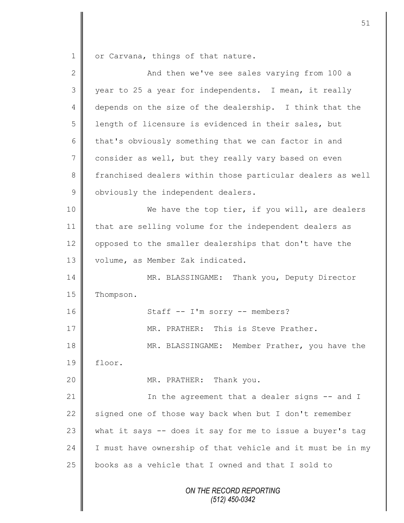1 or Carvana, things of that nature.

| $\mathbf{2}$    | And then we've see sales varying from 100 a                |
|-----------------|------------------------------------------------------------|
| 3               | year to 25 a year for independents. I mean, it really      |
| 4               | depends on the size of the dealership. I think that the    |
| 5               | length of licensure is evidenced in their sales, but       |
| 6               | that's obviously something that we can factor in and       |
| $7\phantom{.0}$ | consider as well, but they really vary based on even       |
| 8               | franchised dealers within those particular dealers as well |
| $\mathsf 9$     | obviously the independent dealers.                         |
| 10              | We have the top tier, if you will, are dealers             |
| 11              | that are selling volume for the independent dealers as     |
| 12              | opposed to the smaller dealerships that don't have the     |
| 13              | volume, as Member Zak indicated.                           |
| 14              | MR. BLASSINGAME: Thank you, Deputy Director                |
| 15              | Thompson.                                                  |
| 16              | Staff -- I'm sorry -- members?                             |
| 17              | MR. PRATHER: This is Steve Prather.                        |
| 18              | MR. BLASSINGAME: Member Prather, you have the              |
| 19              | floor.                                                     |
| 20              | MR. PRATHER: Thank you.                                    |
| 21              | In the agreement that a dealer signs -- and I              |
| 22              | signed one of those way back when but I don't remember     |
| 23              | what it says -- does it say for me to issue a buyer's tag  |
| 24              | I must have ownership of that vehicle and it must be in my |
| 25              | books as a vehicle that I owned and that I sold to         |
|                 | ON THE RECORD REPORTING<br>$(512)$ 450-0342                |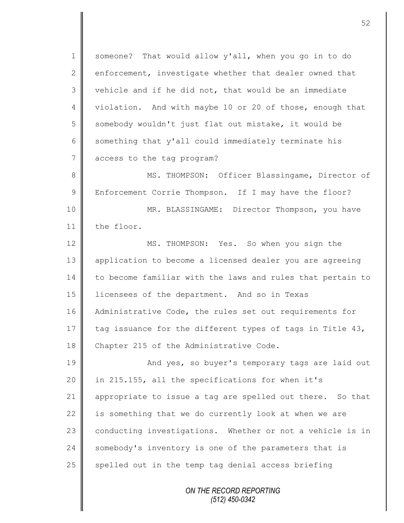1 someone? That would allow y'all, when you go in to do 2 enforcement, investigate whether that dealer owned that 3 vehicle and if he did not, that would be an immediate 4 | violation. And with maybe 10 or 20 of those, enough that 5 somebody wouldn't just flat out mistake, it would be  $6 \parallel$  something that y'all could immediately terminate his 7 access to the tag program?

8 || MS. THOMPSON: Officer Blassingame, Director of 9 | Enforcement Corrie Thompson. If I may have the floor? 10 || MR. BLASSINGAME: Director Thompson, you have 11 the floor.

12 MS. THOMPSON: Yes. So when you sign the 13 || application to become a licensed dealer you are agreeing 14 to become familiar with the laws and rules that pertain to 15 licensees of the department. And so in Texas 16 | Administrative Code, the rules set out requirements for 17 tag issuance for the different types of tags in Title  $43$ , 18 Chapter 215 of the Administrative Code.

19 **And yes, so buyer's temporary tags are laid out** 20 in 215.155, all the specifications for when it's 21 | appropriate to issue a tag are spelled out there. So that 22  $\parallel$  is something that we do currently look at when we are 23 conducting investigations. Whether or not a vehicle is in 24 Somebody's inventory is one of the parameters that is 25  $\parallel$  spelled out in the temp tag denial access briefing

> *ON THE RECORD REPORTING (512) 450-0342*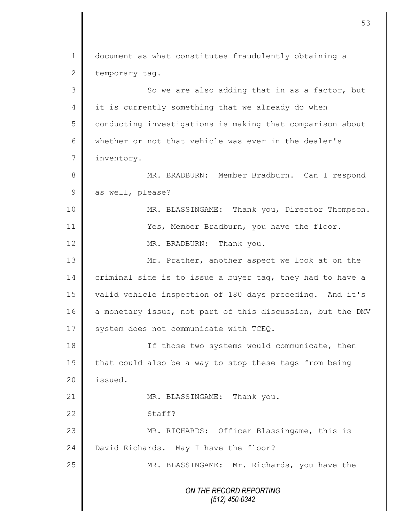*ON THE RECORD REPORTING (512) 450-0342* 1 document as what constitutes fraudulently obtaining a  $2 \parallel$  temporary tag.  $3 \parallel$  So we are also adding that in as a factor, but 4 | it is currently something that we already do when 5 conducting investigations is making that comparison about 6 whether or not that vehicle was ever in the dealer's 7 inventory. 8 || MR. BRADBURN: Member Bradburn. Can I respond 9 as well, please? 10 || MR. BLASSINGAME: Thank you, Director Thompson. 11 || Yes, Member Bradburn, you have the floor. 12 MR. BRADBURN: Thank you. 13 Mr. Prather, another aspect we look at on the 14 criminal side is to issue a buyer tag, they had to have a 15 valid vehicle inspection of 180 days preceding. And it's 16 a monetary issue, not part of this discussion, but the DMV  $17$  system does not communicate with TCEQ. 18 || If those two systems would communicate, then 19 that could also be a way to stop these tags from being 20 | issued. 21 || MR. BLASSINGAME: Thank you. 22 Staff? 23 MR. RICHARDS: Officer Blassingame, this is 24 David Richards. May I have the floor? 25 | MR. BLASSINGAME: Mr. Richards, you have the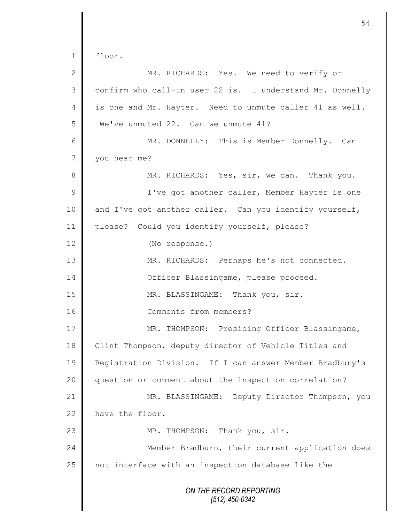*ON THE RECORD REPORTING (512) 450-0342* 1 floor. 2 || MR. RICHARDS: Yes. We need to verify or  $3 \parallel$  confirm who call-in user 22 is. I understand Mr. Donnelly 4 is one and Mr. Hayter. Need to unmute caller 41 as well. 5 We've unmuted 22. Can we unmute 41? 6 MR. DONNELLY: This is Member Donnelly. Can 7 vou hear me? 8 MR. RICHARDS: Yes, sir, we can. Thank you. 9 || I've got another caller, Member Hayter is one 10 and I've got another caller. Can you identify yourself, 11 please? Could you identify yourself, please? 12 (No response.) 13 MR. RICHARDS: Perhaps he's not connected. 14 | Officer Blassingame, please proceed. 15 || MR. BLASSINGAME: Thank you, sir. 16 Comments from members? 17 || MR. THOMPSON: Presiding Officer Blassingame, 18 Clint Thompson, deputy director of Vehicle Titles and 19 Registration Division. If I can answer Member Bradbury's 20 || question or comment about the inspection correlation? 21 | MR. BLASSINGAME: Deputy Director Thompson, you 22 have the floor. 23 || MR. THOMPSON: Thank you, sir. 24 Member Bradburn, their current application does 25 | not interface with an inspection database like the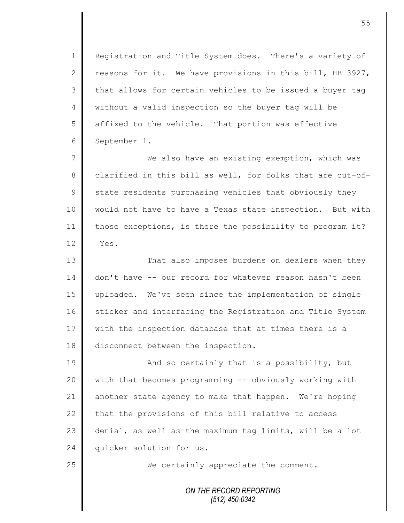1 Registration and Title System does. There's a variety of 2  $\parallel$  reasons for it. We have provisions in this bill, HB 3927, 3 that allows for certain vehicles to be issued a buyer tag 4 | without a valid inspection so the buyer tag will be 5 affixed to the vehicle. That portion was effective 6 September 1.

7 We also have an existing exemption, which was 8 clarified in this bill as well, for folks that are out-of- $9 \parallel$  state residents purchasing vehicles that obviously they 10 would not have to have a Texas state inspection. But with 11 those exceptions, is there the possibility to program it?  $12 \parallel$  Yes.

13 || That also imposes burdens on dealers when they 14 don't have -- our record for whatever reason hasn't been 15 uploaded. We've seen since the implementation of single 16 | sticker and interfacing the Registration and Title System 17 | with the inspection database that at times there is a 18 disconnect between the inspection.

19 **And so certainly that is a possibility, but** 20 with that becomes programming -- obviously working with 21 another state agency to make that happen. We're hoping 22 that the provisions of this bill relative to access 23  $\parallel$  denial, as well as the maximum tag limits, will be a lot 24 quicker solution for us.

25 We certainly appreciate the comment.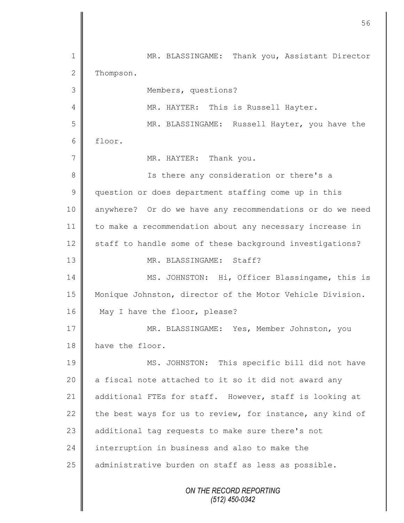*ON THE RECORD REPORTING (512) 450-0342* 1 || MR. BLASSINGAME: Thank you, Assistant Director 2 Thompson. 3 Members, questions? 4 || MR. HAYTER: This is Russell Hayter. 5 || MR. BLASSINGAME: Russell Hayter, you have the 6 floor. 7 MR. HAYTER: Thank you. 8 || Is there any consideration or there's a 9 guestion or does department staffing come up in this 10 anywhere? Or do we have any recommendations or do we need 11 to make a recommendation about any necessary increase in 12 staff to handle some of these background investigations? 13 MR. BLASSINGAME: Staff? 14 MS. JOHNSTON: Hi, Officer Blassingame, this is 15 Monique Johnston, director of the Motor Vehicle Division. 16 May I have the floor, please? 17 MR. BLASSINGAME: Yes, Member Johnston, you 18 have the floor. 19 MS. JOHNSTON: This specific bill did not have 20  $\parallel$  a fiscal note attached to it so it did not award any 21 additional FTEs for staff. However, staff is looking at 22 the best ways for us to review, for instance, any kind of 23 additional tag requests to make sure there's not 24  $\parallel$  interruption in business and also to make the 25 | administrative burden on staff as less as possible.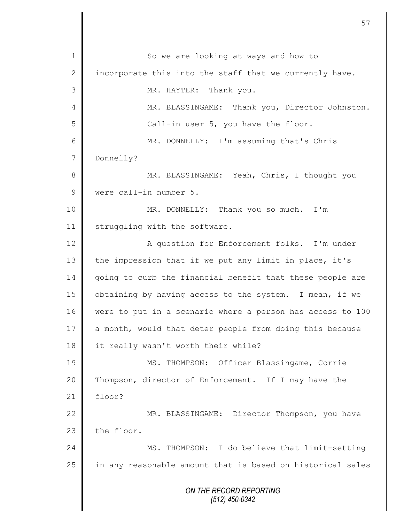*ON THE RECORD REPORTING (512) 450-0342* 1 || So we are looking at ways and how to 2 | incorporate this into the staff that we currently have. 3 || MR. HAYTER: Thank you. 4 | MR. BLASSINGAME: Thank you, Director Johnston. 5 || Call-in user 5, you have the floor. 6 MR. DONNELLY: I'm assuming that's Chris 7 Donnelly? 8 || MR. BLASSINGAME: Yeah, Chris, I thought you 9 Were call-in number 5. 10 || MR. DONNELLY: Thank you so much. I'm 11 | struggling with the software. 12 | A question for Enforcement folks. I'm under 13 the impression that if we put any limit in place, it's 14 going to curb the financial benefit that these people are 15 | obtaining by having access to the system. I mean, if we 16 were to put in a scenario where a person has access to 100 17  $\parallel$  a month, would that deter people from doing this because 18 || it really wasn't worth their while? 19 || MS. THOMPSON: Officer Blassingame, Corrie 20 Thompson, director of Enforcement. If I may have the  $21$   $\parallel$  floor? 22 | MR. BLASSINGAME: Director Thompson, you have  $23$  the floor. 24 MS. THOMPSON: I do believe that limit-setting 25 in any reasonable amount that is based on historical sales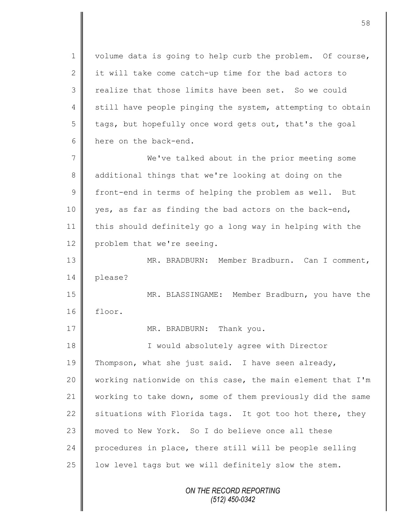1 | volume data is going to help curb the problem. Of course, 2 it will take come catch-up time for the bad actors to 3 realize that those limits have been set. So we could 4 still have people pinging the system, attempting to obtain  $5 \parallel$  tags, but hopefully once word gets out, that's the goal 6 here on the back-end.

7 We've talked about in the prior meeting some 8 additional things that we're looking at doing on the 9 front-end in terms of helping the problem as well. But 10 yes, as far as finding the bad actors on the back-end, 11 this should definitely go a long way in helping with the 12 problem that we're seeing.

13 MR. BRADBURN: Member Bradburn. Can I comment, 14 please?

15 MR. BLASSINGAME: Member Bradburn, you have the 16 floor.

17 **||** MR. BRADBURN: Thank you.

18 || I would absolutely agree with Director 19 Thompson, what she just said. I have seen already, 20 working nationwide on this case, the main element that I'm 21 working to take down, some of them previously did the same 22 situations with Florida tags. It got too hot there, they 23 moved to New York. So I do believe once all these 24 procedures in place, there still will be people selling 25  $\parallel$  low level tags but we will definitely slow the stem.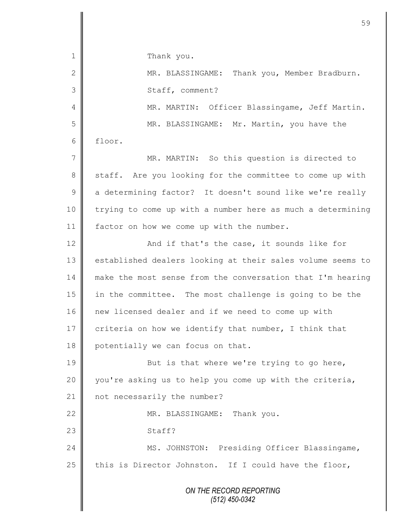*ON THE RECORD REPORTING (512) 450-0342* 1 Thank you. 2 || MR. BLASSINGAME: Thank you, Member Bradburn. 3 || Staff, comment? 4 || MR. MARTIN: Officer Blassingame, Jeff Martin. 5 MR. BLASSINGAME: Mr. Martin, you have the 6 floor. 7 || MR. MARTIN: So this question is directed to 8 staff. Are you looking for the committee to come up with 9 a determining factor? It doesn't sound like we're really 10 | trying to come up with a number here as much a determining 11 | factor on how we come up with the number. 12 | And if that's the case, it sounds like for 13 | established dealers looking at their sales volume seems to 14 make the most sense from the conversation that I'm hearing 15 in the committee. The most challenge is going to be the 16 new licensed dealer and if we need to come up with 17 criteria on how we identify that number, I think that 18 potentially we can focus on that. 19 But is that where we're trying to go here, 20 you're asking us to help you come up with the criteria, 21 | not necessarily the number? 22 || MR. BLASSINGAME: Thank you. 23 Staff? 24 | MS. JOHNSTON: Presiding Officer Blassingame, 25 this is Director Johnston. If I could have the floor,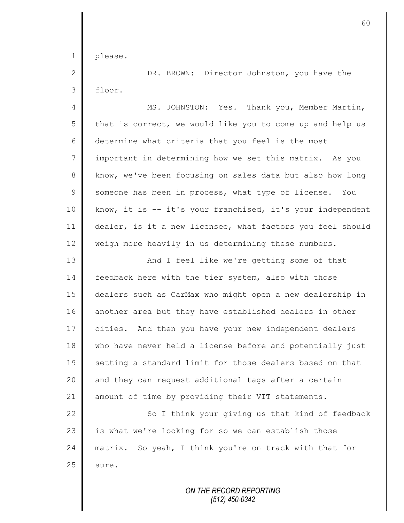1 please.

2 || DR. BROWN: Director Johnston, you have the 3 floor.

4 || MS. JOHNSTON: Yes. Thank you, Member Martin,  $5 \parallel$  that is correct, we would like you to come up and help us 6 determine what criteria that you feel is the most 7 important in determining how we set this matrix. As you 8 || know, we've been focusing on sales data but also how long 9 Someone has been in process, what type of license. You 10 | know, it is -- it's your franchised, it's your independent 11 dealer, is it a new licensee, what factors you feel should 12 weigh more heavily in us determining these numbers.

13 || And I feel like we're getting some of that 14 | feedback here with the tier system, also with those 15 dealers such as CarMax who might open a new dealership in 16 another area but they have established dealers in other 17 cities. And then you have your new independent dealers 18 who have never held a license before and potentially just 19 || setting a standard limit for those dealers based on that 20 || and they can request additional tags after a certain 21 amount of time by providing their VIT statements.

22 So I think your giving us that kind of feedback 23 | is what we're looking for so we can establish those 24 matrix. So yeah, I think you're on track with that for  $25$  sure.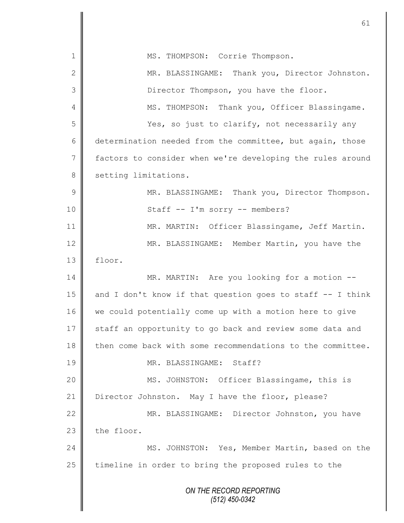|                 | 61                                                            |
|-----------------|---------------------------------------------------------------|
|                 |                                                               |
| 1               | MS. THOMPSON: Corrie Thompson.                                |
| 2               | MR. BLASSINGAME: Thank you, Director Johnston.                |
| 3               | Director Thompson, you have the floor.                        |
| 4               | MS. THOMPSON: Thank you, Officer Blassingame.                 |
| 5               | Yes, so just to clarify, not necessarily any                  |
| 6               | determination needed from the committee, but again, those     |
| $7\phantom{.0}$ | factors to consider when we're developing the rules around    |
| $8\,$           | setting limitations.                                          |
| $\mathcal{G}$   | MR. BLASSINGAME: Thank you, Director Thompson.                |
| 10              | Staff -- I'm sorry -- members?                                |
| 11              | MR. MARTIN: Officer Blassingame, Jeff Martin.                 |
| 12              | MR. BLASSINGAME: Member Martin, you have the                  |
| 13              | floor.                                                        |
| 14              | MR. MARTIN: Are you looking for a motion --                   |
| 15              | and I don't know if that question goes to staff $-$ - I think |
| 16              | we could potentially come up with a motion here to give       |
| 17              | staff an opportunity to go back and review some data and      |
| 18              | then come back with some recommendations to the committee.    |
| 19              | MR. BLASSINGAME: Staff?                                       |
| 20              | MS. JOHNSTON: Officer Blassingame, this is                    |
| 21              | Director Johnston. May I have the floor, please?              |
| 22              | MR. BLASSINGAME: Director Johnston, you have                  |
| 23              | the floor.                                                    |
| 24              | MS. JOHNSTON: Yes, Member Martin, based on the                |
| 25              | timeline in order to bring the proposed rules to the          |
|                 | ON THE RECORD REPORTING<br>(512) 450-0342                     |

I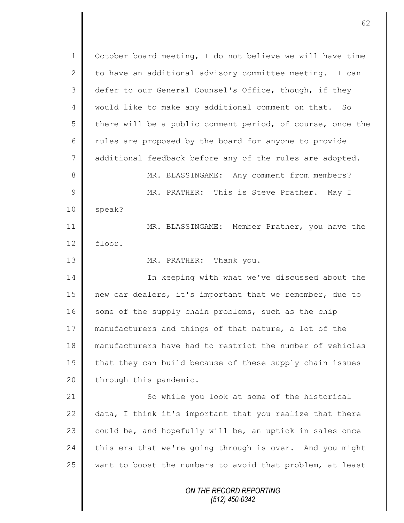*ON THE RECORD REPORTING (512) 450-0342* 1 October board meeting, I do not believe we will have time 2 to have an additional advisory committee meeting. I can 3 defer to our General Counsel's Office, though, if they 4 || would like to make any additional comment on that. So 5 there will be a public comment period, of course, once the 6 Tules are proposed by the board for anyone to provide 7 additional feedback before any of the rules are adopted. 8 || MR. BLASSINGAME: Any comment from members? 9 || MR. PRATHER: This is Steve Prather. May I 10 | speak? 11 MR. BLASSINGAME: Member Prather, you have the 12 floor. 13 MR. PRATHER: Thank you. 14 In keeping with what we've discussed about the 15 new car dealers, it's important that we remember, due to 16 some of the supply chain problems, such as the chip 17 manufacturers and things of that nature, a lot of the 18 manufacturers have had to restrict the number of vehicles 19 that they can build because of these supply chain issues  $20$  | through this pandemic. 21 So while you look at some of the historical  $22$  data, I think it's important that you realize that there 23  $\parallel$  could be, and hopefully will be, an uptick in sales once 24 this era that we're going through is over. And you might 25  $\parallel$  want to boost the numbers to avoid that problem, at least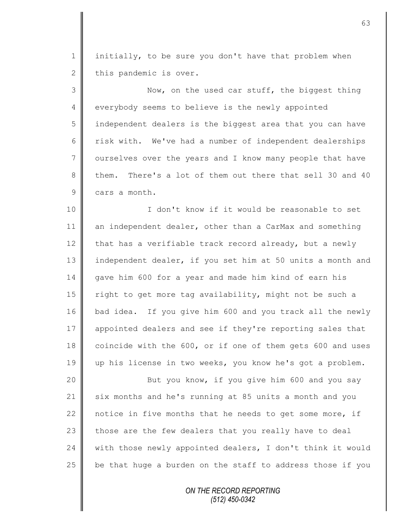1 | initially, to be sure you don't have that problem when  $2 \parallel$  this pandemic is over.

3 || Now, on the used car stuff, the biggest thing 4 everybody seems to believe is the newly appointed 5 | independent dealers is the biggest area that you can have 6 Tisk with. We've had a number of independent dealerships 7 | ourselves over the years and I know many people that have 8 them. There's a lot of them out there that sell 30 and 40 9 cars a month.

10 || I don't know if it would be reasonable to set 11 an independent dealer, other than a CarMax and something 12  $\parallel$  that has a verifiable track record already, but a newly 13 independent dealer, if you set him at 50 units a month and 14 gave him 600 for a year and made him kind of earn his 15 | right to get more tag availability, might not be such a 16 bad idea. If you give him 600 and you track all the newly 17 appointed dealers and see if they're reporting sales that 18 coincide with the 600, or if one of them gets 600 and uses 19 up his license in two weeks, you know he's got a problem.

20 || But you know, if you give him 600 and you say 21 six months and he's running at 85 units a month and you  $\parallel$  notice in five months that he needs to get some more, if  $\parallel$  those are the few dealers that you really have to deal  $\parallel$  with those newly appointed dealers, I don't think it would  $\parallel$  be that huge a burden on the staff to address those if you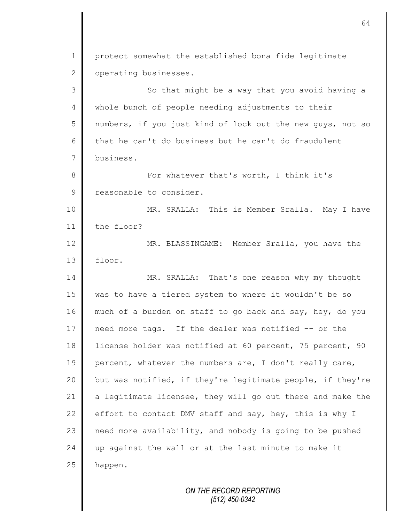1 protect somewhat the established bona fide legitimate 2 | operating businesses. 3 || So that might be a way that you avoid having a 4 whole bunch of people needing adjustments to their 5 || numbers, if you just kind of lock out the new quys, not so 6 that he can't do business but he can't do fraudulent 7 business. 8 || For whatever that's worth, I think it's 9 reasonable to consider. 10 || MR. SRALLA: This is Member Sralla. May I have 11 the floor? 12 MR. BLASSINGAME: Member Sralla, you have the 13 floor. 14 MR. SRALLA: That's one reason why my thought 15 was to have a tiered system to where it wouldn't be so 16 much of a burden on staff to go back and say, hey, do you 17 need more tags. If the dealer was notified -- or the 18 license holder was notified at 60 percent, 75 percent, 90 19 percent, whatever the numbers are, I don't really care, 20 but was notified, if they're legitimate people, if they're 21 a legitimate licensee, they will go out there and make the 22 effort to contact DMV staff and say, hey, this is why I  $23$  need more availability, and nobody is going to be pushed 24  $\parallel$  up against the wall or at the last minute to make it  $25$  happen.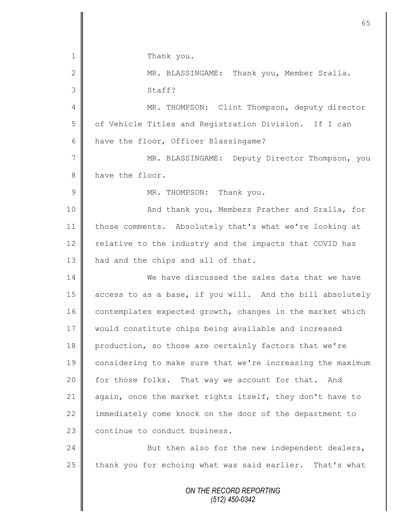| $\mathbf 1$    | Thank you.                                                 |
|----------------|------------------------------------------------------------|
| $\mathbf{2}$   | MR. BLASSINGAME: Thank you, Member Sralla.                 |
| 3              | Staff?                                                     |
| 4              | MR. THOMPSON: Clint Thompson, deputy director              |
| 5              | of Vehicle Titles and Registration Division. If I can      |
| 6              | have the floor, Officer Blassingame?                       |
| $\overline{7}$ | MR. BLASSINGAME: Deputy Director Thompson, you             |
| 8              | have the floor.                                            |
| $\mathcal{G}$  | MR. THOMPSON: Thank you.                                   |
| 10             | And thank you, Members Prather and Sralla, for             |
| 11             | those comments. Absolutely that's what we're looking at    |
| 12             | relative to the industry and the impacts that COVID has    |
| 13             | had and the chips and all of that.                         |
| 14             | We have discussed the sales data that we have              |
| 15             | access to as a base, if you will. And the bill absolutely  |
| 16             | contemplates expected growth, changes in the market which  |
| 17             | would constitute chips being available and increased       |
| 18             | production, so those are certainly factors that we're      |
| 19             | considering to make sure that we're increasing the maximum |
| 20             | for those folks. That way we account for that. And         |
| 21             | again, once the market rights itself, they don't have to   |
| 22             | immediately come knock on the door of the department to    |
| 23             | continue to conduct business.                              |
| 24             | But then also for the new independent dealers,             |
| 25             | thank you for echoing what was said earlier. That's what   |
|                | ON THE RECORD REPORTING                                    |

II

*(512) 450-0342*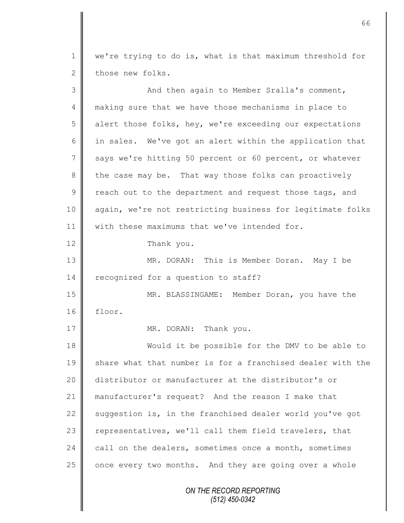1 we're trying to do is, what is that maximum threshold for 2 those new folks.

| 3  | And then again to Member Sralla's comment,                 |
|----|------------------------------------------------------------|
| 4  | making sure that we have those mechanisms in place to      |
| 5  | alert those folks, hey, we're exceeding our expectations   |
| 6  | in sales. We've got an alert within the application that   |
| 7  | says we're hitting 50 percent or 60 percent, or whatever   |
| 8  | the case may be. That way those folks can proactively      |
| 9  | reach out to the department and request those tags, and    |
| 10 | again, we're not restricting business for legitimate folks |
| 11 | with these maximums that we've intended for.               |
| 12 | Thank you.                                                 |
| 13 | MR. DORAN: This is Member Doran. May I be                  |
| 14 | recognized for a question to staff?                        |
| 15 | MR. BLASSINGAME: Member Doran, you have the                |
| 16 | floor.                                                     |
| 17 | MR. DORAN: Thank you.                                      |
| 18 | Would it be possible for the DMV to be able to             |
| 19 | share what that number is for a franchised dealer with the |
| 20 | distributor or manufacturer at the distributor's or        |
| 21 | manufacturer's request? And the reason I make that         |
| 22 | suggestion is, in the franchised dealer world you've got   |
| 23 | representatives, we'll call them field travelers, that     |
| 24 | call on the dealers, sometimes once a month, sometimes     |
| 25 | once every two months. And they are going over a whole     |
|    | ON THE RECORD REPORTING<br>(512) 450-0342                  |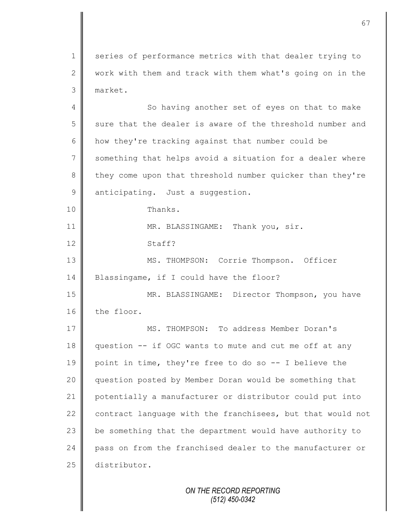1 series of performance metrics with that dealer trying to  $2 \parallel$  work with them and track with them what's going on in the 3 market.

4 || So having another set of eyes on that to make 5 sure that the dealer is aware of the threshold number and 6  $\parallel$  how they're tracking against that number could be 7 Something that helps avoid a situation for a dealer where 8 they come upon that threshold number quicker than they're 9 anticipating. Just a suggestion. 10 Thanks. 11 MR. BLASSINGAME: Thank you, sir. 12 Staff? 13 | MS. THOMPSON: Corrie Thompson. Officer 14 | Blassingame, if I could have the floor? 15 || MR. BLASSINGAME: Director Thompson, you have 16 the floor. 17 MS. THOMPSON: To address Member Doran's 18 question -- if OGC wants to mute and cut me off at any 19 point in time, they're free to do so -- I believe the 20 question posted by Member Doran would be something that 21 potentially a manufacturer or distributor could put into 22 contract language with the franchisees, but that would not  $23$   $\parallel$  be something that the department would have authority to 24 pass on from the franchised dealer to the manufacturer or 25 distributor.

> *ON THE RECORD REPORTING (512) 450-0342*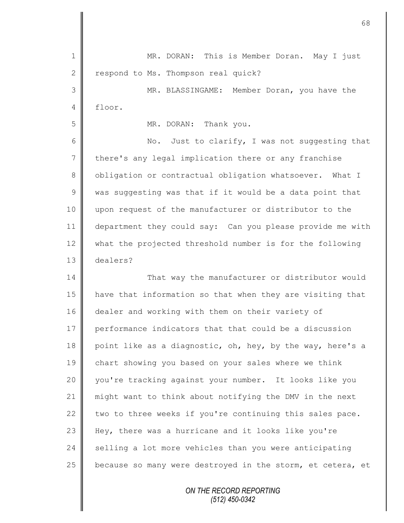1 || MR. DORAN: This is Member Doran. May I just 2 | respond to Ms. Thompson real quick? 3 MR. BLASSINGAME: Member Doran, you have the  $4 \parallel$  floor. 5 MR. DORAN: Thank you. 6 || No. Just to clarify, I was not suggesting that 7 there's any legal implication there or any franchise 8 | obligation or contractual obligation whatsoever. What I  $9 \parallel$  was suggesting was that if it would be a data point that 10 upon request of the manufacturer or distributor to the 11 department they could say: Can you please provide me with 12 what the projected threshold number is for the following 13 dealers? 14 That way the manufacturer or distributor would 15 have that information so that when they are visiting that 16 dealer and working with them on their variety of 17 performance indicators that that could be a discussion 18 point like as a diagnostic, oh, hey, by the way, here's a 19 chart showing you based on your sales where we think 20 you're tracking against your number. It looks like you 21 might want to think about notifying the DMV in the next 22  $\parallel$  two to three weeks if you're continuing this sales pace. 23 Hey, there was a hurricane and it looks like you're  $24$  selling a lot more vehicles than you were anticipating 25  $\parallel$  because so many were destroyed in the storm, et cetera, et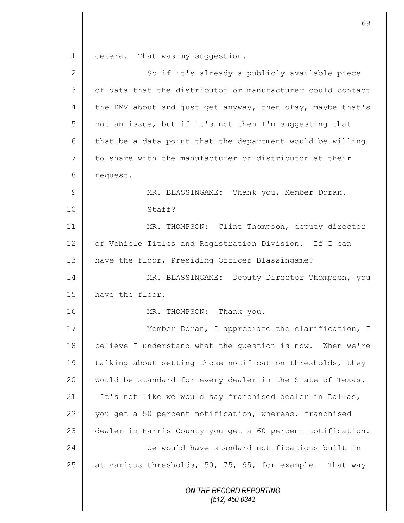1 cetera. That was my suggestion.

| $\mathbf{2}$ | So if it's already a publicly available piece              |
|--------------|------------------------------------------------------------|
| 3            | of data that the distributor or manufacturer could contact |
| 4            | the DMV about and just get anyway, then okay, maybe that's |
| 5            | not an issue, but if it's not then I'm suggesting that     |
| 6            | that be a data point that the department would be willing  |
| 7            | to share with the manufacturer or distributor at their     |
| 8            | request.                                                   |
| 9            | MR. BLASSINGAME: Thank you, Member Doran.                  |
| 10           | Staff?                                                     |
| 11           | MR. THOMPSON: Clint Thompson, deputy director              |
| 12           | of Vehicle Titles and Registration Division. If I can      |
| 13           | have the floor, Presiding Officer Blassingame?             |
| 14           | MR. BLASSINGAME: Deputy Director Thompson, you             |
| 15           | have the floor.                                            |
| 16           | MR. THOMPSON: Thank you.                                   |
| 17           | Member Doran, I appreciate the clarification, I            |
| 18           | believe I understand what the question is now. When we're  |
| 19           | talking about setting those notification thresholds, they  |
| 20           | would be standard for every dealer in the State of Texas.  |
| 21           | It's not like we would say franchised dealer in Dallas,    |
| 22           | you get a 50 percent notification, whereas, franchised     |
| 23           | dealer in Harris County you get a 60 percent notification. |
| 24           | We would have standard notifications built in              |
| 25           | at various thresholds, 50, 75, 95, for example. That way   |
|              | ON THE RECORD REPORTING<br>$(512)$ 450-0342                |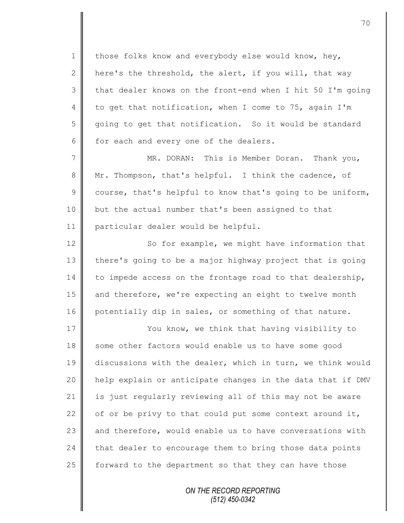1 those folks know and everybody else would know, hey, 2 | here's the threshold, the alert, if you will, that way  $3 \parallel$  that dealer knows on the front-end when I hit 50 I'm going 4 to get that notification, when I come to 75, again I'm 5 going to get that notification. So it would be standard  $6 \parallel$  for each and every one of the dealers.

7 MR. DORAN: This is Member Doran. Thank you, 8 Mr. Thompson, that's helpful. I think the cadence, of  $9 \parallel$  course, that's helpful to know that's going to be uniform, 10 but the actual number that's been assigned to that 11 particular dealer would be helpful.

12 So for example, we might have information that 13 there's going to be a major highway project that is going  $14$  to impede access on the frontage road to that dealership, 15 and therefore, we're expecting an eight to twelve month 16 potentially dip in sales, or something of that nature.

17 | You know, we think that having visibility to 18 some other factors would enable us to have some good 19 discussions with the dealer, which in turn, we think would 20 help explain or anticipate changes in the data that if DMV  $21$  is just regularly reviewing all of this may not be aware 22  $\parallel$  of or be privy to that could put some context around it, 23  $\parallel$  and therefore, would enable us to have conversations with 24 that dealer to encourage them to bring those data points 25  $\parallel$  forward to the department so that they can have those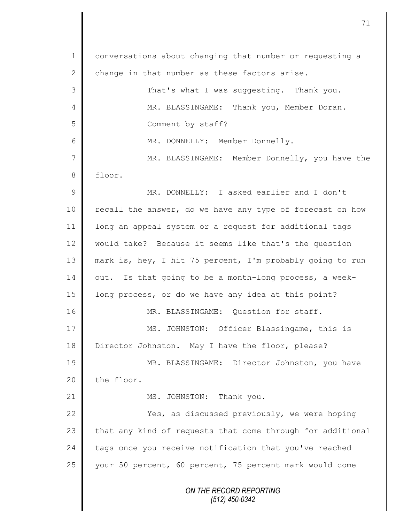*ON THE RECORD REPORTING (512) 450-0342* 1 conversations about changing that number or requesting a 2 change in that number as these factors arise. 3 That's what I was suggesting. Thank you. 4 || MR. BLASSINGAME: Thank you, Member Doran. 5 || Comment by staff? 6 || MR. DONNELLY: Member Donnelly. 7 || MR. BLASSINGAME: Member Donnelly, you have the 8 floor. 9 MR. DONNELLY: I asked earlier and I don't 10 | recall the answer, do we have any type of forecast on how 11 long an appeal system or a request for additional tags 12 would take? Because it seems like that's the question 13 mark is, hey, I hit 75 percent, I'm probably going to run  $14$  | out. Is that going to be a month-long process, a week-15 | long process, or do we have any idea at this point? 16 MR. BLASSINGAME: Question for staff. 17 MS. JOHNSTON: Officer Blassingame, this is 18 Director Johnston. May I have the floor, please? 19 || MR. BLASSINGAME: Director Johnston, you have  $20$  the floor. 21 || MS. JOHNSTON: Thank you. 22 | Yes, as discussed previously, we were hoping  $23$  that any kind of requests that come through for additional  $24$  tags once you receive notification that you've reached 25 || your 50 percent, 60 percent, 75 percent mark would come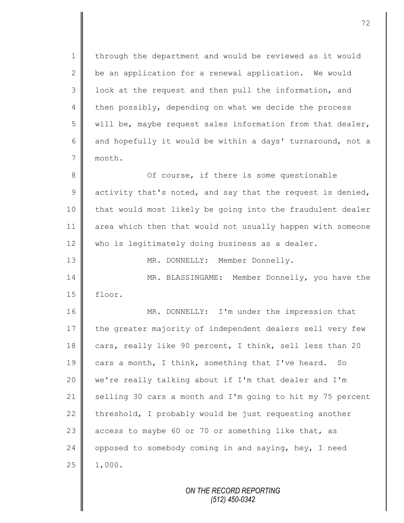1 | through the department and would be reviewed as it would 2  $\parallel$  be an application for a renewal application. We would  $3 \parallel$  look at the request and then pull the information, and 4 then possibly, depending on what we decide the process 5 will be, maybe request sales information from that dealer, 6 and hopefully it would be within a days' turnaround, not a 7 month.

8 || Cf course, if there is some questionable  $9 \parallel$  activity that's noted, and say that the request is denied, 10 | that would most likely be going into the fraudulent dealer 11 area which then that would not usually happen with someone 12 | who is legitimately doing business as a dealer.

13 || MR. DONNELLY: Member Donnelly. 14 MR. BLASSINGAME: Member Donnelly, you have the 15 floor.

16 MR. DONNELLY: I'm under the impression that 17 the greater majority of independent dealers sell very few 18 cars, really like 90 percent, I think, sell less than 20 19 cars a month, I think, something that I've heard. So 20 we're really talking about if I'm that dealer and I'm 21 Selling 30 cars a month and I'm going to hit my 75 percent 22  $\parallel$  threshold, I probably would be just requesting another 23 access to maybe 60 or 70 or something like that, as 24  $\parallel$  opposed to somebody coming in and saying, hey, I need  $25 \parallel 1,000.$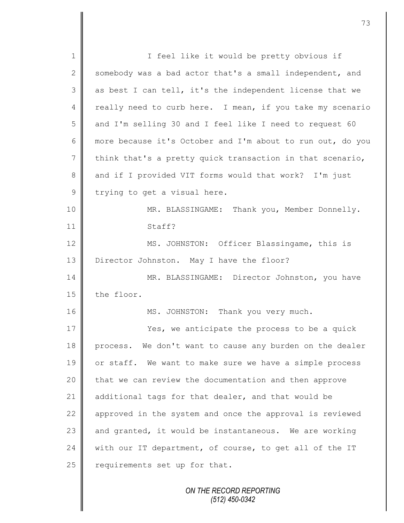1 || I feel like it would be pretty obvious if 2 somebody was a bad actor that's a small independent, and  $3 \parallel$  as best I can tell, it's the independent license that we 4 really need to curb here. I mean, if you take my scenario 5 and I'm selling 30 and I feel like I need to request 60 6 more because it's October and I'm about to run out, do you 7 think that's a pretty quick transaction in that scenario, 8 and if I provided VIT forms would that work? I'm just  $9$  trying to get a visual here. 10 MR. BLASSINGAME: Thank you, Member Donnelly. 11 Staff? 12 MS. JOHNSTON: Officer Blassingame, this is 13 Director Johnston. May I have the floor? 14 | MR. BLASSINGAME: Director Johnston, you have  $15$  the floor. 16 MS. JOHNSTON: Thank you very much. 17 **Number 17** Yes, we anticipate the process to be a quick 18 process. We don't want to cause any burden on the dealer 19 || or staff. We want to make sure we have a simple process 20 that we can review the documentation and then approve 21 | additional tags for that dealer, and that would be  $22$  approved in the system and once the approval is reviewed 23  $\parallel$  and granted, it would be instantaneous. We are working 24 | with our IT department, of course, to get all of the IT  $25$  requirements set up for that.

*ON THE RECORD REPORTING (512) 450-0342*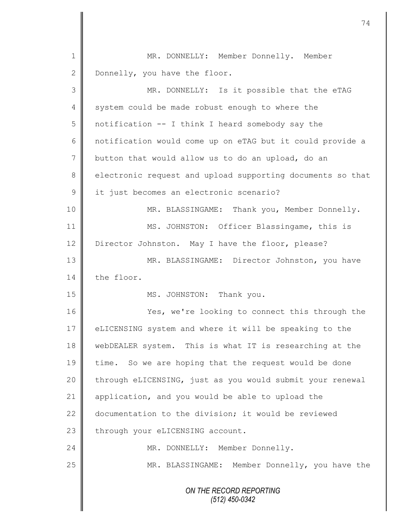|                | 74                                                         |
|----------------|------------------------------------------------------------|
|                |                                                            |
| 1              | MR. DONNELLY: Member Donnelly. Member                      |
| $\mathbf{2}$   | Donnelly, you have the floor.                              |
| 3              | MR. DONNELLY: Is it possible that the eTAG                 |
| 4              | system could be made robust enough to where the            |
| 5              | notification -- I think I heard somebody say the           |
| 6              | notification would come up on eTAG but it could provide a  |
| $\overline{7}$ | button that would allow us to do an upload, do an          |
| 8              | electronic request and upload supporting documents so that |
| $\mathcal{G}$  | it just becomes an electronic scenario?                    |
| 10             | MR. BLASSINGAME: Thank you, Member Donnelly.               |
| 11             | MS. JOHNSTON: Officer Blassingame, this is                 |
| 12             | Director Johnston. May I have the floor, please?           |
| 13             | MR. BLASSINGAME: Director Johnston, you have               |
| 14             | the floor.                                                 |
| 15             | MS. JOHNSTON: Thank you.                                   |
| 16             | Yes, we're looking to connect this through the             |
| 17             | eLICENSING system and where it will be speaking to the     |
| 18             | webDEALER system. This is what IT is researching at the    |
| 19             | time. So we are hoping that the request would be done      |
| 20             | through eLICENSING, just as you would submit your renewal  |
| 21             | application, and you would be able to upload the           |
| 22             | documentation to the division; it would be reviewed        |
| 23             | through your eLICENSING account.                           |
| 24             | MR. DONNELLY: Member Donnelly.                             |
| 25             | MR. BLASSINGAME: Member Donnelly, you have the             |
|                | ON THE RECORD REPORTING<br>$(512)$ 450-0342                |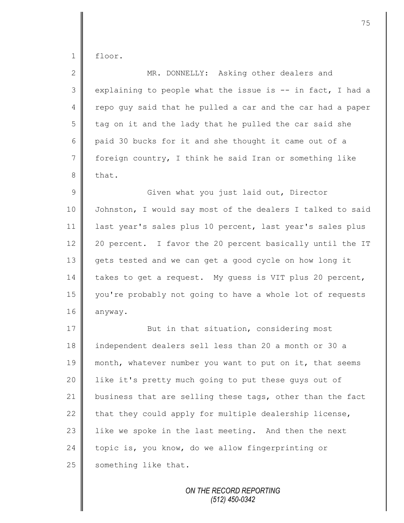floor.

| $\mathbf{2}$   | MR. DONNELLY: Asking other dealers and                     |
|----------------|------------------------------------------------------------|
| $\mathcal{S}$  | explaining to people what the issue is -- in fact, I had a |
| 4              | repo quy said that he pulled a car and the car had a paper |
| 5              | tag on it and the lady that he pulled the car said she     |
| 6              | paid 30 bucks for it and she thought it came out of a      |
| $\overline{7}$ | foreign country, I think he said Iran or something like    |
| 8              | that.                                                      |
| $\mathcal{G}$  | Given what you just laid out, Director                     |
| 10             | Johnston, I would say most of the dealers I talked to said |
| 11             | last year's sales plus 10 percent, last year's sales plus  |
| 12             | 20 percent. I favor the 20 percent basically until the IT  |
| 13             | gets tested and we can get a good cycle on how long it     |
| 14             | takes to get a request. My guess is VIT plus 20 percent,   |
| 15             | you're probably not going to have a whole lot of requests  |
| 16             | anyway.                                                    |
| 17             | But in that situation, considering most                    |
| 18             | independent dealers sell less than 20 a month or 30 a      |
| 19             | month, whatever number you want to put on it, that seems   |
| 20             | like it's pretty much going to put these guys out of       |
| 21             | business that are selling these tags, other than the fact  |
| 22             | that they could apply for multiple dealership license,     |
| 23             | like we spoke in the last meeting. And then the next       |
| 24             | topic is, you know, do we allow fingerprinting or          |
| 25             | something like that.                                       |

*ON THE RECORD REPORTING (512) 450-0342*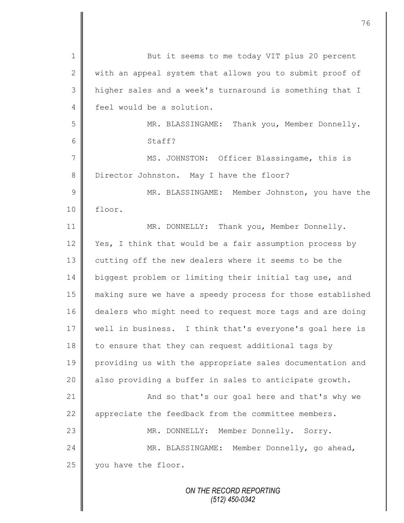| $\mathbf 1$    | But it seems to me today VIT plus 20 percent               |
|----------------|------------------------------------------------------------|
| $\mathbf{2}$   | with an appeal system that allows you to submit proof of   |
| 3              | higher sales and a week's turnaround is something that I   |
| $\overline{4}$ | feel would be a solution.                                  |
| 5              | MR. BLASSINGAME: Thank you, Member Donnelly.               |
| 6              | Staff?                                                     |
| $\overline{7}$ | MS. JOHNSTON: Officer Blassingame, this is                 |
| $8\,$          | Director Johnston. May I have the floor?                   |
| $\overline{9}$ | MR. BLASSINGAME: Member Johnston, you have the             |
| 10             | floor.                                                     |
| 11             | MR. DONNELLY: Thank you, Member Donnelly.                  |
| 12             | Yes, I think that would be a fair assumption process by    |
| 13             | cutting off the new dealers where it seems to be the       |
| 14             | biggest problem or limiting their initial tag use, and     |
| 15             | making sure we have a speedy process for those established |
| 16             | dealers who might need to request more tags and are doing  |
| 17             | well in business. I think that's everyone's goal here is   |
| 18             | to ensure that they can request additional tags by         |
| 19             | providing us with the appropriate sales documentation and  |
| 20             | also providing a buffer in sales to anticipate growth.     |
| 21             | And so that's our goal here and that's why we              |
| 22             | appreciate the feedback from the committee members.        |
| 23             | MR. DONNELLY: Member Donnelly. Sorry.                      |
| 24             | MR. BLASSINGAME: Member Donnelly, go ahead,                |
| 25             | you have the floor.                                        |
|                | ON THE RECORD REPORTING                                    |

 $\mathbf l$ ∥

 $\mathsf{I}$ 

*(512) 450-0342*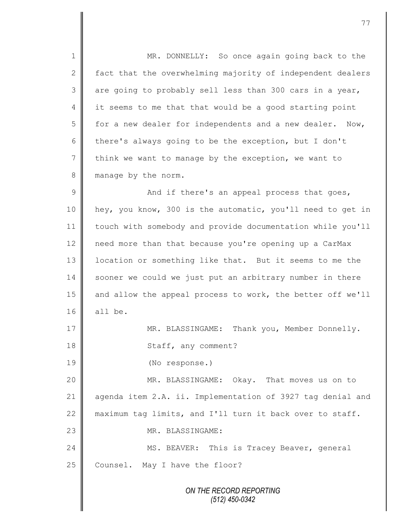*ON THE RECORD REPORTING* 1 || MR. DONNELLY: So once again going back to the 2 fact that the overwhelming majority of independent dealers  $3 \parallel$  are going to probably sell less than 300 cars in a year, 4 it seems to me that that would be a good starting point  $5 \parallel$  for a new dealer for independents and a new dealer. Now, 6 there's always going to be the exception, but I don't  $7 \parallel$  think we want to manage by the exception, we want to 8 manage by the norm.  $9 \parallel$  and if there's an appeal process that goes, 10 hey, you know, 300 is the automatic, you'll need to get in 11 touch with somebody and provide documentation while you'll 12 need more than that because you're opening up a CarMax 13 | location or something like that. But it seems to me the 14 sooner we could we just put an arbitrary number in there 15 and allow the appeal process to work, the better off we'll 16  $\parallel$  all be. 17 | MR. BLASSINGAME: Thank you, Member Donnelly. 18 | Staff, any comment? 19 (No response.) 20 MR. BLASSINGAME: Okay. That moves us on to 21 agenda item 2.A. ii. Implementation of 3927 tag denial and 22  $\parallel$  maximum tag limits, and I'll turn it back over to staff. 23 || MR. BLASSINGAME: 24 | MS. BEAVER: This is Tracey Beaver, general 25 Counsel. May I have the floor?

*(512) 450-0342*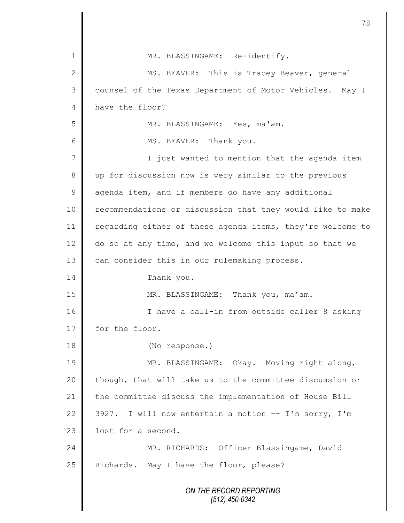|                | 78                                                         |
|----------------|------------------------------------------------------------|
| 1              | MR. BLASSINGAME: Re-identify.                              |
| $\mathbf{2}$   | MS. BEAVER: This is Tracey Beaver, general                 |
| 3              | counsel of the Texas Department of Motor Vehicles. May I   |
| 4              | have the floor?                                            |
| 5              | MR. BLASSINGAME: Yes, ma'am.                               |
| 6              | MS. BEAVER: Thank you.                                     |
| $\overline{7}$ | I just wanted to mention that the agenda item              |
| 8              | up for discussion now is very similar to the previous      |
| $\mathcal{G}$  | agenda item, and if members do have any additional         |
| 10             | recommendations or discussion that they would like to make |
| 11             | regarding either of these agenda items, they're welcome to |
| 12             | do so at any time, and we welcome this input so that we    |
| 13             | can consider this in our rulemaking process.               |
| 14             | Thank you.                                                 |
| 15             | MR. BLASSINGAME: Thank you, ma'am.                         |
| 16             | I have a call-in from outside caller 8 asking              |
| 17             | for the floor.                                             |
| 18             | (No response.)                                             |
| 19             | MR. BLASSINGAME: Okay. Moving right along,                 |
| 20             | though, that will take us to the committee discussion or   |
| 21             | the committee discuss the implementation of House Bill     |
| 22             | I will now entertain a motion -- I'm sorry, I'm<br>3927.   |
| 23             | lost for a second.                                         |
| 24             | MR. RICHARDS: Officer Blassingame, David                   |
| 25             | Richards. May I have the floor, please?                    |
|                | ON THE RECORD REPORTING<br>$(512)$ 450-0342                |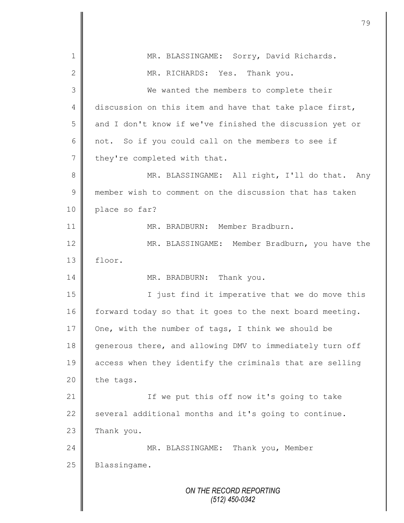*ON THE RECORD REPORTING (512) 450-0342* 1 || MR. BLASSINGAME: Sorry, David Richards. 2 MR. RICHARDS: Yes. Thank you. 3 || We wanted the members to complete their 4 discussion on this item and have that take place first, 5 and I don't know if we've finished the discussion yet or  $6 \parallel$  not. So if you could call on the members to see if  $7 \parallel$  they're completed with that. 8 || MR. BLASSINGAME: All right, I'll do that. Any 9 member wish to comment on the discussion that has taken 10 | place so far? 11 || MR. BRADBURN: Member Bradburn. 12 MR. BLASSINGAME: Member Bradburn, you have the 13 floor. 14 MR. BRADBURN: Thank you. 15 || I just find it imperative that we do move this 16  $\parallel$  forward today so that it goes to the next board meeting. 17 One, with the number of tags, I think we should be 18 generous there, and allowing DMV to immediately turn off 19 access when they identify the criminals that are selling  $20$  | the tags. 21 || If we put this off now it's going to take 22  $\parallel$  several additional months and it's going to continue.  $23$  Thank you. 24 MR. BLASSINGAME: Thank you, Member 25 | Blassingame.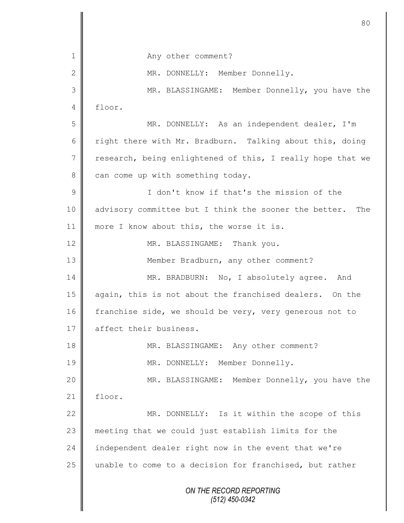*ON THE RECORD REPORTING (512) 450-0342* 1 || Any other comment? 2 MR. DONNELLY: Member Donnelly. 3 MR. BLASSINGAME: Member Donnelly, you have the  $4$  floor. 5 || MR. DONNELLY: As an independent dealer, I'm 6 Tight there with Mr. Bradburn. Talking about this, doing  $7 \parallel$  research, being enlightened of this, I really hope that we  $8 \parallel$  can come up with something today. 9 I don't know if that's the mission of the 10 advisory committee but I think the sooner the better. The 11 | more I know about this, the worse it is. 12 MR. BLASSINGAME: Thank you. 13 || Member Bradburn, any other comment? 14 MR. BRADBURN: No, I absolutely agree. And 15 again, this is not about the franchised dealers. On the 16 franchise side, we should be very, very generous not to 17 affect their business. 18 MR. BLASSINGAME: Any other comment? 19 || MR. DONNELLY: Member Donnelly. 20 MR. BLASSINGAME: Member Donnelly, you have the  $21$  | floor. 22 | MR. DONNELLY: Is it within the scope of this 23 meeting that we could just establish limits for the 24 independent dealer right now in the event that we're 25 unable to come to a decision for franchised, but rather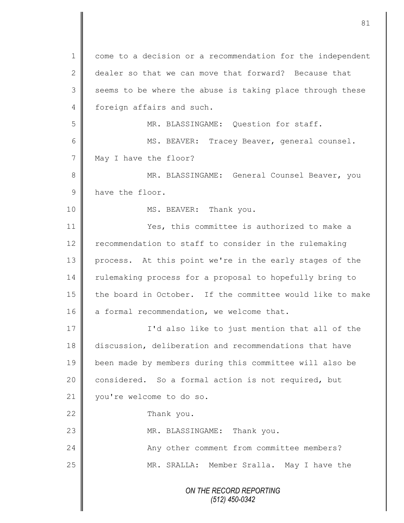*ON THE RECORD REPORTING (512) 450-0342* 1 come to a decision or a recommendation for the independent 2 dealer so that we can move that forward? Because that  $3 \parallel$  seems to be where the abuse is taking place through these 4 foreign affairs and such. 5 || MR. BLASSINGAME: Question for staff. 6 || MS. BEAVER: Tracey Beaver, general counsel. 7 May I have the floor? 8 || MR. BLASSINGAME: General Counsel Beaver, you 9 have the floor. 10 || MS. BEAVER: Thank you. 11 **Network** Yes, this committee is authorized to make a 12 | recommendation to staff to consider in the rulemaking 13 process. At this point we're in the early stages of the 14 Tulemaking process for a proposal to hopefully bring to 15 the board in October. If the committee would like to make 16 a formal recommendation, we welcome that. 17 || **I'd also like to just mention that all of the** 18 discussion, deliberation and recommendations that have 19 been made by members during this committee will also be 20 | considered. So a formal action is not required, but 21 | you're welcome to do so. 22 Thank you. 23 || MR. BLASSINGAME: Thank you. 24 | Any other comment from committee members? 25 MR. SRALLA: Member Sralla. May I have the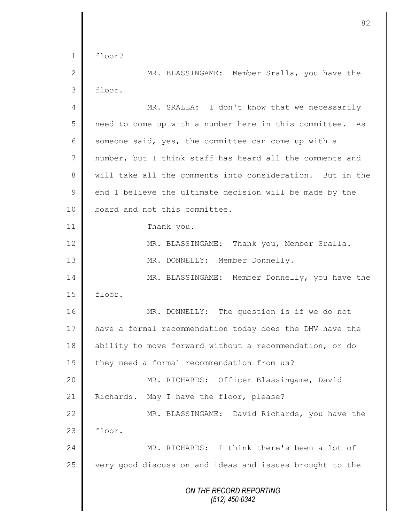*ON THE RECORD REPORTING (512) 450-0342*  $1 \parallel$  floor? 2 MR. BLASSINGAME: Member Sralla, you have the 3 floor. 4 MR. SRALLA: I don't know that we necessarily 5 need to come up with a number here in this committee. As 6 someone said, yes, the committee can come up with a 7 number, but I think staff has heard all the comments and 8 will take all the comments into consideration. But in the  $9 \parallel$  end I believe the ultimate decision will be made by the 10 | board and not this committee. 11 Thank you. 12 | MR. BLASSINGAME: Thank you, Member Sralla. 13 || MR. DONNELLY: Member Donnelly. 14 MR. BLASSINGAME: Member Donnelly, you have the 15 floor. 16 MR. DONNELLY: The question is if we do not 17 | have a formal recommendation today does the DMV have the 18 ability to move forward without a recommendation, or do 19 they need a formal recommendation from us? 20 MR. RICHARDS: Officer Blassingame, David 21 | Richards. May I have the floor, please? 22 MR. BLASSINGAME: David Richards, you have the  $23$   $\parallel$  floor. 24 MR. RICHARDS: I think there's been a lot of  $25$   $\parallel$  very good discussion and ideas and issues brought to the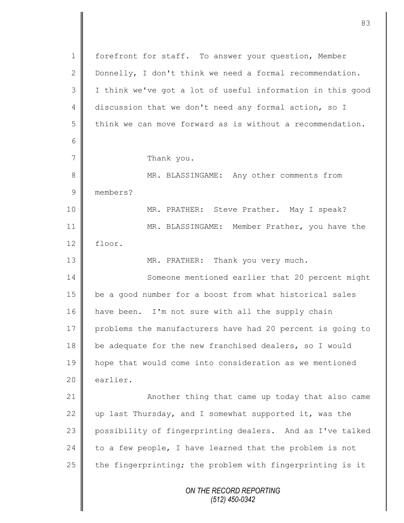*ON THE RECORD REPORTING (512) 450-0342* 1 | forefront for staff. To answer your question, Member 2 Donnelly, I don't think we need a formal recommendation. 3 I think we've got a lot of useful information in this good 4 discussion that we don't need any formal action, so I  $5 \parallel$  think we can move forward as is without a recommendation. 6 7 Thank you. 8 MR. BLASSINGAME: Any other comments from 9 members? 10 MR. PRATHER: Steve Prather. May I speak? 11 MR. BLASSINGAME: Member Prather, you have the 12 floor. 13 || MR. PRATHER: Thank you very much. 14 Someone mentioned earlier that 20 percent might 15 | be a good number for a boost from what historical sales 16 | have been. I'm not sure with all the supply chain 17 problems the manufacturers have had 20 percent is going to 18 be adequate for the new franchised dealers, so I would 19 hope that would come into consideration as we mentioned  $20$   $\parallel$  earlier. 21 **Another thing that came up today that also came** 22  $\parallel$  up last Thursday, and I somewhat supported it, was the 23 possibility of fingerprinting dealers. And as I've talked 24 to a few people, I have learned that the problem is not 25  $\parallel$  the fingerprinting; the problem with fingerprinting is it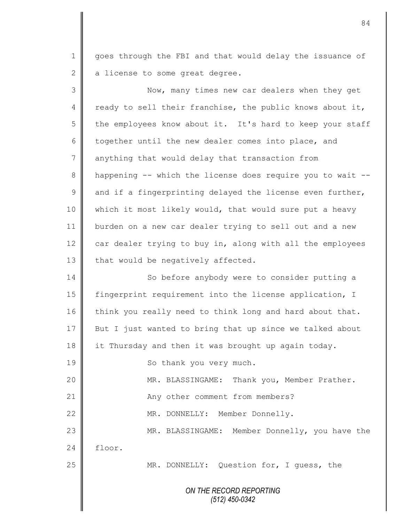1 goes through the FBI and that would delay the issuance of  $\parallel$  a license to some great degree.

| 3  | Now, many times new car dealers when they get              |
|----|------------------------------------------------------------|
| 4  | ready to sell their franchise, the public knows about it,  |
| 5  | the employees know about it. It's hard to keep your staff  |
| 6  | together until the new dealer comes into place, and        |
| 7  | anything that would delay that transaction from            |
| 8  | happening -- which the license does require you to wait -- |
| 9  | and if a fingerprinting delayed the license even further,  |
| 10 | which it most likely would, that would sure put a heavy    |
| 11 | burden on a new car dealer trying to sell out and a new    |
| 12 | car dealer trying to buy in, along with all the employees  |
| 13 | that would be negatively affected.                         |
| 14 | So before anybody were to consider putting a               |
| 15 | fingerprint requirement into the license application, I    |
| 16 | think you really need to think long and hard about that.   |
| 17 | But I just wanted to bring that up since we talked about   |
| 18 | it Thursday and then it was brought up again today.        |
| 19 | So thank you very much.                                    |
| 20 | MR. BLASSINGAME: Thank you, Member Prather.                |
| 21 | Any other comment from members?                            |
| 22 | Member Donnelly.<br>MR. DONNELLY:                          |
| 23 | MR. BLASSINGAME: Member Donnelly, you have the             |
| 24 | floor.                                                     |
| 25 | MR. DONNELLY: Question for, I guess, the                   |
|    | ON THE RECORD REPORTING<br>$(512)$ 450-0342                |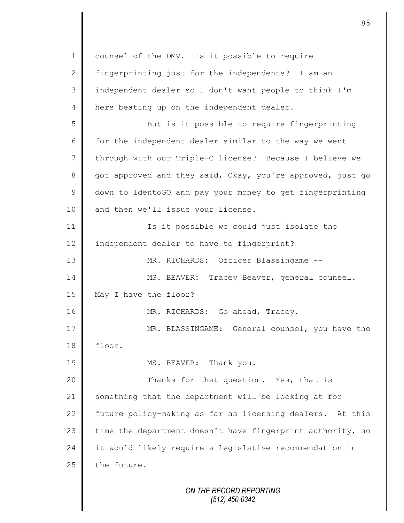| $\mathbf 1$    | counsel of the DMV. Is it possible to require              |
|----------------|------------------------------------------------------------|
| $\overline{2}$ | fingerprinting just for the independents? I am an          |
| 3              | independent dealer so I don't want people to think I'm     |
| 4              | here beating up on the independent dealer.                 |
| 5              | But is it possible to require fingerprinting               |
| 6              | for the independent dealer similar to the way we went      |
| 7              | through with our Triple-C license? Because I believe we    |
| $8\,$          | got approved and they said, Okay, you're approved, just go |
| $\mathcal{G}$  | down to IdentoGO and pay your money to get fingerprinting  |
| 10             | and then we'll issue your license.                         |
| 11             | Is it possible we could just isolate the                   |
| 12             | independent dealer to have to fingerprint?                 |
| 13             | MR. RICHARDS: Officer Blassingame --                       |
| 14             | MS. BEAVER: Tracey Beaver, general counsel.                |
| 15             | May I have the floor?                                      |
| 16             | MR. RICHARDS: Go ahead, Tracey.                            |
| 17             | General counsel, you have the<br>MR. BLASSINGAME:          |
| 18             | floor.                                                     |
| 19             | MS. BEAVER: Thank you.                                     |
| 20             | Thanks for that question. Yes, that is                     |
| 21             | something that the department will be looking at for       |
| 22             | future policy-making as far as licensing dealers. At this  |
| 23             | time the department doesn't have fingerprint authority, so |
| 24             | it would likely require a legislative recommendation in    |
| 25             | the future.                                                |
|                | ON THE RECORD REPORTING<br>$(512)$ 450-0342                |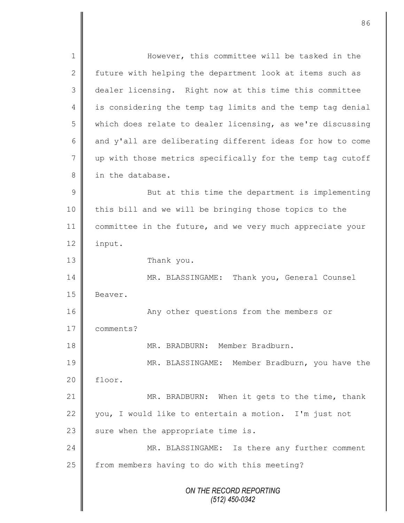*ON THE RECORD REPORTING (512) 450-0342* 1 || However, this committee will be tasked in the 2 future with helping the department look at items such as 3 dealer licensing. Right now at this time this committee 4 | is considering the temp tag limits and the temp tag denial 5 which does relate to dealer licensing, as we're discussing 6  $\parallel$  and y'all are deliberating different ideas for how to come 7 up with those metrics specifically for the temp tag cutoff 8 | in the database. 9 || But at this time the department is implementing 10 | this bill and we will be bringing those topics to the 11 | committee in the future, and we very much appreciate your 12 | input. 13 Thank you. 14 **MR. BLASSINGAME:** Thank you, General Counsel 15 | Beaver. 16 | Many other questions from the members or 17 comments? 18 MR. BRADBURN: Member Bradburn. 19 MR. BLASSINGAME: Member Bradburn, you have the 20 floor. 21 MR. BRADBURN: When it gets to the time, thank 22 vou, I would like to entertain a motion. I'm just not 23  $\parallel$  sure when the appropriate time is. 24 MR. BLASSINGAME: Is there any further comment  $25$   $\parallel$  from members having to do with this meeting?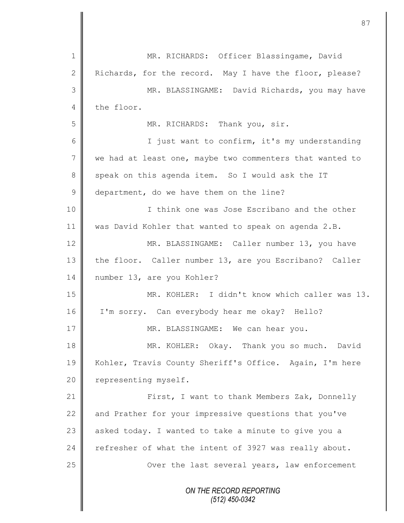*ON THE RECORD REPORTING (512) 450-0342* 1 || MR. RICHARDS: Officer Blassingame, David 2 Richards, for the record. May I have the floor, please? 3 MR. BLASSINGAME: David Richards, you may have 4 the floor. 5 MR. RICHARDS: Thank you, sir. 6 || I just want to confirm, it's my understanding 7 we had at least one, maybe two commenters that wanted to 8 speak on this agenda item. So I would ask the IT 9 department, do we have them on the line? 10 || I think one was Jose Escribano and the other 11 was David Kohler that wanted to speak on agenda 2.B. 12 MR. BLASSINGAME: Caller number 13, you have 13 the floor. Caller number 13, are you Escribano? Caller 14 | number 13, are you Kohler? 15 MR. KOHLER: I didn't know which caller was 13. 16 I'm sorry. Can everybody hear me okay? Hello? 17 || MR. BLASSINGAME: We can hear you. 18 MR. KOHLER: Okay. Thank you so much. David 19 || Kohler, Travis County Sheriff's Office. Again, I'm here 20 | representing myself. 21 | First, I want to thank Members Zak, Donnelly 22  $\parallel$  and Prather for your impressive questions that you've 23  $\parallel$  asked today. I wanted to take a minute to give you a 24 refresher of what the intent of 3927 was really about. 25 | Over the last several years, law enforcement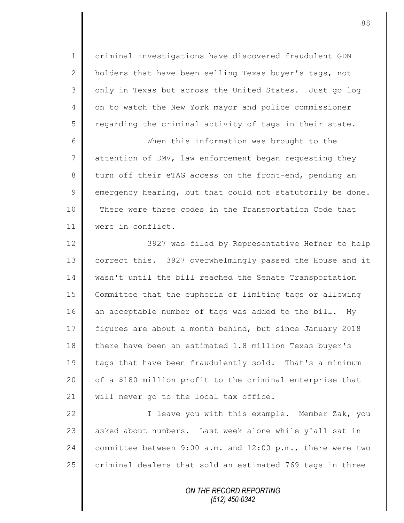1 criminal investigations have discovered fraudulent GDN 2  $\parallel$  holders that have been selling Texas buyer's tags, not 3 | only in Texas but across the United States. Just go log 4 | on to watch the New York mayor and police commissioner  $5 \parallel$  regarding the criminal activity of tags in their state.

6 When this information was brought to the  $7 \parallel$  attention of DMV, law enforcement began requesting they 8 turn off their eTAG access on the front-end, pending an  $9 \parallel$  emergency hearing, but that could not statutorily be done. 10 There were three codes in the Transportation Code that 11 were in conflict.

12  $\parallel$  3927 was filed by Representative Hefner to help 13 correct this. 3927 overwhelmingly passed the House and it 14 | wasn't until the bill reached the Senate Transportation 15 Committee that the euphoria of limiting tags or allowing 16 an acceptable number of tags was added to the bill. My 17 figures are about a month behind, but since January 2018 18 there have been an estimated 1.8 million Texas buyer's 19 tags that have been fraudulently sold. That's a minimum 20  $\parallel$  of a \$180 million profit to the criminal enterprise that 21 | will never go to the local tax office.

22 | Theave you with this example. Member Zak, you  $23$  asked about numbers. Last week alone while y'all sat in 24 committee between 9:00 a.m. and 12:00 p.m., there were two 25  $\parallel$  criminal dealers that sold an estimated 769 tags in three

> *ON THE RECORD REPORTING (512) 450-0342*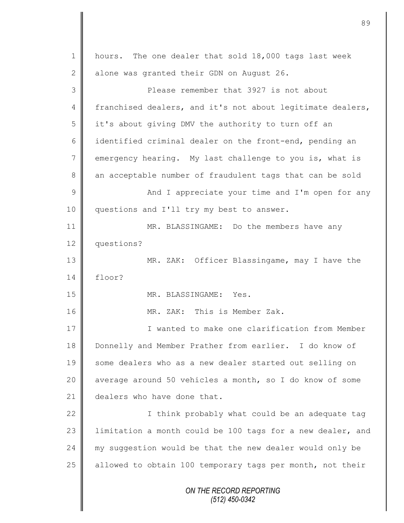*ON THE RECORD REPORTING (512) 450-0342* 1 | hours. The one dealer that sold 18,000 tags last week 2 alone was granted their GDN on August 26. 3 **Please remember that 3927 is not about** 4 franchised dealers, and it's not about legitimate dealers,  $5 \parallel$  it's about giving DMV the authority to turn off an 6 didentified criminal dealer on the front-end, pending an 7 emergency hearing. My last challenge to you is, what is 8 an acceptable number of fraudulent tags that can be sold 9 And I appreciate your time and I'm open for any 10 | questions and I'll try my best to answer. 11 **MR. BLASSINGAME:** Do the members have any 12 questions? 13 MR. ZAK: Officer Blassingame, may I have the  $14 \parallel$  floor? 15 NR. BLASSINGAME: Yes. 16 MR. ZAK: This is Member Zak. 17 **I** I wanted to make one clarification from Member 18 Donnelly and Member Prather from earlier. I do know of 19 some dealers who as a new dealer started out selling on 20 || average around 50 vehicles a month, so I do know of some 21 dealers who have done that. 22  $\parallel$  I think probably what could be an adequate tag 23 | limitation a month could be 100 tags for a new dealer, and 24 my suggestion would be that the new dealer would only be 25  $\parallel$  allowed to obtain 100 temporary tags per month, not their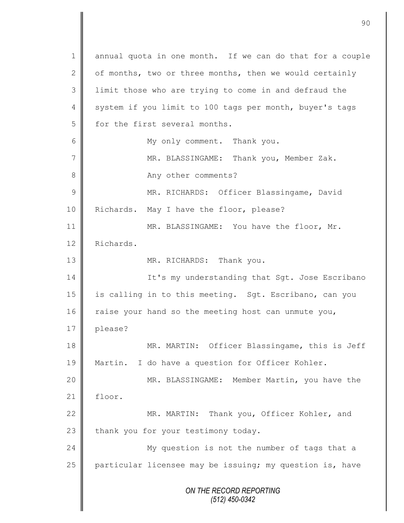*ON THE RECORD REPORTING (512) 450-0342* 1 annual quota in one month. If we can do that for a couple 2  $\parallel$  of months, two or three months, then we would certainly 3 || limit those who are trying to come in and defraud the 4 system if you limit to 100 tags per month, buyer's tags  $5 \parallel$  for the first several months. 6 || My only comment. Thank you. 7 MR. BLASSINGAME: Thank you, Member Zak. 8 || Any other comments? 9 || MR. RICHARDS: Officer Blassingame, David 10 | Richards. May I have the floor, please? 11 || MR. BLASSINGAME: You have the floor, Mr. 12 Richards. 13 MR. RICHARDS: Thank you. 14 | It's my understanding that Sgt. Jose Escribano 15 is calling in to this meeting. Sgt. Escribano, can you 16 | raise your hand so the meeting host can unmute you, 17 | please? 18 MR. MARTIN: Officer Blassingame, this is Jeff 19 Martin. I do have a question for Officer Kohler. 20 MR. BLASSINGAME: Member Martin, you have the 21  $\parallel$  floor. 22 MR. MARTIN: Thank you, Officer Kohler, and 23  $\parallel$  thank you for your testimony today. 24 My question is not the number of tags that a 25  $\parallel$  particular licensee may be issuing; my question is, have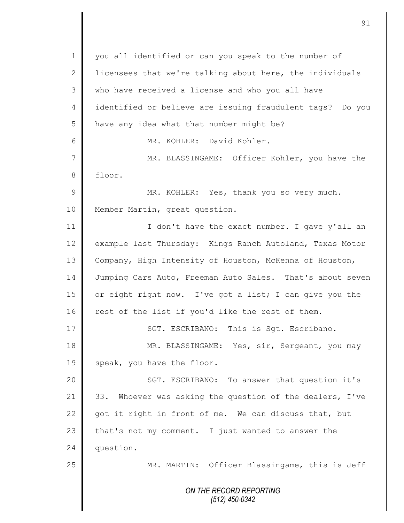*ON THE RECORD REPORTING (512) 450-0342* 1 || you all identified or can you speak to the number of 2 | licensees that we're talking about here, the individuals 3 who have received a license and who you all have 4 identified or believe are issuing fraudulent tags? Do you  $5$  have any idea what that number might be? 6 MR. KOHLER: David Kohler. 7 MR. BLASSINGAME: Officer Kohler, you have the 8 floor. 9 || MR. KOHLER: Yes, thank you so very much. 10 | Member Martin, great question. 11 | I don't have the exact number. I gave y'all an 12 example last Thursday: Kings Ranch Autoland, Texas Motor 13 Company, High Intensity of Houston, McKenna of Houston, 14 Jumping Cars Auto, Freeman Auto Sales. That's about seven 15  $\parallel$  or eight right now. I've got a list; I can give you the  $16$  rest of the list if you'd like the rest of them. 17 | SGT. ESCRIBANO: This is Sqt. Escribano. 18 || MR. BLASSINGAME: Yes, sir, Sergeant, you may 19 speak, you have the floor. 20 || SGT. ESCRIBANO: To answer that question it's 21 33. Whoever was asking the question of the dealers, I've 22 got it right in front of me. We can discuss that, but 23 that's not my comment. I just wanted to answer the 24 question. 25 | MR. MARTIN: Officer Blassingame, this is Jeff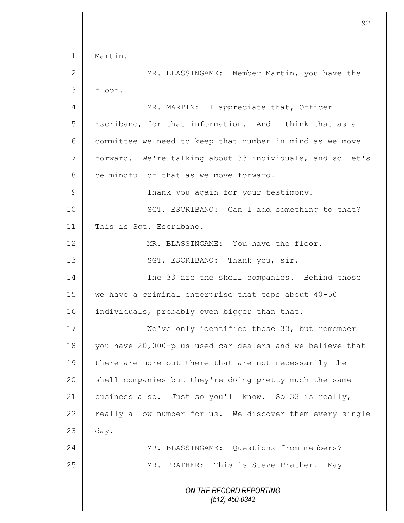|                | 92                                                        |
|----------------|-----------------------------------------------------------|
|                |                                                           |
| $\mathbf 1$    | Martin.                                                   |
| $\mathbf{2}$   | MR. BLASSINGAME: Member Martin, you have the              |
| 3              | floor.                                                    |
| $\overline{4}$ | MR. MARTIN: I appreciate that, Officer                    |
| 5              | Escribano, for that information. And I think that as a    |
| 6              | committee we need to keep that number in mind as we move  |
| 7              | forward. We're talking about 33 individuals, and so let's |
| 8              | be mindful of that as we move forward.                    |
| 9              | Thank you again for your testimony.                       |
| 10             | SGT. ESCRIBANO: Can I add something to that?              |
| 11             | This is Sgt. Escribano.                                   |
| 12             | MR. BLASSINGAME: You have the floor.                      |
| 13             | SGT. ESCRIBANO: Thank you, sir.                           |
| 14             | The 33 are the shell companies. Behind those              |
| 15             | we have a criminal enterprise that tops about 40-50       |
| 16             | individuals, probably even bigger than that.              |
| 17             | We've only identified those 33, but remember              |
| 18             | you have 20,000-plus used car dealers and we believe that |
| 19             | there are more out there that are not necessarily the     |
| 20             | shell companies but they're doing pretty much the same    |
| 21             | business also. Just so you'll know. So 33 is really,      |
| 22             | really a low number for us. We discover them every single |
| 23             | day.                                                      |
| 24             | MR. BLASSINGAME: Questions from members?                  |
| 25             | MR. PRATHER: This is Steve Prather. May I                 |
|                |                                                           |
|                | ON THE RECORD REPORTING<br>(512) 450-0342                 |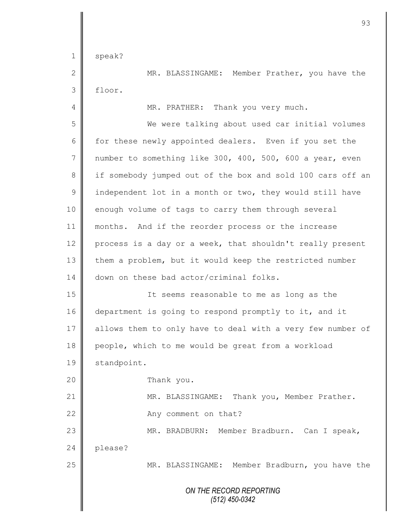1 speak?

2 || MR. BLASSINGAME: Member Prather, you have the 3 floor.

4 || MR. PRATHER: Thank you very much.

5 We were talking about used car initial volumes 6 for these newly appointed dealers. Even if you set the 7 | number to something like 300, 400, 500, 600 a year, even 8 if somebody jumped out of the box and sold 100 cars off an 9 | independent lot in a month or two, they would still have 10 enough volume of tags to carry them through several 11 months. And if the reorder process or the increase 12 process is a day or a week, that shouldn't really present 13 them a problem, but it would keep the restricted number 14 | down on these bad actor/criminal folks. 15 | The seems reasonable to me as long as the 16 department is going to respond promptly to it, and it 17 allows them to only have to deal with a very few number of 18 | people, which to me would be great from a workload 19 | standpoint. 20 **Thank** you. 21 | MR. BLASSINGAME: Thank you, Member Prather. 22 **Any comment on that?** 23 || MR. BRADBURN: Member Bradburn. Can I speak,

24 please?

25 MR. BLASSINGAME: Member Bradburn, you have the

*ON THE RECORD REPORTING (512) 450-0342*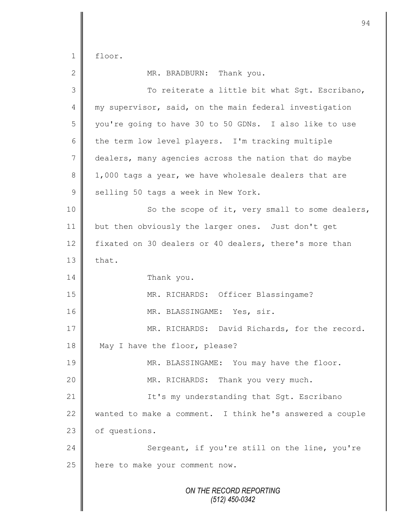1 floor.

*ON THE RECORD REPORTING (512) 450-0342* 2 MR. BRADBURN: Thank you. 3 || To reiterate a little bit what Sgt. Escribano, 4 || my supervisor, said, on the main federal investigation 5 you're going to have 30 to 50 GDNs. I also like to use 6 the term low level players. I'm tracking multiple 7 dealers, many agencies across the nation that do maybe 8 1,000 tags a year, we have wholesale dealers that are 9 selling 50 tags a week in New York. 10 || So the scope of it, very small to some dealers, 11 but then obviously the larger ones. Just don't get 12 fixated on 30 dealers or 40 dealers, there's more than  $13$   $\blacksquare$  that. 14 Thank you. 15 || MR. RICHARDS: Officer Blassingame? 16 || MR. BLASSINGAME: Yes, sir. 17 MR. RICHARDS: David Richards, for the record. 18 May I have the floor, please? 19 MR. BLASSINGAME: You may have the floor. 20  $\parallel$  MR. RICHARDS: Thank you very much. 21 | It's my understanding that Sgt. Escribano 22 wanted to make a comment. I think he's answered a couple 23 of questions. 24 Sergeant, if you're still on the line, you're 25 | here to make your comment now.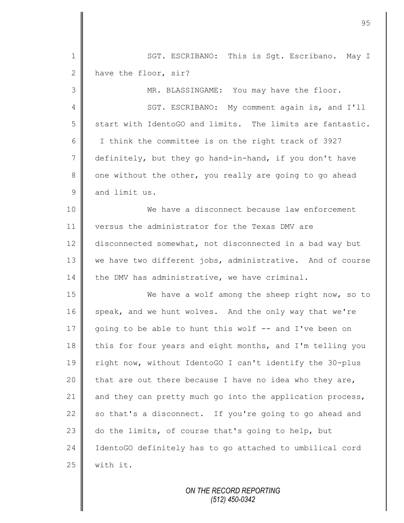| $\mathbf 1$     | SGT. ESCRIBANO: This is Sgt. Escribano. May I             |
|-----------------|-----------------------------------------------------------|
| $\mathbf{2}$    | have the floor, sir?                                      |
| 3               | MR. BLASSINGAME: You may have the floor.                  |
| 4               | SGT. ESCRIBANO: My comment again is, and I'll             |
| 5               | start with IdentoGO and limits. The limits are fantastic. |
| 6               | I think the committee is on the right track of 3927       |
| $7\phantom{.0}$ | definitely, but they go hand-in-hand, if you don't have   |
| $8\,$           | one without the other, you really are going to go ahead   |
| $\mathsf 9$     | and limit us.                                             |
| 10              | We have a disconnect because law enforcement              |
| 11              | versus the administrator for the Texas DMV are            |
| 12              | disconnected somewhat, not disconnected in a bad way but  |
| 13              | we have two different jobs, administrative. And of course |
| 14              | the DMV has administrative, we have criminal.             |
| 15              | We have a wolf among the sheep right now, so to           |
| 16              | speak, and we hunt wolves. And the only way that we're    |
| 17              | going to be able to hunt this wolf -- and I've been on    |
| 18              | this for four years and eight months, and I'm telling you |
| 19              | right now, without IdentoGO I can't identify the 30-plus  |
| 20              | that are out there because I have no idea who they are,   |
| 21              | and they can pretty much go into the application process, |
| 22              | so that's a disconnect. If you're going to go ahead and   |
| 23              | do the limits, of course that's going to help, but        |
| 24              | IdentoGO definitely has to go attached to umbilical cord  |
| 25              | with it.                                                  |

 $\mathbf{I}$ Ш

*ON THE RECORD REPORTING (512) 450-0342*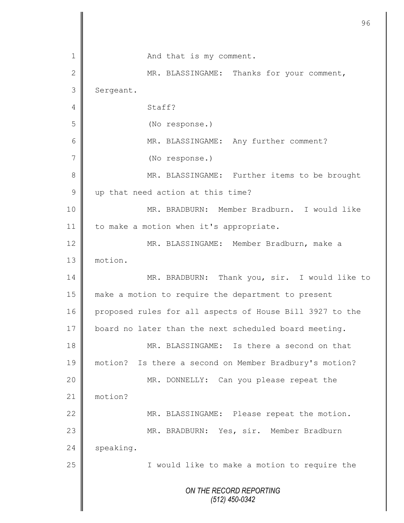|               | 96                                                       |
|---------------|----------------------------------------------------------|
|               |                                                          |
| 1             | And that is my comment.                                  |
| $\mathbf 2$   | MR. BLASSINGAME: Thanks for your comment,                |
| 3             | Sergeant.                                                |
| 4             | Staff?                                                   |
| 5             | (No response.)                                           |
| 6             | MR. BLASSINGAME: Any further comment?                    |
| 7             | (No response.)                                           |
| 8             | MR. BLASSINGAME: Further items to be brought             |
| $\mathcal{G}$ | up that need action at this time?                        |
| 10            | MR. BRADBURN: Member Bradburn. I would like              |
| 11            | to make a motion when it's appropriate.                  |
| 12            | MR. BLASSINGAME: Member Bradburn, make a                 |
| 13            | motion.                                                  |
| 14            | MR. BRADBURN: Thank you, sir. I would like to            |
| 15            | make a motion to require the department to present       |
| 16            | proposed rules for all aspects of House Bill 3927 to the |
| 17            | board no later than the next scheduled board meeting.    |
| 18            | MR. BLASSINGAME: Is there a second on that               |
| 19            | motion? Is there a second on Member Bradbury's motion?   |
| 20            | MR. DONNELLY:<br>Can you please repeat the               |
| 21            | motion?                                                  |
| 22            | MR. BLASSINGAME: Please repeat the motion.               |
| 23            | MR. BRADBURN: Yes, sir. Member Bradburn                  |
| 24            | speaking.                                                |
| 25            | I would like to make a motion to require the             |
|               | ON THE RECORD REPORTING<br>$(512)$ 450-0342              |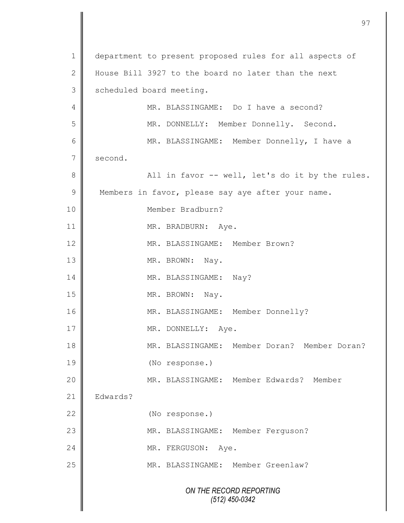|                | 97                                                      |
|----------------|---------------------------------------------------------|
| $\mathbf 1$    | department to present proposed rules for all aspects of |
| $\mathbf{2}$   | House Bill 3927 to the board no later than the next     |
| 3              | scheduled board meeting.                                |
| 4              | MR. BLASSINGAME: Do I have a second?                    |
| 5              | MR. DONNELLY: Member Donnelly. Second.                  |
| 6              |                                                         |
| $\overline{7}$ | MR. BLASSINGAME: Member Donnelly, I have a              |
|                | second.                                                 |
| $8\,$          | All in favor -- well, let's do it by the rules.         |
| $\mathcal{G}$  | Members in favor, please say aye after your name.       |
| 10             | Member Bradburn?                                        |
| 11             | MR. BRADBURN: Aye.                                      |
| 12             | MR. BLASSINGAME: Member Brown?                          |
| 13             | MR. BROWN: Nay.                                         |
| 14             | MR. BLASSINGAME: Nay?                                   |
| 15             | MR. BROWN: Nay.                                         |
| 16             | MR. BLASSINGAME:<br>Member Donnelly?                    |
| 17             | MR. DONNELLY:<br>Aye.                                   |
| 18             | MR. BLASSINGAME: Member Doran? Member Doran?            |
| 19             | (No response.)                                          |
| 20             | MR. BLASSINGAME: Member Edwards? Member                 |
| 21             | Edwards?                                                |
| 22             | (No response.)                                          |
| 23             | MR. BLASSINGAME: Member Ferguson?                       |
| 24             | MR. FERGUSON:<br>Aye.                                   |
| 25             | MR. BLASSINGAME: Member Greenlaw?                       |
|                | ON THE RECORD REPORTING<br>$(512)$ 450-0342             |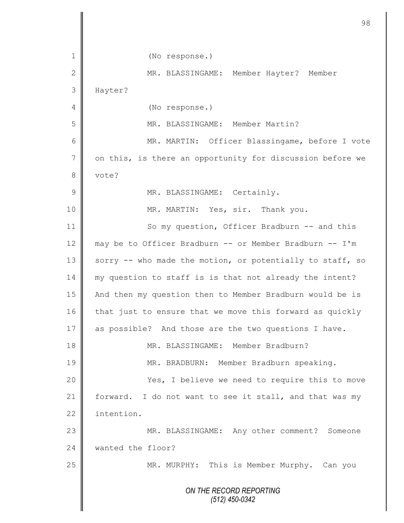|                | 98                                                        |
|----------------|-----------------------------------------------------------|
| 1              | (No response.)                                            |
| $\mathbf{2}$   | MR. BLASSINGAME: Member Hayter? Member                    |
| 3              | Hayter?                                                   |
| 4              | (No response.)                                            |
| 5              | MR. BLASSINGAME: Member Martin?                           |
| 6              | MR. MARTIN: Officer Blassingame, before I vote            |
| $\overline{7}$ | on this, is there an opportunity for discussion before we |
| 8              | vote?                                                     |
| $\mathcal{G}$  | MR. BLASSINGAME: Certainly.                               |
| 10             | MR. MARTIN: Yes, sir. Thank you.                          |
| 11             | So my question, Officer Bradburn -- and this              |
| 12             | may be to Officer Bradburn -- or Member Bradburn -- I'm   |
| 13             | sorry -- who made the motion, or potentially to staff, so |
| 14             | my question to staff is is that not already the intent?   |
| 15             | And then my question then to Member Bradburn would be is  |
| 16             | that just to ensure that we move this forward as quickly  |
| 17             | as possible? And those are the two questions I have.      |
| 18             | MR. BLASSINGAME: Member Bradburn?                         |
| 19             | MR. BRADBURN: Member Bradburn speaking.                   |
| 20             | Yes, I believe we need to require this to move            |
| 21             | forward. I do not want to see it stall, and that was my   |
| 22             | intention.                                                |
| 23             | MR. BLASSINGAME: Any other comment? Someone               |
| 24             | wanted the floor?                                         |
| 25             | MR. MURPHY: This is Member Murphy. Can you                |
|                | ON THE RECORD REPORTING<br>$(512)$ 450-0342               |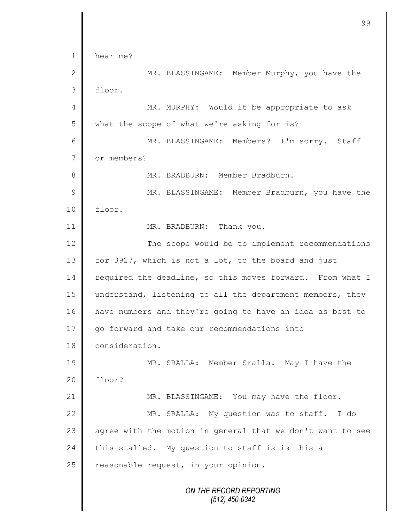*ON THE RECORD REPORTING (512) 450-0342* 1 hear me? 2 MR. BLASSINGAME: Member Murphy, you have the 3 floor. 4 || MR. MURPHY: Would it be appropriate to ask 5 what the scope of what we're asking for is? 6 MR. BLASSINGAME: Members? I'm sorry. Staff 7 or members? 8 || MR. BRADBURN: Member Bradburn. 9 || MR. BLASSINGAME: Member Bradburn, you have the 10 floor. 11 || MR. BRADBURN: Thank you. 12 The scope would be to implement recommendations 13 for 3927, which is not a lot, to the board and just 14 required the deadline, so this moves forward. From what I 15 || understand, listening to all the department members, they 16 have numbers and they're going to have an idea as best to 17 || go forward and take our recommendations into 18 **consideration.** 19 MR. SRALLA: Member Sralla. May I have the 20 floor? 21 MR. BLASSINGAME: You may have the floor. 22 | MR. SRALLA: My question was to staff. I do 23  $\parallel$  agree with the motion in general that we don't want to see 24 this stalled. My question to staff is is this a  $25$  reasonable request, in your opinion.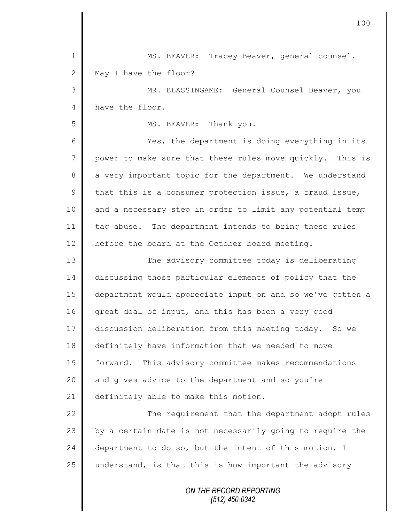| $\mathbf 1$    | MS. BEAVER: Tracey Beaver, general counsel.                |
|----------------|------------------------------------------------------------|
| $\mathbf{2}$   | May I have the floor?                                      |
| 3              | MR. BLASSINGAME: General Counsel Beaver, you               |
| 4              | have the floor.                                            |
| 5              | MS. BEAVER: Thank you.                                     |
| 6              | Yes, the department is doing everything in its             |
| $\overline{7}$ | power to make sure that these rules move quickly. This is  |
| 8              | a very important topic for the department. We understand   |
| $\mathcal{G}$  | that this is a consumer protection issue, a fraud issue,   |
| 10             | and a necessary step in order to limit any potential temp  |
| 11             | tag abuse. The department intends to bring these rules     |
| 12             | before the board at the October board meeting.             |
| 13             | The advisory committee today is deliberating               |
| 14             | discussing those particular elements of policy that the    |
| 15             | department would appreciate input on and so we've gotten a |
| 16             | great deal of input, and this has been a very good         |
| 17             | discussion deliberation from this meeting today. So we     |
| 18             | definitely have information that we needed to move         |
| 19             | forward. This advisory committee makes recommendations     |
| 20             | and gives advice to the department and so you're           |
| 21             | definitely able to make this motion.                       |
| 22             | The requirement that the department adopt rules            |
| 23             | by a certain date is not necessarily going to require the  |
| 24             | department to do so, but the intent of this motion, I      |
| 25             | understand, is that this is how important the advisory     |
|                | ON THE RECORD REPORTING<br>(512) 450-0342                  |

 $\mathbf l$ II

II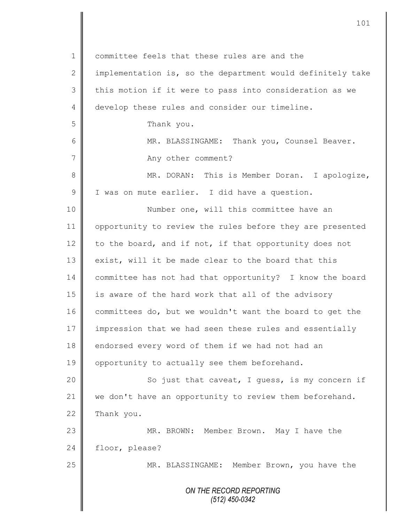*ON THE RECORD REPORTING (512) 450-0342* 1 committee feels that these rules are and the  $2 \parallel$  implementation is, so the department would definitely take 3 || this motion if it were to pass into consideration as we 4 develop these rules and consider our timeline. 5 **S** 6 || MR. BLASSINGAME: Thank you, Counsel Beaver. 7 || Any other comment? 8 || MR. DORAN: This is Member Doran. I apologize, 9 | I was on mute earlier. I did have a question. 10 || Number one, will this committee have an 11 | opportunity to review the rules before they are presented 12  $\parallel$  to the board, and if not, if that opportunity does not 13 exist, will it be made clear to the board that this 14 committee has not had that opportunity? I know the board 15 || is aware of the hard work that all of the advisory 16  $\parallel$  committees do, but we wouldn't want the board to get the 17 impression that we had seen these rules and essentially 18 endorsed every word of them if we had not had an 19 | opportunity to actually see them beforehand. 20 | So just that caveat, I guess, is my concern if 21 we don't have an opportunity to review them beforehand.  $22$  Thank you. 23 || MR. BROWN: Member Brown. May I have the 24 floor, please? 25 MR. BLASSINGAME: Member Brown, you have the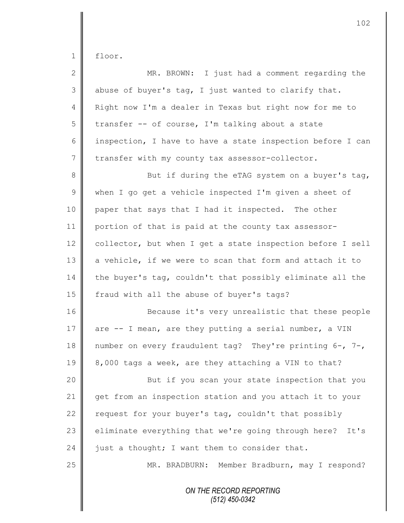floor.

| $\overline{2}$  | MR. BROWN: I just had a comment regarding the               |
|-----------------|-------------------------------------------------------------|
| 3               | abuse of buyer's tag, I just wanted to clarify that.        |
| $\overline{4}$  | Right now I'm a dealer in Texas but right now for me to     |
| 5               | transfer -- of course, I'm talking about a state            |
| 6               | inspection, I have to have a state inspection before I can  |
| $7\phantom{.0}$ | transfer with my county tax assessor-collector.             |
| 8               | But if during the eTAG system on a buyer's tag,             |
| $\mathsf 9$     | when I go get a vehicle inspected I'm given a sheet of      |
| 10              | paper that says that I had it inspected. The other          |
| 11              | portion of that is paid at the county tax assessor-         |
| 12              | collector, but when I get a state inspection before I sell  |
| 13              | a vehicle, if we were to scan that form and attach it to    |
| 14              | the buyer's tag, couldn't that possibly eliminate all the   |
| 15              | fraud with all the abuse of buyer's tags?                   |
| 16              | Because it's very unrealistic that these people             |
| 17              | are -- I mean, are they putting a serial number, a VIN      |
| 18              | number on every fraudulent tag? They're printing 6-, 7-,    |
| 19              | 8,000 tags a week, are they attaching a VIN to that?        |
| 20              | But if you scan your state inspection that you              |
| 21              | get from an inspection station and you attach it to your    |
| 22              | request for your buyer's tag, couldn't that possibly        |
| 23              | eliminate everything that we're going through here?<br>It's |
| 24              | just a thought; I want them to consider that.               |
| 25              | MR. BRADBURN: Member Bradburn, may I respond?               |
|                 | ON THE RECORD REPORTING<br>$(512)$ 450-0342                 |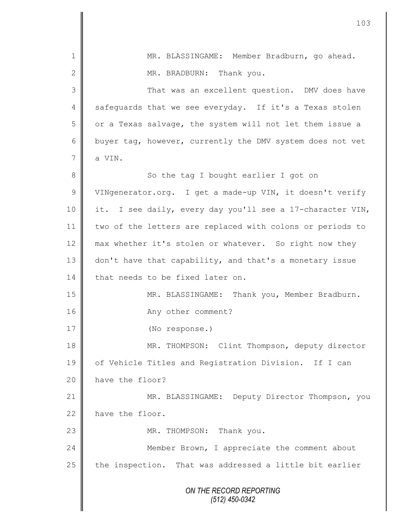| $\mathbf 1$  | MR. BLASSINGAME: Member Bradburn, go ahead.               |
|--------------|-----------------------------------------------------------|
| $\mathbf{2}$ | MR. BRADBURN: Thank you.                                  |
| 3            | That was an excellent question. DMV does have             |
| 4            | safeguards that we see everyday. If it's a Texas stolen   |
| 5            | or a Texas salvage, the system will not let them issue a  |
| 6            | buyer tag, however, currently the DMV system does not vet |
| 7            | a VIN.                                                    |
| $8\,$        | So the tag I bought earlier I got on                      |
| $\mathsf 9$  | VINgenerator.org. I get a made-up VIN, it doesn't verify  |
| 10           | it. I see daily, every day you'll see a 17-character VIN, |
| 11           | two of the letters are replaced with colons or periods to |
| 12           | max whether it's stolen or whatever. So right now they    |
| 13           | don't have that capability, and that's a monetary issue   |
| 14           | that needs to be fixed later on.                          |
| 15           | MR. BLASSINGAME: Thank you, Member Bradburn.              |
| 16           | Any other comment?                                        |
| 17           | (No response.)                                            |
| 18           | MR. THOMPSON: Clint Thompson, deputy director             |
| 19           | of Vehicle Titles and Registration Division. If I can     |
| 20           | have the floor?                                           |
| 21           | MR. BLASSINGAME: Deputy Director Thompson, you            |
| 22           | have the floor.                                           |
| 23           | MR. THOMPSON: Thank you.                                  |
| 24           | Member Brown, I appreciate the comment about              |
| 25           | the inspection. That was addressed a little bit earlier   |
|              | ON THE RECORD REPORTING<br>$(512)$ 450-0342               |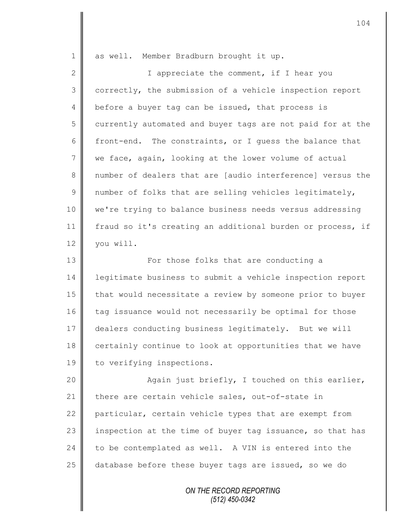| $\mathbf 1$     | as well. Member Bradburn brought it up.                    |
|-----------------|------------------------------------------------------------|
| $\mathbf 2$     | I appreciate the comment, if I hear you                    |
| 3               | correctly, the submission of a vehicle inspection report   |
| 4               | before a buyer tag can be issued, that process is          |
| 5               | currently automated and buyer tags are not paid for at the |
| 6               | front-end. The constraints, or I quess the balance that    |
| $7\phantom{.0}$ | we face, again, looking at the lower volume of actual      |
| 8               | number of dealers that are [audio interference] versus the |
| 9               | number of folks that are selling vehicles legitimately,    |
| 10              | we're trying to balance business needs versus addressing   |
| 11              | fraud so it's creating an additional burden or process, if |
| 12              | you will.                                                  |
| 13              | For those folks that are conducting a                      |
| 14              | legitimate business to submit a vehicle inspection report  |
| 15              | that would necessitate a review by someone prior to buyer  |
| 16              | tag issuance would not necessarily be optimal for those    |
| 17              | dealers conducting business legitimately. But we will      |
| 18              | certainly continue to look at opportunities that we have   |
| 19              | to verifying inspections.                                  |
| 20              | Again just briefly, I touched on this earlier,             |
| 21              | there are certain vehicle sales, out-of-state in           |
| 22              | particular, certain vehicle types that are exempt from     |
| 23              | inspection at the time of buyer tag issuance, so that has  |
| 24              | to be contemplated as well. A VIN is entered into the      |
| 25              | database before these buyer tags are issued, so we do      |
|                 |                                                            |

*ON THE RECORD REPORTING (512) 450-0342*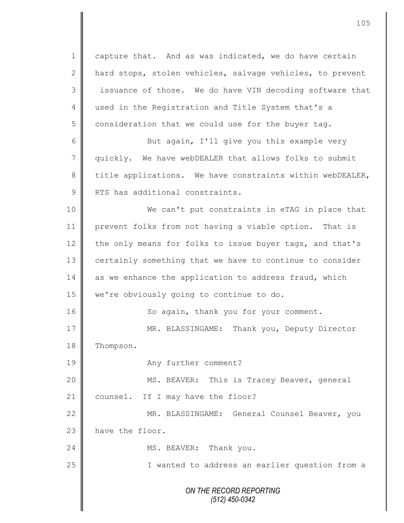*ON THE RECORD REPORTING (512) 450-0342* 1 capture that. And as was indicated, we do have certain 2  $\parallel$  hard stops, stolen vehicles, salvage vehicles, to prevent 3 || issuance of those. We do have VIN decoding software that 4 used in the Registration and Title System that's a  $5 \parallel$  consideration that we could use for the buyer tag. 6 || But again, I'll give you this example very 7 quickly. We have webDEALER that allows folks to submit 8 title applications. We have constraints within webDEALER, 9 RTS has additional constraints. 10 || We can't put constraints in eTAG in place that 11 prevent folks from not having a viable option. That is 12 the only means for folks to issue buyer tags, and that's 13 certainly something that we have to continue to consider 14  $\parallel$  as we enhance the application to address fraud, which 15 | we're obviously going to continue to do. 16 | So again, thank you for your comment. 17 | MR. BLASSINGAME: Thank you, Deputy Director 18 | Thompson. 19 **Any further comment?** 20 | MS. BEAVER: This is Tracey Beaver, general 21 counsel. If I may have the floor? 22 | MR. BLASSINGAME: General Counsel Beaver, you 23 have the floor. 24 MS. BEAVER: Thank you. 25 || I wanted to address an earlier question from a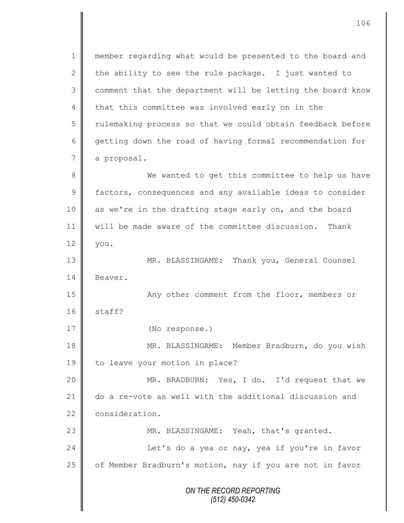*ON THE RECORD REPORTING (512) 450-0342* 1 || member regarding what would be presented to the board and 2 the ability to see the rule package. I just wanted to 3 | comment that the department will be letting the board know 4 that this committee was involved early on in the 5 Tulemaking process so that we could obtain feedback before 6 getting down the road of having formal recommendation for 7 a proposal. 8 We wanted to get this committee to help us have 9 factors, consequences and any available ideas to consider 10 as we're in the drafting stage early on, and the board 11 will be made aware of the committee discussion. Thank  $12 \parallel$  you. 13 || MR. BLASSINGAME: Thank you, General Counsel 14 Beaver. 15 || Any other comment from the floor, members or  $16$  staff? 17 (No response.) 18 | MR. BLASSINGAME: Member Bradburn, do you wish 19 | to leave your motion in place? 20 MR. BRADBURN: Yes, I do. I'd request that we 21 do a re-vote as well with the additional discussion and 22 consideration. 23 MR. BLASSINGAME: Yeah, that's granted. 24 | Let's do a yea or nay, yea if you're in favor 25 | of Member Bradburn's motion, nay if you are not in favor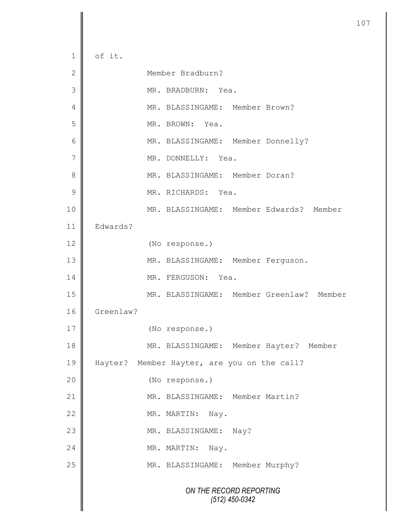*ON THE RECORD REPORTING (512) 450-0342*  $1 \parallel$  of it. 2 Member Bradburn? 3 || MR. BRADBURN: Yea. 4 MR. BLASSINGAME: Member Brown? 5 || MR. BROWN: Yea. 6 || MR. BLASSINGAME: Member Donnelly? 7 || MR. DONNELLY: Yea. 8  $\parallel$  MR. BLASSINGAME: Member Doran? 9  $\parallel$  MR. RICHARDS: Yea. 10 MR. BLASSINGAME: Member Edwards? Member 11 Edwards? 12 (No response.) 13 || MR. BLASSINGAME: Member Ferguson. 14 || MR. FERGUSON: Yea. 15 MR. BLASSINGAME: Member Greenlaw? Member 16 Greenlaw? 17 (No response.) 18 | MR. BLASSINGAME: Member Hayter? Member 19 Hayter? Member Hayter, are you on the call? 20 (No response.) 21 MR. BLASSINGAME: Member Martin? 22 MR. MARTIN: Nay. 23 MR. BLASSINGAME: Nay? 24 NR. MARTIN: Nay. 25 | MR. BLASSINGAME: Member Murphy?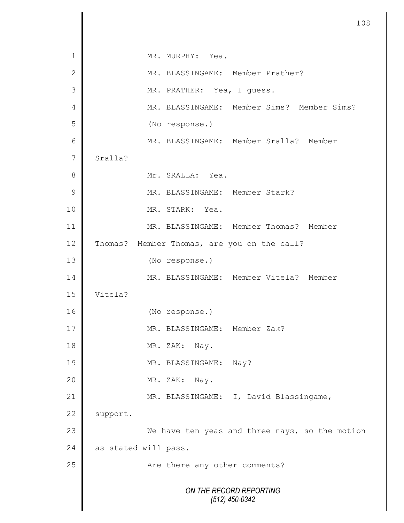|                 | 108                                            |
|-----------------|------------------------------------------------|
|                 |                                                |
| $\mathbf 1$     | MR. MURPHY: Yea.                               |
| $\mathbf 2$     | MR. BLASSINGAME: Member Prather?               |
| 3               | MR. PRATHER: Yea, I quess.                     |
| $\overline{4}$  | MR. BLASSINGAME: Member Sims? Member Sims?     |
| 5               | (No response.)                                 |
| $6\phantom{1}6$ | MR. BLASSINGAME: Member Sralla? Member         |
| $\overline{7}$  | Sralla?                                        |
| 8               | Mr. SRALLA: Yea.                               |
| 9               | MR. BLASSINGAME: Member Stark?                 |
| 10              | MR. STARK: Yea.                                |
| 11              | MR. BLASSINGAME: Member Thomas? Member         |
| 12              | Thomas? Member Thomas, are you on the call?    |
| 13              | (No response.)                                 |
| 14              | MR. BLASSINGAME: Member Vitela? Member         |
| 15              | Vitela?                                        |
| 16              | (No response.)                                 |
| 17              | MR. BLASSINGAME: Member Zak?                   |
| 18              | MR. ZAK: Nay.                                  |
| 19              | MR. BLASSINGAME:<br>Nay?                       |
| 20              | MR. ZAK:<br>Nay.                               |
| 21              | MR. BLASSINGAME: I, David Blassingame,         |
| 22              | support.                                       |
| 23              | We have ten yeas and three nays, so the motion |
| 24              | as stated will pass.                           |
| 25              | Are there any other comments?                  |
|                 | ON THE RECORD REPORTING<br>$(512)$ 450-0342    |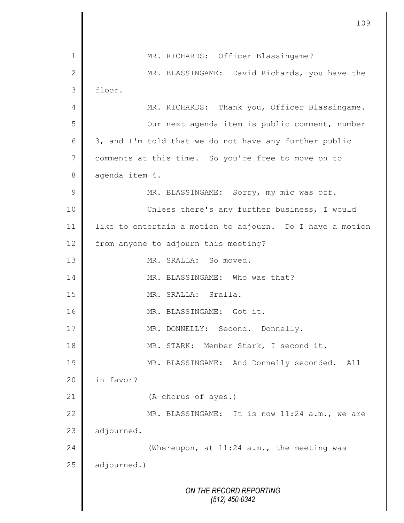*ON THE RECORD REPORTING (512) 450-0342* 1 || MR. RICHARDS: Officer Blassingame? 2 || MR. BLASSINGAME: David Richards, you have the 3 floor. 4 || MR. RICHARDS: Thank you, Officer Blassingame. 5 || Our next agenda item is public comment, number 6  $\parallel$  3, and I'm told that we do not have any further public 7 comments at this time. So you're free to move on to 8 aqenda item 4. 9 || MR. BLASSINGAME: Sorry, my mic was off. 10 Unless there's any further business, I would 11 like to entertain a motion to adjourn. Do I have a motion 12 from anyone to adjourn this meeting? 13 NR. SRALLA: So moved. 14 **MR. BLASSINGAME:** Who was that? 15 MR. SRALLA: Sralla. 16 || MR. BLASSINGAME: Got it. 17 || MR. DONNELLY: Second. Donnelly. 18 || MR. STARK: Member Stark, I second it. 19 || MR. BLASSINGAME: And Donnelly seconded. All 20 | in favor? 21 (A chorus of ayes.) 22 MR. BLASSINGAME: It is now 11:24 a.m., we are  $23$  | adjourned. 24 Whereupon, at 11:24 a.m., the meeting was  $25$  adjourned.)

109